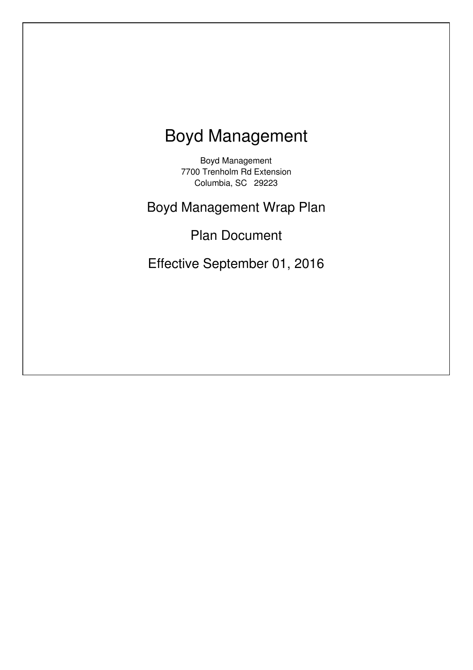# Boyd Management

Boyd Management 7700 Trenholm Rd Extension Columbia, SC 29223

# Boyd Management Wrap Plan

Plan Document

Effective September 01, 2016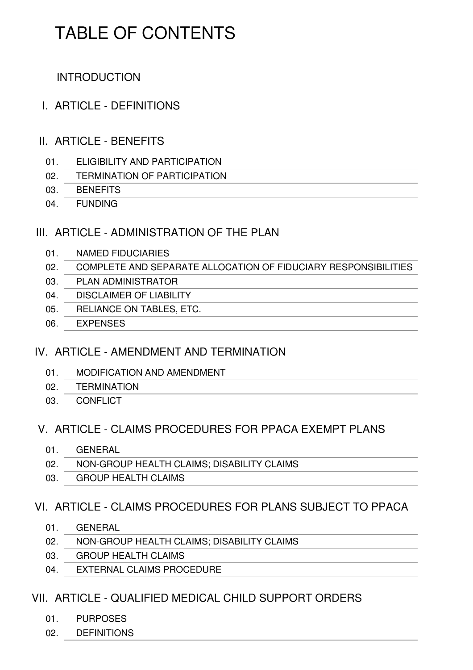# TABLE OF CONTENTS

INTRODUCTION

- I. ARTICLE DEFINITIONS
- II. ARTICLE BENEFITS
	- 01. ELIGIBILITY AND PARTICIPATION
	- 02. TERMINATION OF PARTICIPATION
	- 03. BENEFITS
	- 04. FUNDING

## III. ARTICLE - ADMINISTRATION OF THE PLAN

- 01. NAMED FIDUCIARIES
- 02. COMPLETE AND SEPARATE ALLOCATION OF FIDUCIARY RESPONSIBILITIES
- 03. PLAN ADMINISTRATOR
- 04. DISCLAIMER OF LIABILITY
- 05. RELIANCE ON TABLES, ETC.
- 06. EXPENSES

## IV. ARTICLE - AMENDMENT AND TERMINATION

- 01. MODIFICATION AND AMENDMENT
- 02. TERMINATION
- 03. CONFLICT

## V. ARTICLE - CLAIMS PROCEDURES FOR PPACA EXEMPT PLANS

- 01. GENERAL
- 02. NON-GROUP HEALTH CLAIMS; DISABILITY CLAIMS
- 03. GROUP HEALTH CLAIMS

## VI. ARTICLE - CLAIMS PROCEDURES FOR PLANS SUBJECT TO PPACA

- 01. GENERAL
- 02. NON-GROUP HEALTH CLAIMS; DISABILITY CLAIMS
- 03. GROUP HEALTH CLAIMS
- 04. EXTERNAL CLAIMS PROCEDURE

# VII. ARTICLE - QUALIFIED MEDICAL CHILD SUPPORT ORDERS

01. PURPOSES

### 02. DEFINITIONS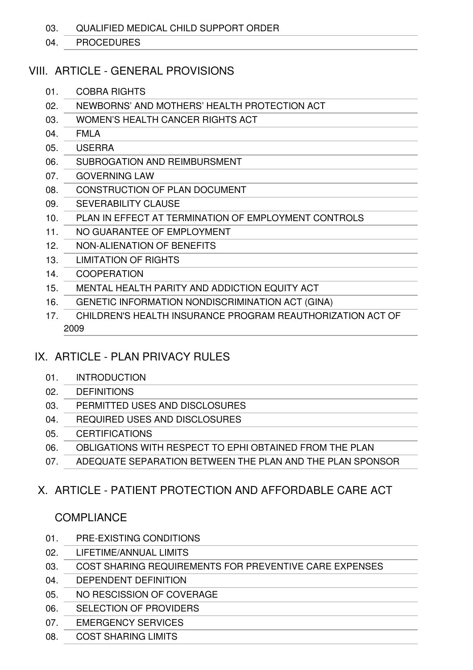- 03. QUALIFIED MEDICAL CHILD SUPPORT ORDER
- 04. PROCEDURES

### VIII. ARTICLE - GENERAL PROVISIONS

- 01. COBRA RIGHTS
- 02. NEWBORNS' AND MOTHERS' HEALTH PROTECTION ACT
- 03. WOMEN'S HEALTH CANCER RIGHTS ACT
- 04. FMLA
- 05. USERRA
- 06. SUBROGATION AND REIMBURSMENT
- 07. GOVERNING LAW
- 08. CONSTRUCTION OF PLAN DOCUMENT
- 09. SEVERABILITY CLAUSE
- 10. PLAN IN EFFECT AT TERMINATION OF EMPLOYMENT CONTROLS
- 11. NO GUARANTEE OF EMPLOYMENT
- 12. NON-ALIENATION OF BENEFITS
- 13. LIMITATION OF RIGHTS
- 14. COOPERATION
- 15. MENTAL HEALTH PARITY AND ADDICTION EQUITY ACT
- 16. GENETIC INFORMATION NONDISCRIMINATION ACT (GINA)
- 17. CHILDREN'S HEALTH INSURANCE PROGRAM REAUTHORIZATION ACT OF 2009

# IX. ARTICLE - PLAN PRIVACY RULES

- 01. INTRODUCTION
- 02. DEFINITIONS
- 03. PERMITTED USES AND DISCLOSURES
- 04. REQUIRED USES AND DISCLOSURES
- 05. CERTIFICATIONS
- 06. OBLIGATIONS WITH RESPECT TO EPHI OBTAINED FROM THE PLAN
- 07. ADEQUATE SEPARATION BETWEEN THE PLAN AND THE PLAN SPONSOR

# X. ARTICLE - PATIENT PROTECTION AND AFFORDABLE CARE ACT

## **COMPLIANCE**

- 01. PRE-EXISTING CONDITIONS
- 02. LIFETIME/ANNUAL LIMITS
- 03. COST SHARING REQUIREMENTS FOR PREVENTIVE CARE EXPENSES
- 04. DEPENDENT DEFINITION
- 05. NO RESCISSION OF COVERAGE
- 06. SELECTION OF PROVIDERS
- 07. EMERGENCY SERVICES
- 08. COST SHARING LIMITS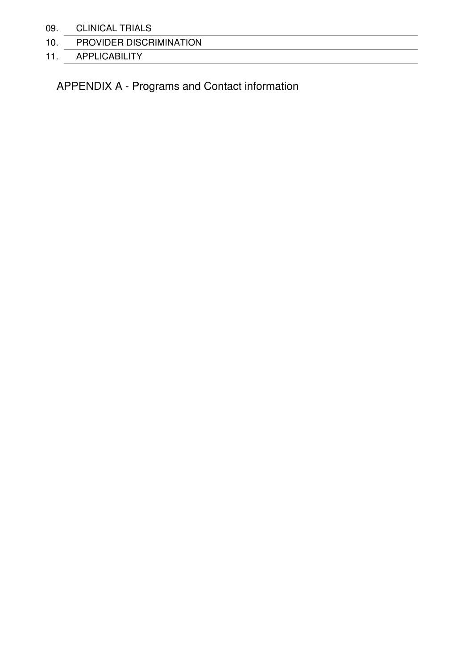09. CLINICAL TRIALS

- 10. PROVIDER DISCRIMINATION
- 11. APPLICABILITY

APPENDIX A - Programs and Contact information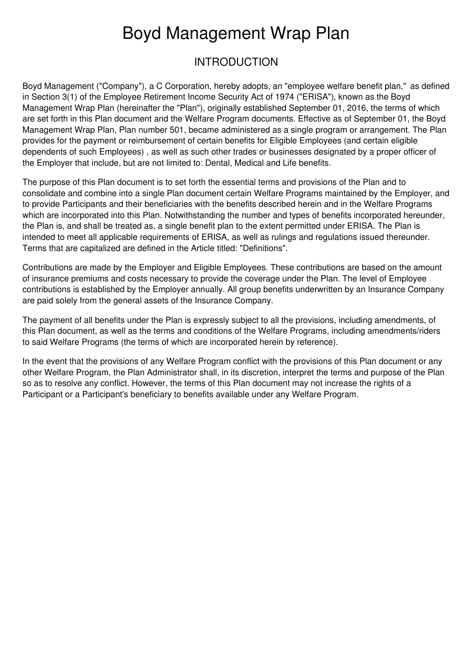# Boyd Management Wrap Plan

### INTRODUCTION

Boyd Management ("Company"), a C Corporation, hereby adopts, an "employee welfare benefit plan," as defined in Section 3(1) of the Employee Retirement Income Security Act of 1974 ("ERISA"), known as the Boyd Management Wrap Plan (hereinafter the "Plan"), originally established September 01, 2016, the terms of which are set forth in this Plan document and the Welfare Program documents. Effective as of September 01, the Boyd Management Wrap Plan, Plan number 501, became administered as a single program or arrangement. The Plan provides for the payment or reimbursement of certain benefits for Eligible Employees (and certain eligible dependents of such Employees) , as well as such other trades or businesses designated by a proper officer of the Employer that include, but are not limited to: Dental, Medical and Life benefits.

The purpose of this Plan document is to set forth the essential terms and provisions of the Plan and to consolidate and combine into a single Plan document certain Welfare Programs maintained by the Employer, and to provide Participants and their beneficiaries with the benefits described herein and in the Welfare Programs which are incorporated into this Plan. Notwithstanding the number and types of benefits incorporated hereunder, the Plan is, and shall be treated as, a single benefit plan to the extent permitted under ERISA. The Plan is intended to meet all applicable requirements of ERISA, as well as rulings and regulations issued thereunder. Terms that are capitalized are defined in the Article titled: "Definitions".

Contributions are made by the Employer and Eligible Employees. These contributions are based on the amount of insurance premiums and costs necessary to provide the coverage under the Plan. The level of Employee contributions is established by the Employer annually. All group benefits underwritten by an Insurance Company are paid solely from the general assets of the Insurance Company.

The payment of all benefits under the Plan is expressly subject to all the provisions, including amendments, of this Plan document, as well as the terms and conditions of the Welfare Programs, including amendments/riders to said Welfare Programs (the terms of which are incorporated herein by reference).

In the event that the provisions of any Welfare Program conflict with the provisions of this Plan document or any other Welfare Program, the Plan Administrator shall, in its discretion, interpret the terms and purpose of the Plan so as to resolve any conflict. However, the terms of this Plan document may not increase the rights of a Participant or a Participant's beneficiary to benefits available under any Welfare Program.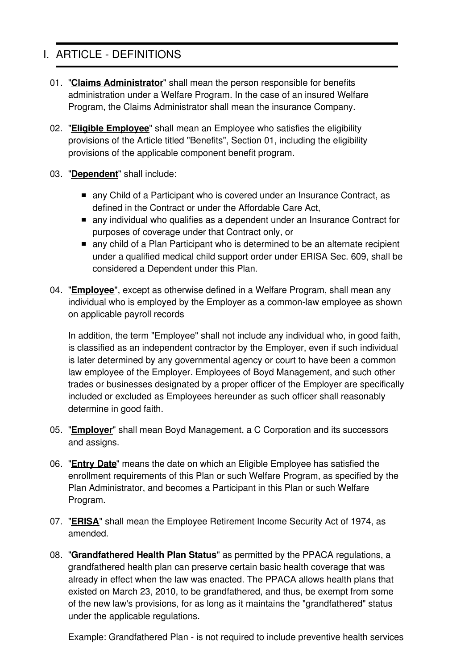## I. ARTICLE - DEFINITIONS

- 01. "**Claims Administrator**" shall mean the person responsible for benefits administration under a Welfare Program. In the case of an insured Welfare Program, the Claims Administrator shall mean the insurance Company.
- 02. "**Eligible Employee**" shall mean an Employee who satisfies the eligibility provisions of the Article titled "Benefits", Section 01, including the eligibility provisions of the applicable component benefit program.
- 03. "**Dependent**" shall include:
	- any Child of a Participant who is covered under an Insurance Contract, as defined in the Contract or under the Affordable Care Act,
	- any individual who qualifies as a dependent under an Insurance Contract for purposes of coverage under that Contract only, or
	- any child of a Plan Participant who is determined to be an alternate recipient under a qualified medical child support order under ERISA Sec. 609, shall be considered a Dependent under this Plan.
- 04. "**Employee**", except as otherwise defined in a Welfare Program, shall mean any individual who is employed by the Employer as a common-law employee as shown on applicable payroll records

In addition, the term "Employee" shall not include any individual who, in good faith, is classified as an independent contractor by the Employer, even if such individual is later determined by any governmental agency or court to have been a common law employee of the Employer. Employees of Boyd Management, and such other trades or businesses designated by a proper officer of the Employer are specifically included or excluded as Employees hereunder as such officer shall reasonably determine in good faith.

- 05. "**Employer**" shall mean Boyd Management, a C Corporation and its successors and assigns.
- 06. "**Entry Date**" means the date on which an Eligible Employee has satisfied the enrollment requirements of this Plan or such Welfare Program, as specified by the Plan Administrator, and becomes a Participant in this Plan or such Welfare Program.
- 07. "**ERISA**" shall mean the Employee Retirement Income Security Act of 1974, as amended.
- 08. "**Grandfathered Health Plan Status**" as permitted by the PPACA regulations, a grandfathered health plan can preserve certain basic health coverage that was already in effect when the law was enacted. The PPACA allows health plans that existed on March 23, 2010, to be grandfathered, and thus, be exempt from some of the new law's provisions, for as long as it maintains the "grandfathered" status under the applicable regulations.

Example: Grandfathered Plan - is not required to include preventive health services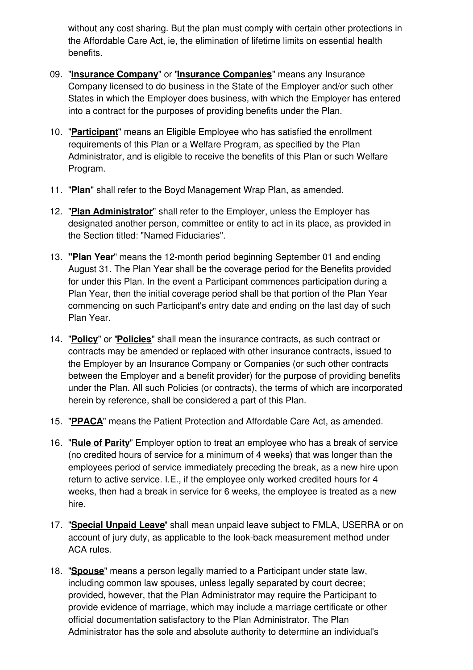without any cost sharing. But the plan must comply with certain other protections in the Affordable Care Act, ie, the elimination of lifetime limits on essential health benefits.

- 09. "**Insurance Company**" or "**Insurance Companies**" means any Insurance Company licensed to do business in the State of the Employer and/or such other States in which the Employer does business, with which the Employer has entered into a contract for the purposes of providing benefits under the Plan.
- 10. "**Participant**" means an Eligible Employee who has satisfied the enrollment requirements of this Plan or a Welfare Program, as specified by the Plan Administrator, and is eligible to receive the benefits of this Plan or such Welfare Program.
- 11. "**Plan**" shall refer to the Boyd Management Wrap Plan, as amended.
- 12. "**Plan Administrator**" shall refer to the Employer, unless the Employer has designated another person, committee or entity to act in its place, as provided in the Section titled: "Named Fiduciaries".
- 13. **"Plan Year**" means the 12-month period beginning September 01 and ending August 31. The Plan Year shall be the coverage period for the Benefits provided for under this Plan. In the event a Participant commences participation during a Plan Year, then the initial coverage period shall be that portion of the Plan Year commencing on such Participant's entry date and ending on the last day of such Plan Year.
- 14. "**Policy**" or "**Policies**" shall mean the insurance contracts, as such contract or contracts may be amended or replaced with other insurance contracts, issued to the Employer by an Insurance Company or Companies (or such other contracts between the Employer and a benefit provider) for the purpose of providing benefits under the Plan. All such Policies (or contracts), the terms of which are incorporated herein by reference, shall be considered a part of this Plan.
- 15. "**PPACA**" means the Patient Protection and Affordable Care Act, as amended.
- 16. "**Rule of Parity**" Employer option to treat an employee who has a break of service (no credited hours of service for a minimum of 4 weeks) that was longer than the employees period of service immediately preceding the break, as a new hire upon return to active service. I.E., if the employee only worked credited hours for 4 weeks, then had a break in service for 6 weeks, the employee is treated as a new hire.
- 17. "**Special Unpaid Leave**" shall mean unpaid leave subject to FMLA, USERRA or on account of jury duty, as applicable to the look-back measurement method under ACA rules.
- 18. "**Spouse**" means a person legally married to a Participant under state law, including common law spouses, unless legally separated by court decree; provided, however, that the Plan Administrator may require the Participant to provide evidence of marriage, which may include a marriage certificate or other official documentation satisfactory to the Plan Administrator. The Plan Administrator has the sole and absolute authority to determine an individual's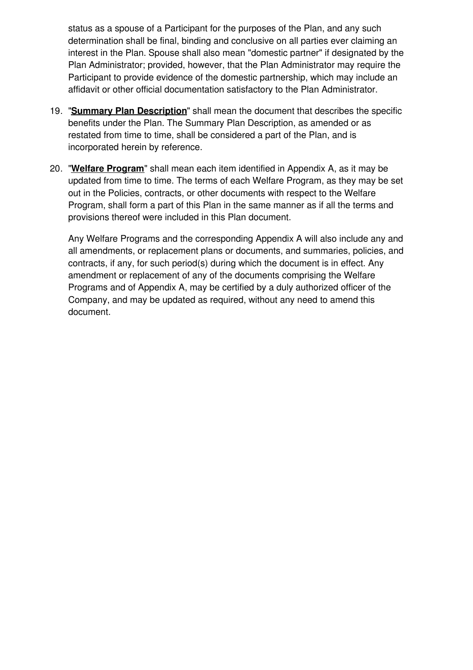status as a spouse of a Participant for the purposes of the Plan, and any such determination shall be final, binding and conclusive on all parties ever claiming an interest in the Plan. Spouse shall also mean "domestic partner" if designated by the Plan Administrator; provided, however, that the Plan Administrator may require the Participant to provide evidence of the domestic partnership, which may include an affidavit or other official documentation satisfactory to the Plan Administrator.

- 19. "**Summary Plan Description**" shall mean the document that describes the specific benefits under the Plan. The Summary Plan Description, as amended or as restated from time to time, shall be considered a part of the Plan, and is incorporated herein by reference.
- 20. "**Welfare Program**" shall mean each item identified in Appendix A, as it may be updated from time to time. The terms of each Welfare Program, as they may be set out in the Policies, contracts, or other documents with respect to the Welfare Program, shall form a part of this Plan in the same manner as if all the terms and provisions thereof were included in this Plan document.

Any Welfare Programs and the corresponding Appendix A will also include any and all amendments, or replacement plans or documents, and summaries, policies, and contracts, if any, for such period(s) during which the document is in effect. Any amendment or replacement of any of the documents comprising the Welfare Programs and of Appendix A, may be certified by a duly authorized officer of the Company, and may be updated as required, without any need to amend this document.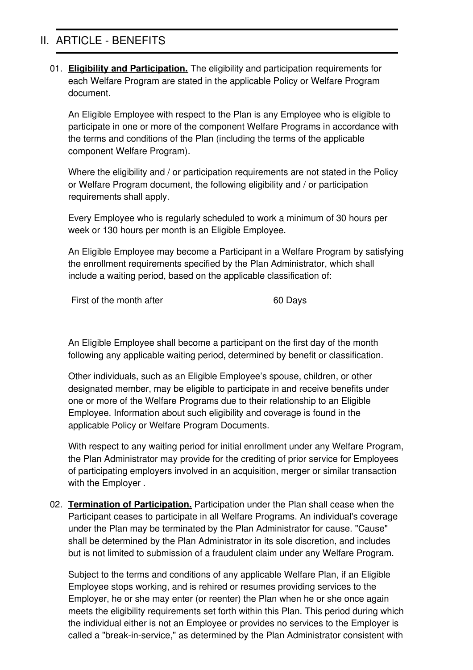## II. ARTICLE - BENEFITS

01. **Eligibility and Participation.** The eligibility and participation requirements for each Welfare Program are stated in the applicable Policy or Welfare Program document.

An Eligible Employee with respect to the Plan is any Employee who is eligible to participate in one or more of the component Welfare Programs in accordance with the terms and conditions of the Plan (including the terms of the applicable component Welfare Program).

Where the eligibility and / or participation requirements are not stated in the Policy or Welfare Program document, the following eligibility and / or participation requirements shall apply.

Every Employee who is regularly scheduled to work a minimum of 30 hours per week or 130 hours per month is an Eligible Employee.

An Eligible Employee may become a Participant in a Welfare Program by satisfying the enrollment requirements specified by the Plan Administrator, which shall include a waiting period, based on the applicable classification of:

First of the month after 60 Days

An Eligible Employee shall become a participant on the first day of the month following any applicable waiting period, determined by benefit or classification.

Other individuals, such as an Eligible Employee's spouse, children, or other designated member, may be eligible to participate in and receive benefits under one or more of the Welfare Programs due to their relationship to an Eligible Employee. Information about such eligibility and coverage is found in the applicable Policy or Welfare Program Documents.

With respect to any waiting period for initial enrollment under any Welfare Program, the Plan Administrator may provide for the crediting of prior service for Employees of participating employers involved in an acquisition, merger or similar transaction with the Employer .

02. **Termination of Participation.** Participation under the Plan shall cease when the Participant ceases to participate in all Welfare Programs. An individual's coverage under the Plan may be terminated by the Plan Administrator for cause. "Cause" shall be determined by the Plan Administrator in its sole discretion, and includes but is not limited to submission of a fraudulent claim under any Welfare Program.

Subject to the terms and conditions of any applicable Welfare Plan, if an Eligible Employee stops working, and is rehired or resumes providing services to the Employer, he or she may enter (or reenter) the Plan when he or she once again meets the eligibility requirements set forth within this Plan. This period during which the individual either is not an Employee or provides no services to the Employer is called a "break-in-service," as determined by the Plan Administrator consistent with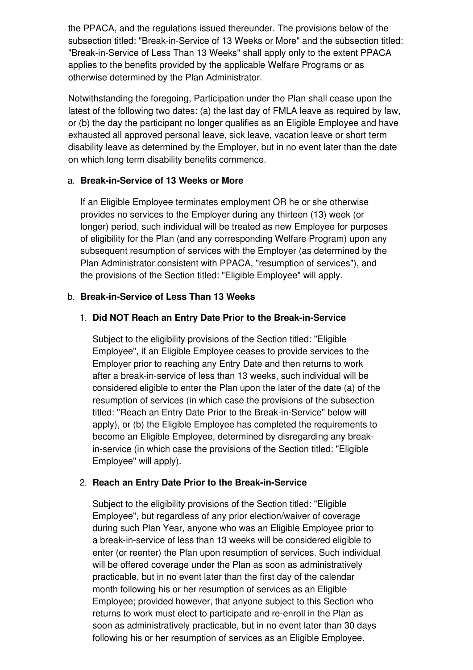the PPACA, and the regulations issued thereunder. The provisions below of the subsection titled: "Break-in-Service of 13 Weeks or More" and the subsection titled: "Break-in-Service of Less Than 13 Weeks" shall apply only to the extent PPACA applies to the benefits provided by the applicable Welfare Programs or as otherwise determined by the Plan Administrator.

Notwithstanding the foregoing, Participation under the Plan shall cease upon the latest of the following two dates: (a) the last day of FMLA leave as required by law, or (b) the day the participant no longer qualifies as an Eligible Employee and have exhausted all approved personal leave, sick leave, vacation leave or short term disability leave as determined by the Employer, but in no event later than the date on which long term disability benefits commence.

#### a. **Break-in-Service of 13 Weeks or More**

If an Eligible Employee terminates employment OR he or she otherwise provides no services to the Employer during any thirteen (13) week (or longer) period, such individual will be treated as new Employee for purposes of eligibility for the Plan (and any corresponding Welfare Program) upon any subsequent resumption of services with the Employer (as determined by the Plan Administrator consistent with PPACA, "resumption of services"), and the provisions of the Section titled: "Eligible Employee" will apply.

#### b. **Break-in-Service of Less Than 13 Weeks**

#### 1. **Did NOT Reach an Entry Date Prior to the Break-in-Service**

Subject to the eligibility provisions of the Section titled: "Eligible Employee", if an Eligible Employee ceases to provide services to the Employer prior to reaching any Entry Date and then returns to work after a break-in-service of less than 13 weeks, such individual will be considered eligible to enter the Plan upon the later of the date (a) of the resumption of services (in which case the provisions of the subsection titled: "Reach an Entry Date Prior to the Break-in-Service" below will apply), or (b) the Eligible Employee has completed the requirements to become an Eligible Employee, determined by disregarding any breakin-service (in which case the provisions of the Section titled: "Eligible Employee" will apply).

#### 2. **Reach an Entry Date Prior to the Break-in-Service**

Subject to the eligibility provisions of the Section titled: "Eligible Employee", but regardless of any prior election/waiver of coverage during such Plan Year, anyone who was an Eligible Employee prior to a break-in-service of less than 13 weeks will be considered eligible to enter (or reenter) the Plan upon resumption of services. Such individual will be offered coverage under the Plan as soon as administratively practicable, but in no event later than the first day of the calendar month following his or her resumption of services as an Eligible Employee; provided however, that anyone subject to this Section who returns to work must elect to participate and re-enroll in the Plan as soon as administratively practicable, but in no event later than 30 days following his or her resumption of services as an Eligible Employee.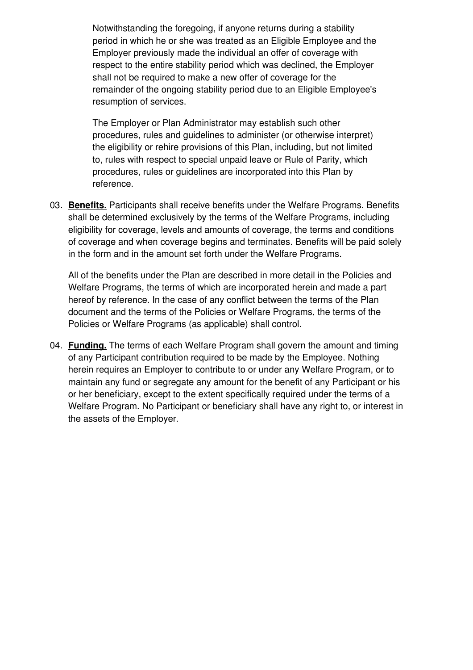Notwithstanding the foregoing, if anyone returns during a stability period in which he or she was treated as an Eligible Employee and the Employer previously made the individual an offer of coverage with respect to the entire stability period which was declined, the Employer shall not be required to make a new offer of coverage for the remainder of the ongoing stability period due to an Eligible Employee's resumption of services.

The Employer or Plan Administrator may establish such other procedures, rules and guidelines to administer (or otherwise interpret) the eligibility or rehire provisions of this Plan, including, but not limited to, rules with respect to special unpaid leave or Rule of Parity, which procedures, rules or guidelines are incorporated into this Plan by reference.

03. **Benefits.** Participants shall receive benefits under the Welfare Programs. Benefits shall be determined exclusively by the terms of the Welfare Programs, including eligibility for coverage, levels and amounts of coverage, the terms and conditions of coverage and when coverage begins and terminates. Benefits will be paid solely in the form and in the amount set forth under the Welfare Programs.

All of the benefits under the Plan are described in more detail in the Policies and Welfare Programs, the terms of which are incorporated herein and made a part hereof by reference. In the case of any conflict between the terms of the Plan document and the terms of the Policies or Welfare Programs, the terms of the Policies or Welfare Programs (as applicable) shall control.

04. **Funding.** The terms of each Welfare Program shall govern the amount and timing of any Participant contribution required to be made by the Employee. Nothing herein requires an Employer to contribute to or under any Welfare Program, or to maintain any fund or segregate any amount for the benefit of any Participant or his or her beneficiary, except to the extent specifically required under the terms of a Welfare Program. No Participant or beneficiary shall have any right to, or interest in the assets of the Employer.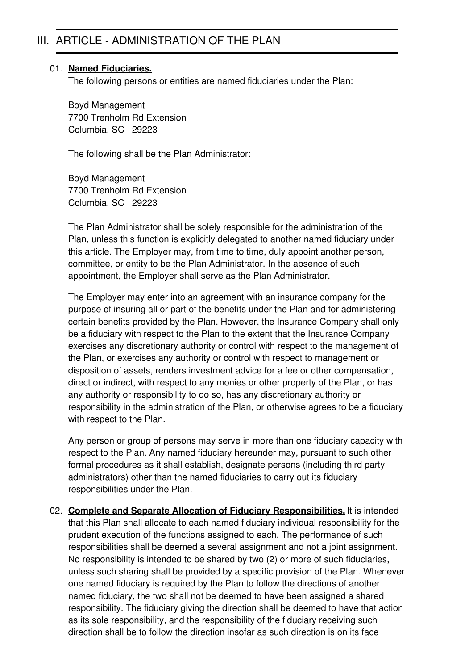## III. ARTICLE - ADMINISTRATION OF THE PLAN

#### 01. **Named Fiduciaries.**

The following persons or entities are named fiduciaries under the Plan:

Boyd Management 7700 Trenholm Rd Extension Columbia, SC 29223

The following shall be the Plan Administrator:

Boyd Management 7700 Trenholm Rd Extension Columbia, SC 29223

The Plan Administrator shall be solely responsible for the administration of the Plan, unless this function is explicitly delegated to another named fiduciary under this article. The Employer may, from time to time, duly appoint another person, committee, or entity to be the Plan Administrator. In the absence of such appointment, the Employer shall serve as the Plan Administrator.

The Employer may enter into an agreement with an insurance company for the purpose of insuring all or part of the benefits under the Plan and for administering certain benefits provided by the Plan. However, the Insurance Company shall only be a fiduciary with respect to the Plan to the extent that the Insurance Company exercises any discretionary authority or control with respect to the management of the Plan, or exercises any authority or control with respect to management or disposition of assets, renders investment advice for a fee or other compensation, direct or indirect, with respect to any monies or other property of the Plan, or has any authority or responsibility to do so, has any discretionary authority or responsibility in the administration of the Plan, or otherwise agrees to be a fiduciary with respect to the Plan.

Any person or group of persons may serve in more than one fiduciary capacity with respect to the Plan. Any named fiduciary hereunder may, pursuant to such other formal procedures as it shall establish, designate persons (including third party administrators) other than the named fiduciaries to carry out its fiduciary responsibilities under the Plan.

02. **Complete and Separate Allocation of Fiduciary Responsibilities.** It is intended that this Plan shall allocate to each named fiduciary individual responsibility for the prudent execution of the functions assigned to each. The performance of such responsibilities shall be deemed a several assignment and not a joint assignment. No responsibility is intended to be shared by two (2) or more of such fiduciaries, unless such sharing shall be provided by a specific provision of the Plan. Whenever one named fiduciary is required by the Plan to follow the directions of another named fiduciary, the two shall not be deemed to have been assigned a shared responsibility. The fiduciary giving the direction shall be deemed to have that action as its sole responsibility, and the responsibility of the fiduciary receiving such direction shall be to follow the direction insofar as such direction is on its face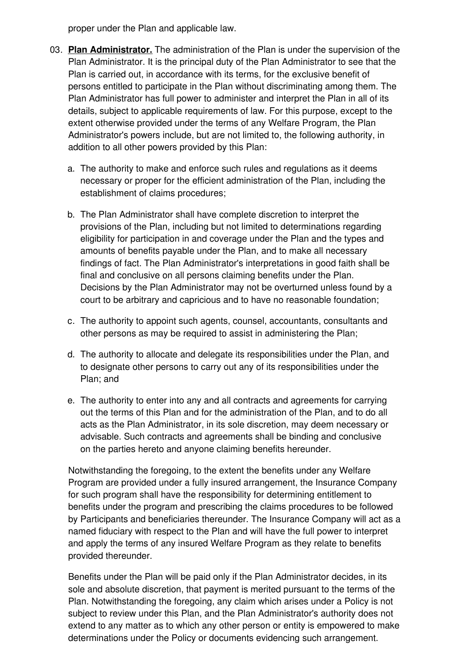proper under the Plan and applicable law.

- 03. **Plan Administrator.** The administration of the Plan is under the supervision of the Plan Administrator. It is the principal duty of the Plan Administrator to see that the Plan is carried out, in accordance with its terms, for the exclusive benefit of persons entitled to participate in the Plan without discriminating among them. The Plan Administrator has full power to administer and interpret the Plan in all of its details, subject to applicable requirements of law. For this purpose, except to the extent otherwise provided under the terms of any Welfare Program, the Plan Administrator's powers include, but are not limited to, the following authority, in addition to all other powers provided by this Plan:
	- a. The authority to make and enforce such rules and regulations as it deems necessary or proper for the efficient administration of the Plan, including the establishment of claims procedures;
	- b. The Plan Administrator shall have complete discretion to interpret the provisions of the Plan, including but not limited to determinations regarding eligibility for participation in and coverage under the Plan and the types and amounts of benefits payable under the Plan, and to make all necessary findings of fact. The Plan Administrator's interpretations in good faith shall be final and conclusive on all persons claiming benefits under the Plan. Decisions by the Plan Administrator may not be overturned unless found by a court to be arbitrary and capricious and to have no reasonable foundation;
	- c. The authority to appoint such agents, counsel, accountants, consultants and other persons as may be required to assist in administering the Plan;
	- d. The authority to allocate and delegate its responsibilities under the Plan, and to designate other persons to carry out any of its responsibilities under the Plan; and
	- e. The authority to enter into any and all contracts and agreements for carrying out the terms of this Plan and for the administration of the Plan, and to do all acts as the Plan Administrator, in its sole discretion, may deem necessary or advisable. Such contracts and agreements shall be binding and conclusive on the parties hereto and anyone claiming benefits hereunder.

Notwithstanding the foregoing, to the extent the benefits under any Welfare Program are provided under a fully insured arrangement, the Insurance Company for such program shall have the responsibility for determining entitlement to benefits under the program and prescribing the claims procedures to be followed by Participants and beneficiaries thereunder. The Insurance Company will act as a named fiduciary with respect to the Plan and will have the full power to interpret and apply the terms of any insured Welfare Program as they relate to benefits provided thereunder.

Benefits under the Plan will be paid only if the Plan Administrator decides, in its sole and absolute discretion, that payment is merited pursuant to the terms of the Plan. Notwithstanding the foregoing, any claim which arises under a Policy is not subject to review under this Plan, and the Plan Administrator's authority does not extend to any matter as to which any other person or entity is empowered to make determinations under the Policy or documents evidencing such arrangement.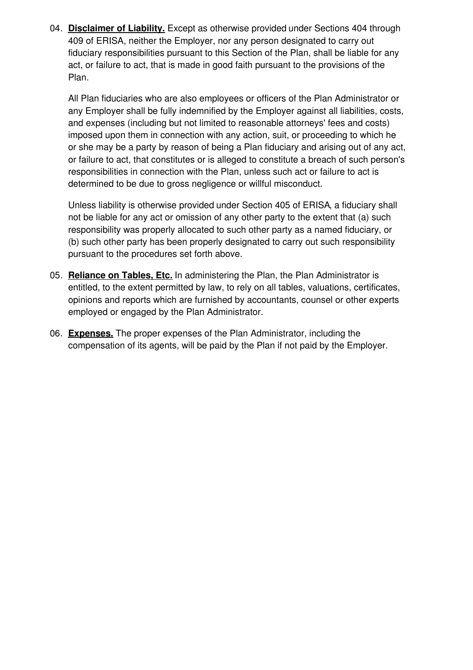04. **Disclaimer of Liability.** Except as otherwise provided under Sections 404 through 409 of ERISA, neither the Employer, nor any person designated to carry out fiduciary responsibilities pursuant to this Section of the Plan, shall be liable for any act, or failure to act, that is made in good faith pursuant to the provisions of the Plan.

All Plan fiduciaries who are also employees or officers of the Plan Administrator or any Employer shall be fully indemnified by the Employer against all liabilities, costs, and expenses (including but not limited to reasonable attorneys' fees and costs) imposed upon them in connection with any action, suit, or proceeding to which he or she may be a party by reason of being a Plan fiduciary and arising out of any act, or failure to act, that constitutes or is alleged to constitute a breach of such person's responsibilities in connection with the Plan, unless such act or failure to act is determined to be due to gross negligence or willful misconduct.

Unless liability is otherwise provided under Section 405 of ERISA, a fiduciary shall not be liable for any act or omission of any other party to the extent that (a) such responsibility was properly allocated to such other party as a named fiduciary, or (b) such other party has been properly designated to carry out such responsibility pursuant to the procedures set forth above.

- 05. **Reliance on Tables, Etc.** In administering the Plan, the Plan Administrator is entitled, to the extent permitted by law, to rely on all tables, valuations, certificates, opinions and reports which are furnished by accountants, counsel or other experts employed or engaged by the Plan Administrator.
- 06. **Expenses.** The proper expenses of the Plan Administrator, including the compensation of its agents, will be paid by the Plan if not paid by the Employer.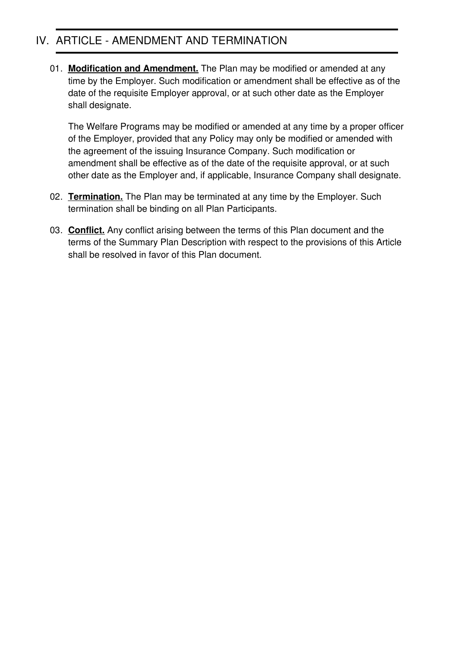## IV. ARTICLE - AMENDMENT AND TERMINATION

01. **Modification and Amendment.** The Plan may be modified or amended at any time by the Employer. Such modification or amendment shall be effective as of the date of the requisite Employer approval, or at such other date as the Employer shall designate.

The Welfare Programs may be modified or amended at any time by a proper officer of the Employer, provided that any Policy may only be modified or amended with the agreement of the issuing Insurance Company. Such modification or amendment shall be effective as of the date of the requisite approval, or at such other date as the Employer and, if applicable, Insurance Company shall designate.

- 02. **Termination.** The Plan may be terminated at any time by the Employer. Such termination shall be binding on all Plan Participants.
- 03. **Conflict.** Any conflict arising between the terms of this Plan document and the terms of the Summary Plan Description with respect to the provisions of this Article shall be resolved in favor of this Plan document.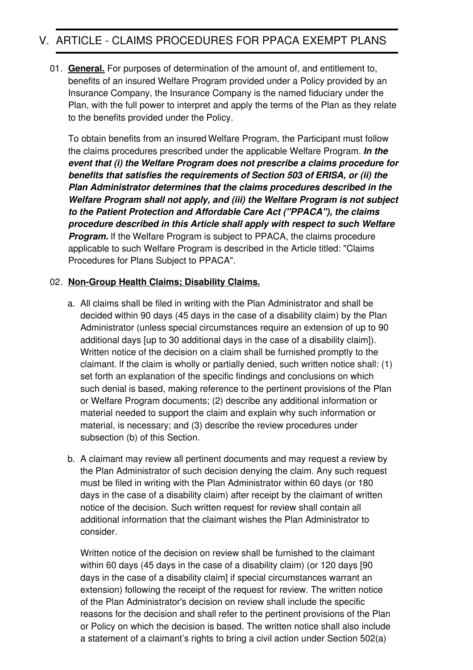# V. ARTICLE - CLAIMS PROCEDURES FOR PPACA EXEMPT PLANS

01. **General.** For purposes of determination of the amount of, and entitlement to, benefits of an insured Welfare Program provided under a Policy provided by an Insurance Company, the Insurance Company is the named fiduciary under the Plan, with the full power to interpret and apply the terms of the Plan as they relate to the benefits provided under the Policy.

To obtain benefits from an insured Welfare Program, the Participant must follow the claims procedures prescribed under the applicable Welfare Program. *In the event that (i) the Welfare Program does not prescribe a claims procedure for benefits that satisfies the requirements of Section 503 of ERISA, or (ii) the Plan Administrator determines that the claims procedures described in the Welfare Program shall not apply, and (iii) the Welfare Program is not subject to the Patient Protection and Affordable Care Act ("PPACA"), the claims procedure described in this Article shall apply with respect to such Welfare Program.* If the Welfare Program is subject to PPACA, the claims procedure applicable to such Welfare Program is described in the Article titled: "Claims Procedures for Plans Subject to PPACA".

#### 02. **Non-Group Health Claims; Disability Claims.**

- a. All claims shall be filed in writing with the Plan Administrator and shall be decided within 90 days (45 days in the case of a disability claim) by the Plan Administrator (unless special circumstances require an extension of up to 90 additional days [up to 30 additional days in the case of a disability claim]). Written notice of the decision on a claim shall be furnished promptly to the claimant. lf the claim is wholly or partially denied, such written notice shall: (1) set forth an explanation of the specific findings and conclusions on which such denial is based, making reference to the pertinent provisions of the Plan or Welfare Program documents; (2) describe any additional information or material needed to support the claim and explain why such information or material, is necessary; and (3) describe the review procedures under subsection (b) of this Section.
- b. A claimant may review all pertinent documents and may request a review by the Plan Administrator of such decision denying the claim. Any such request must be filed in writing with the Plan Administrator within 60 days (or 180 days in the case of a disability claim) after receipt by the claimant of written notice of the decision. Such written request for review shall contain all additional information that the claimant wishes the Plan Administrator to consider.

Written notice of the decision on review shall be furnished to the claimant within 60 days (45 days in the case of a disability claim) (or 120 days [90 days in the case of a disability claim] if special circumstances warrant an extension) following the receipt of the request for review. The written notice of the Plan Administrator's decision on review shall include the specific reasons for the decision and shall refer to the pertinent provisions of the Plan or Policy on which the decision is based. The written notice shall also include a statement of a claimant's rights to bring a civil action under Section 502(a)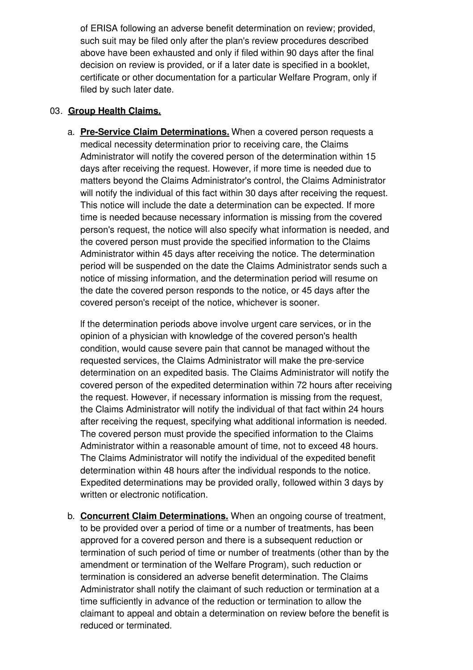of ERISA following an adverse benefit determination on review; provided, such suit may be filed only after the plan's review procedures described above have been exhausted and only if filed within 90 days after the final decision on review is provided, or if a later date is specified in a booklet, certificate or other documentation for a particular Welfare Program, only if filed by such later date.

#### 03. **Group Health Claims.**

a. **Pre-Service Claim Determinations.** When a covered person requests a medical necessity determination prior to receiving care, the Claims Administrator will notify the covered person of the determination within 15 days after receiving the request. However, if more time is needed due to matters beyond the Claims Administrator's control, the Claims Administrator will notify the individual of this fact within 30 days after receiving the request. This notice will include the date a determination can be expected. If more time is needed because necessary information is missing from the covered person's request, the notice will also specify what information is needed, and the covered person must provide the specified information to the Claims Administrator within 45 days after receiving the notice. The determination period will be suspended on the date the Claims Administrator sends such a notice of missing information, and the determination period will resume on the date the covered person responds to the notice, or 45 days after the covered person's receipt of the notice, whichever is sooner.

lf the determination periods above involve urgent care services, or in the opinion of a physician with knowledge of the covered person's health condition, would cause severe pain that cannot be managed without the requested services, the Claims Administrator will make the pre-service determination on an expedited basis. The Claims Administrator will notify the covered person of the expedited determination within 72 hours after receiving the request. However, if necessary information is missing from the request, the Claims Administrator will notify the individual of that fact within 24 hours after receiving the request, specifying what additional information is needed. The covered person must provide the specified information to the Claims Administrator within a reasonable amount of time, not to exceed 48 hours. The Claims Administrator will notify the individual of the expedited benefit determination within 48 hours after the individual responds to the notice. Expedited determinations may be provided orally, followed within 3 days by written or electronic notification.

b. **Concurrent Claim Determinations.** When an ongoing course of treatment, to be provided over a period of time or a number of treatments, has been approved for a covered person and there is a subsequent reduction or termination of such period of time or number of treatments (other than by the amendment or termination of the Welfare Program), such reduction or termination is considered an adverse benefit determination. The Claims Administrator shall notify the claimant of such reduction or termination at a time sufficiently in advance of the reduction or termination to allow the claimant to appeal and obtain a determination on review before the benefit is reduced or terminated.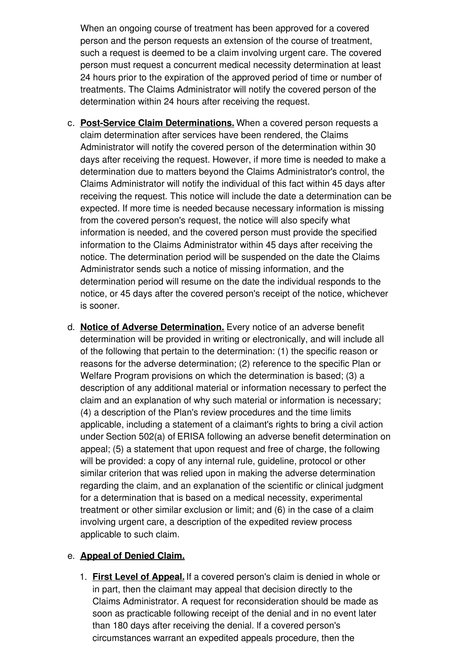When an ongoing course of treatment has been approved for a covered person and the person requests an extension of the course of treatment, such a request is deemed to be a claim involving urgent care. The covered person must request a concurrent medical necessity determination at least 24 hours prior to the expiration of the approved period of time or number of treatments. The Claims Administrator will notify the covered person of the determination within 24 hours after receiving the request.

- c. **Post-Service Claim Determinations.** When a covered person requests a claim determination after services have been rendered, the Claims Administrator will notify the covered person of the determination within 30 days after receiving the request. However, if more time is needed to make a determination due to matters beyond the Claims Administrator's control, the Claims Administrator will notify the individual of this fact within 45 days after receiving the request. This notice will include the date a determination can be expected. If more time is needed because necessary information is missing from the covered person's request, the notice will also specify what information is needed, and the covered person must provide the specified information to the Claims Administrator within 45 days after receiving the notice. The determination period will be suspended on the date the Claims Administrator sends such a notice of missing information, and the determination period will resume on the date the individual responds to the notice, or 45 days after the covered person's receipt of the notice, whichever is sooner.
- d. **Notice of Adverse Determination.** Every notice of an adverse benefit determination will be provided in writing or electronically, and will include all of the following that pertain to the determination: (1) the specific reason or reasons for the adverse determination; (2) reference to the specific Plan or Welfare Program provisions on which the determination is based; (3) a description of any additional material or information necessary to perfect the claim and an explanation of why such material or information is necessary; (4) a description of the Plan's review procedures and the time limits applicable, including a statement of a claimant's rights to bring a civil action under Section 502(a) of ERISA following an adverse benefit determination on appeal; (5) a statement that upon request and free of charge, the following will be provided: a copy of any internal rule, guideline, protocol or other similar criterion that was relied upon in making the adverse determination regarding the claim, and an explanation of the scientific or clinical judgment for a determination that is based on a medical necessity, experimental treatment or other similar exclusion or limit; and (6) in the case of a claim involving urgent care, a description of the expedited review process applicable to such claim.

#### e. **Appeal of Denied Claim.**

1. **First Level of Appeal.** If a covered person's claim is denied in whole or in part, then the claimant may appeal that decision directly to the Claims Administrator. A request for reconsideration should be made as soon as practicable following receipt of the denial and in no event later than 180 days after receiving the denial. lf a covered person's circumstances warrant an expedited appeals procedure, then the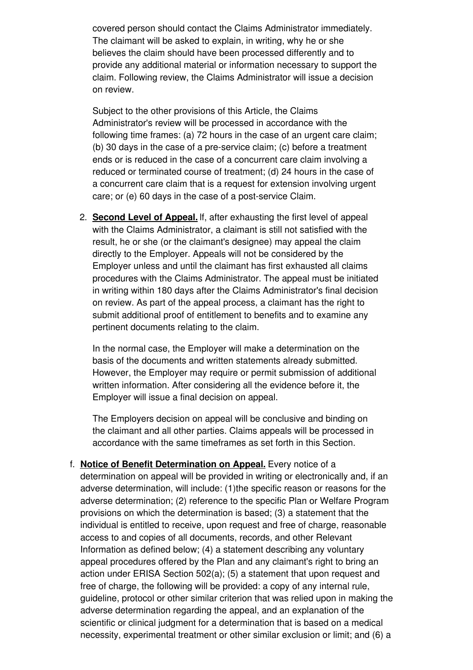covered person should contact the Claims Administrator immediately. The claimant will be asked to explain, in writing, why he or she believes the claim should have been processed differently and to provide any additional material or information necessary to support the claim. Following review, the Claims Administrator will issue a decision on review.

Subject to the other provisions of this Article, the Claims Administrator's review will be processed in accordance with the following time frames: (a) 72 hours in the case of an urgent care claim; (b) 30 days in the case of a pre-service claim; (c) before a treatment ends or is reduced in the case of a concurrent care claim involving a reduced or terminated course of treatment; (d) 24 hours in the case of a concurrent care claim that is a request for extension involving urgent care; or (e) 60 days in the case of a post-service Claim.

2. **Second Level of Appeal.** lf, after exhausting the first level of appeal with the Claims Administrator, a claimant is still not satisfied with the result, he or she (or the claimant's designee) may appeal the claim directly to the Employer. Appeals will not be considered by the Employer unless and until the claimant has first exhausted all claims procedures with the Claims Administrator. The appeal must be initiated in writing within 180 days after the Claims Administrator's final decision on review. As part of the appeal process, a claimant has the right to submit additional proof of entitlement to benefits and to examine any pertinent documents relating to the claim.

In the normal case, the Employer will make a determination on the basis of the documents and written statements already submitted. However, the Employer may require or permit submission of additional written information. After considering all the evidence before it, the Employer will issue a final decision on appeal.

The Employers decision on appeal will be conclusive and binding on the claimant and all other parties. Claims appeals will be processed in accordance with the same timeframes as set forth in this Section.

f. **Notice of Benefit Determination on Appeal.** Every notice of a determination on appeal will be provided in writing or electronically and, if an adverse determination, will include: (1)the specific reason or reasons for the adverse determination; (2) reference to the specific Plan or Welfare Program provisions on which the determination is based; (3) a statement that the individual is entitled to receive, upon request and free of charge, reasonable access to and copies of all documents, records, and other Relevant Information as defined below; (4) a statement describing any voluntary appeal procedures offered by the Plan and any claimant's right to bring an action under ERISA Section 502(a); (5) a statement that upon request and free of charge, the following will be provided: a copy of any internal rule, guideline, protocol or other similar criterion that was relied upon in making the adverse determination regarding the appeal, and an explanation of the scientific or clinical judgment for a determination that is based on a medical necessity, experimental treatment or other similar exclusion or limit; and (6) a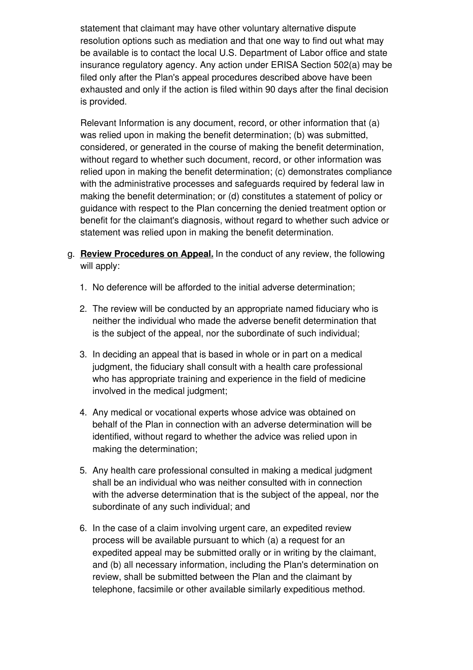statement that claimant may have other voluntary alternative dispute resolution options such as mediation and that one way to find out what may be available is to contact the local U.S. Department of Labor office and state insurance regulatory agency. Any action under ERISA Section 502(a) may be filed only after the Plan's appeal procedures described above have been exhausted and only if the action is filed within 90 days after the final decision is provided.

Relevant Information is any document, record, or other information that (a) was relied upon in making the benefit determination; (b) was submitted, considered, or generated in the course of making the benefit determination, without regard to whether such document, record, or other information was relied upon in making the benefit determination; (c) demonstrates compliance with the administrative processes and safeguards required by federal law in making the benefit determination; or (d) constitutes a statement of policy or guidance with respect to the Plan concerning the denied treatment option or benefit for the claimant's diagnosis, without regard to whether such advice or statement was relied upon in making the benefit determination.

- g. **Review Procedures on Appeal.** In the conduct of any review, the following will apply:
	- 1. No deference will be afforded to the initial adverse determination;
	- 2. The review will be conducted by an appropriate named fiduciary who is neither the individual who made the adverse benefit determination that is the subject of the appeal, nor the subordinate of such individual;
	- 3. In deciding an appeal that is based in whole or in part on a medical judgment, the fiduciary shall consult with a health care professional who has appropriate training and experience in the field of medicine involved in the medical judgment;
	- 4. Any medical or vocational experts whose advice was obtained on behalf of the Plan in connection with an adverse determination will be identified, without regard to whether the advice was relied upon in making the determination;
	- 5. Any health care professional consulted in making a medical judgment shall be an individual who was neither consulted with in connection with the adverse determination that is the subject of the appeal, nor the subordinate of any such individual; and
	- 6. In the case of a claim involving urgent care, an expedited review process will be available pursuant to which (a) a request for an expedited appeal may be submitted orally or in writing by the claimant, and (b) all necessary information, including the Plan's determination on review, shall be submitted between the Plan and the claimant by telephone, facsimile or other available similarly expeditious method.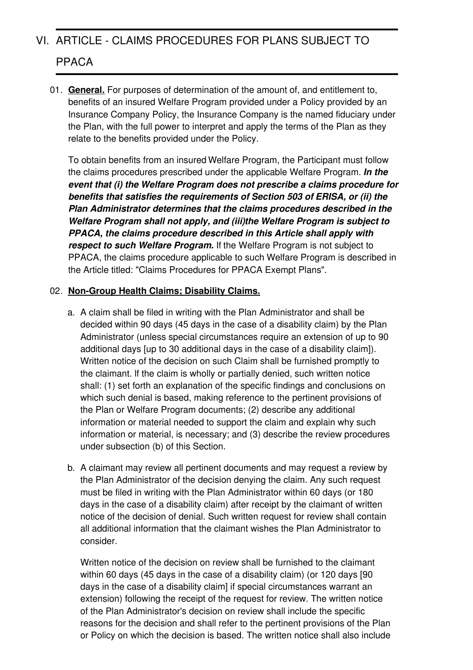# VI. ARTICLE - CLAIMS PROCEDURES FOR PLANS SUBJECT TO

## PPACA

01. **General.** For purposes of determination of the amount of, and entitlement to, benefits of an insured Welfare Program provided under a Policy provided by an Insurance Company Policy, the Insurance Company is the named fiduciary under the Plan, with the full power to interpret and apply the terms of the Plan as they relate to the benefits provided under the Policy.

To obtain benefits from an insured Welfare Program, the Participant must follow the claims procedures prescribed under the applicable Welfare Program. *In the event that (i) the Welfare Program does not prescribe a claims procedure for benefits that satisfies the requirements of Section 503 of ERISA, or (ii) the Plan Administrator determines that the claims procedures described in the Welfare Program shall not apply, and (iii)the Welfare Program is subject to PPACA, the claims procedure described in this Article shall apply with respect to such Welfare Program.* If the Welfare Program is not subject to PPACA, the claims procedure applicable to such Welfare Program is described in the Article titled: "Claims Procedures for PPACA Exempt Plans".

#### 02. **Non-Group Health Claims; Disability Claims.**

- a. A claim shall be filed in writing with the Plan Administrator and shall be decided within 90 days (45 days in the case of a disability claim) by the Plan Administrator (unless special circumstances require an extension of up to 90 additional days [up to 30 additional days in the case of a disability claim]). Written notice of the decision on such Claim shall be furnished promptly to the claimant. lf the claim is wholly or partially denied, such written notice shall: (1) set forth an explanation of the specific findings and conclusions on which such denial is based, making reference to the pertinent provisions of the Plan or Welfare Program documents; (2) describe any additional information or material needed to support the claim and explain why such information or material, is necessary; and (3) describe the review procedures under subsection (b) of this Section.
- b. A claimant may review all pertinent documents and may request a review by the Plan Administrator of the decision denying the claim. Any such request must be filed in writing with the Plan Administrator within 60 days (or 180 days in the case of a disability claim) after receipt by the claimant of written notice of the decision of denial. Such written request for review shall contain all additional information that the claimant wishes the Plan Administrator to consider.

Written notice of the decision on review shall be furnished to the claimant within 60 days (45 days in the case of a disability claim) (or 120 days [90 days in the case of a disability claim] if special circumstances warrant an extension) following the receipt of the request for review. The written notice of the Plan Administrator's decision on review shall include the specific reasons for the decision and shall refer to the pertinent provisions of the Plan or Policy on which the decision is based. The written notice shall also include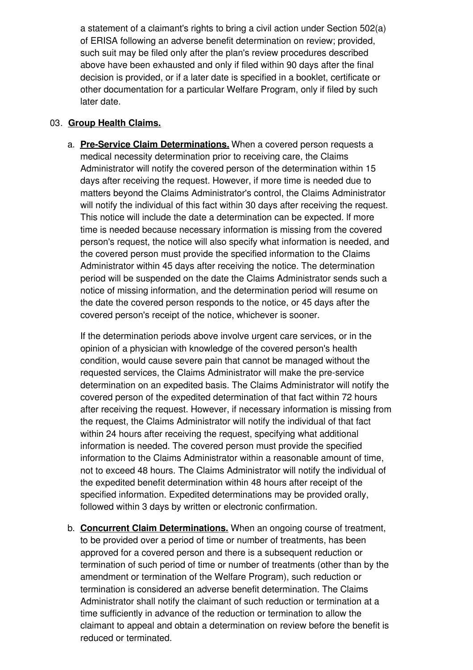a statement of a claimant's rights to bring a civil action under Section 502(a) of ERISA following an adverse benefit determination on review; provided, such suit may be filed only after the plan's review procedures described above have been exhausted and only if filed within 90 days after the final decision is provided, or if a later date is specified in a booklet, certificate or other documentation for a particular Welfare Program, only if filed by such later date.

#### 03. **Group Health Claims.**

a. **Pre-Service Claim Determinations.** When a covered person requests a medical necessity determination prior to receiving care, the Claims Administrator will notify the covered person of the determination within 15 days after receiving the request. However, if more time is needed due to matters beyond the Claims Administrator's control, the Claims Administrator will notify the individual of this fact within 30 days after receiving the request. This notice will include the date a determination can be expected. lf more time is needed because necessary information is missing from the covered person's request, the notice will also specify what information is needed, and the covered person must provide the specified information to the Claims Administrator within 45 days after receiving the notice. The determination period will be suspended on the date the Claims Administrator sends such a notice of missing information, and the determination period will resume on the date the covered person responds to the notice, or 45 days after the covered person's receipt of the notice, whichever is sooner.

If the determination periods above involve urgent care services, or in the opinion of a physician with knowledge of the covered person's health condition, would cause severe pain that cannot be managed without the requested services, the Claims Administrator will make the pre-service determination on an expedited basis. The Claims Administrator will notify the covered person of the expedited determination of that fact within 72 hours after receiving the request. However, if necessary information is missing from the request, the Claims Administrator will notify the individual of that fact within 24 hours after receiving the request, specifying what additional information is needed. The covered person must provide the specified information to the Claims Administrator within a reasonable amount of time, not to exceed 48 hours. The Claims Administrator will notify the individual of the expedited benefit determination within 48 hours after receipt of the specified information. Expedited determinations may be provided orally, followed within 3 days by written or electronic confirmation.

b. **Concurrent Claim Determinations.** When an ongoing course of treatment, to be provided over a period of time or number of treatments, has been approved for a covered person and there is a subsequent reduction or termination of such period of time or number of treatments (other than by the amendment or termination of the Welfare Program), such reduction or termination is considered an adverse benefit determination. The Claims Administrator shall notify the claimant of such reduction or termination at a time sufficiently in advance of the reduction or termination to allow the claimant to appeal and obtain a determination on review before the benefit is reduced or terminated.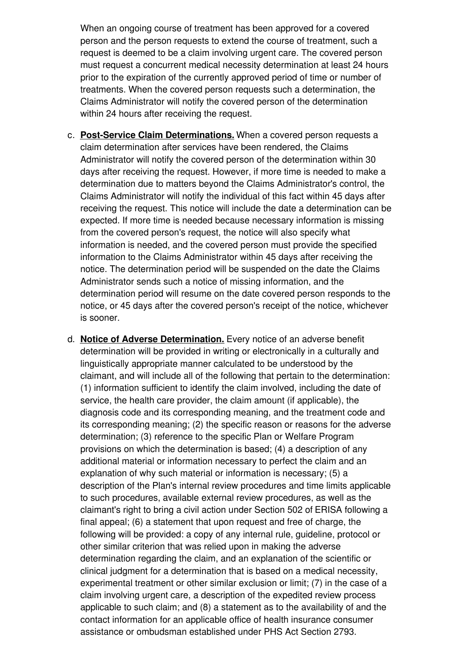When an ongoing course of treatment has been approved for a covered person and the person requests to extend the course of treatment, such a request is deemed to be a claim involving urgent care. The covered person must request a concurrent medical necessity determination at least 24 hours prior to the expiration of the currently approved period of time or number of treatments. When the covered person requests such a determination, the Claims Administrator will notify the covered person of the determination within 24 hours after receiving the request.

- c. **Post-Service Claim Determinations.** When a covered person requests a claim determination after services have been rendered, the Claims Administrator will notify the covered person of the determination within 30 days after receiving the request. However, if more time is needed to make a determination due to matters beyond the Claims Administrator's control, the Claims Administrator will notify the individual of this fact within 45 days after receiving the request. This notice will include the date a determination can be expected. If more time is needed because necessary information is missing from the covered person's request, the notice will also specify what information is needed, and the covered person must provide the specified information to the Claims Administrator within 45 days after receiving the notice. The determination period will be suspended on the date the Claims Administrator sends such a notice of missing information, and the determination period will resume on the date covered person responds to the notice, or 45 days after the covered person's receipt of the notice, whichever is sooner.
- d. **Notice of Adverse Determination.** Every notice of an adverse benefit determination will be provided in writing or electronically in a culturally and linguistically appropriate manner calculated to be understood by the claimant, and will include all of the following that pertain to the determination: (1) information sufficient to identify the claim involved, including the date of service, the health care provider, the claim amount (if applicable), the diagnosis code and its corresponding meaning, and the treatment code and its corresponding meaning; (2) the specific reason or reasons for the adverse determination; (3) reference to the specific Plan or Welfare Program provisions on which the determination is based; (4) a description of any additional material or information necessary to perfect the claim and an explanation of why such material or information is necessary; (5) a description of the Plan's internal review procedures and time limits applicable to such procedures, available external review procedures, as well as the claimant's right to bring a civil action under Section 502 of ERISA following a final appeal; (6) a statement that upon request and free of charge, the following will be provided: a copy of any internal rule, guideline, protocol or other similar criterion that was relied upon in making the adverse determination regarding the claim, and an explanation of the scientific or clinical judgment for a determination that is based on a medical necessity, experimental treatment or other similar exclusion or limit; (7) in the case of a claim involving urgent care, a description of the expedited review process applicable to such claim; and (8) a statement as to the availability of and the contact information for an applicable office of health insurance consumer assistance or ombudsman established under PHS Act Section 2793.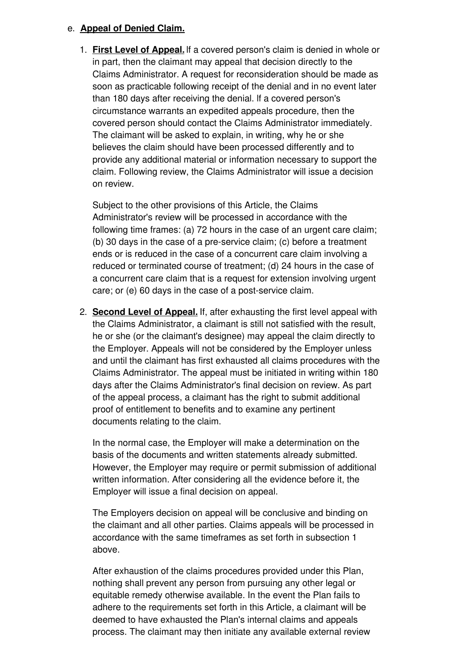#### e. **Appeal of Denied Claim.**

1. **First Level of Appeal.** lf a covered person's claim is denied in whole or in part, then the claimant may appeal that decision directly to the Claims Administrator. A request for reconsideration should be made as soon as practicable following receipt of the denial and in no event later than 180 days after receiving the denial. lf a covered person's circumstance warrants an expedited appeals procedure, then the covered person should contact the Claims Administrator immediately. The claimant will be asked to explain, in writing, why he or she believes the claim should have been processed differently and to provide any additional material or information necessary to support the claim. Following review, the Claims Administrator will issue a decision on review.

Subject to the other provisions of this Article, the Claims Administrator's review will be processed in accordance with the following time frames: (a) 72 hours in the case of an urgent care claim; (b) 30 days in the case of a pre-service claim; (c) before a treatment ends or is reduced in the case of a concurrent care claim involving a reduced or terminated course of treatment; (d) 24 hours in the case of a concurrent care claim that is a request for extension involving urgent care; or (e) 60 days in the case of a post-service claim.

2. **Second Level of Appeal.** If, after exhausting the first level appeal with the Claims Administrator, a claimant is still not satisfied with the result, he or she (or the claimant's designee) may appeal the claim directly to the Employer. Appeals will not be considered by the Employer unless and until the claimant has first exhausted all claims procedures with the Claims Administrator. The appeal must be initiated in writing within 180 days after the Claims Administrator's final decision on review. As part of the appeal process, a claimant has the right to submit additional proof of entitlement to benefits and to examine any pertinent documents relating to the claim.

In the normal case, the Employer will make a determination on the basis of the documents and written statements already submitted. However, the Employer may require or permit submission of additional written information. After considering all the evidence before it, the Employer will issue a final decision on appeal.

The Employers decision on appeal will be conclusive and binding on the claimant and all other parties. Claims appeals will be processed in accordance with the same timeframes as set forth in subsection 1 above.

After exhaustion of the claims procedures provided under this Plan, nothing shall prevent any person from pursuing any other legal or equitable remedy otherwise available. In the event the Plan fails to adhere to the requirements set forth in this Article, a claimant will be deemed to have exhausted the Plan's internal claims and appeals process. The claimant may then initiate any available external review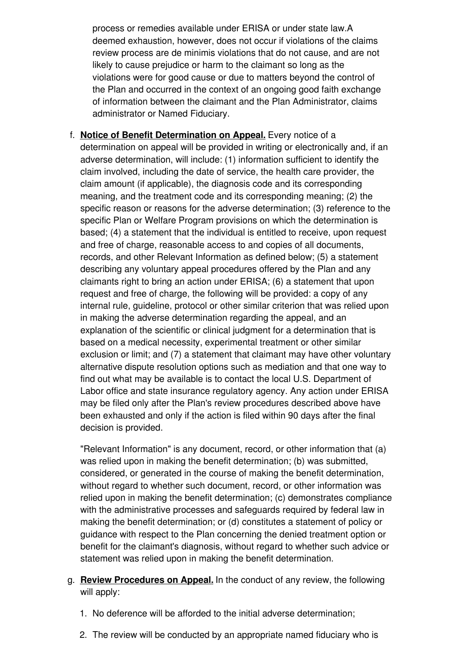process or remedies available under ERISA or under state law.A deemed exhaustion, however, does not occur if violations of the claims review process are de minimis violations that do not cause, and are not likely to cause prejudice or harm to the claimant so long as the violations were for good cause or due to matters beyond the control of the Plan and occurred in the context of an ongoing good faith exchange of information between the claimant and the Plan Administrator, claims administrator or Named Fiduciary.

f. **Notice of Benefit Determination on Appeal.** Every notice of a determination on appeal will be provided in writing or electronically and, if an adverse determination, will include: (1) information sufficient to identify the claim involved, including the date of service, the health care provider, the claim amount (if applicable), the diagnosis code and its corresponding meaning, and the treatment code and its corresponding meaning; (2) the specific reason or reasons for the adverse determination; (3) reference to the specific Plan or Welfare Program provisions on which the determination is based; (4) a statement that the individual is entitled to receive, upon request and free of charge, reasonable access to and copies of all documents, records, and other Relevant Information as defined below; (5) a statement describing any voluntary appeal procedures offered by the Plan and any claimants right to bring an action under ERISA; (6) a statement that upon request and free of charge, the following will be provided: a copy of any internal rule, guideline, protocol or other similar criterion that was relied upon in making the adverse determination regarding the appeal, and an explanation of the scientific or clinical judgment for a determination that is based on a medical necessity, experimental treatment or other similar exclusion or limit; and (7) a statement that claimant may have other voluntary alternative dispute resolution options such as mediation and that one way to find out what may be available is to contact the local U.S. Department of Labor office and state insurance regulatory agency. Any action under ERISA may be filed only after the Plan's review procedures described above have been exhausted and only if the action is filed within 90 days after the final decision is provided.

"Relevant Information" is any document, record, or other information that (a) was relied upon in making the benefit determination; (b) was submitted, considered, or generated in the course of making the benefit determination, without regard to whether such document, record, or other information was relied upon in making the benefit determination; (c) demonstrates compliance with the administrative processes and safeguards required by federal law in making the benefit determination; or (d) constitutes a statement of policy or guidance with respect to the Plan concerning the denied treatment option or benefit for the claimant's diagnosis, without regard to whether such advice or statement was relied upon in making the benefit determination.

- g. **Review Procedures on Appeal.** In the conduct of any review, the following will apply:
	- 1. No deference will be afforded to the initial adverse determination;
	- 2. The review will be conducted by an appropriate named fiduciary who is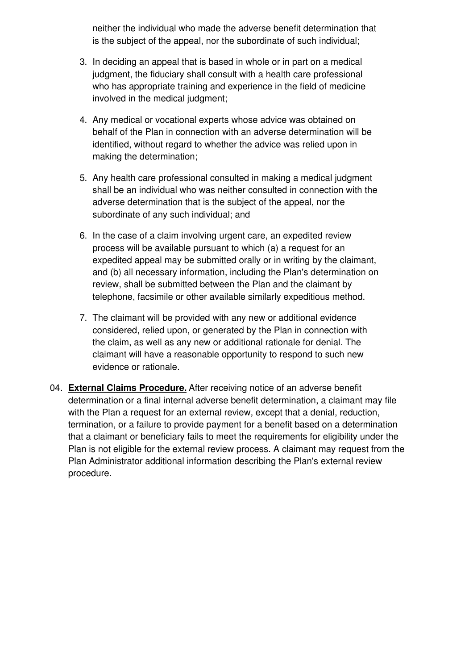neither the individual who made the adverse benefit determination that is the subject of the appeal, nor the subordinate of such individual;

- 3. In deciding an appeal that is based in whole or in part on a medical judgment, the fiduciary shall consult with a health care professional who has appropriate training and experience in the field of medicine involved in the medical judgment;
- 4. Any medical or vocational experts whose advice was obtained on behalf of the Plan in connection with an adverse determination will be identified, without regard to whether the advice was relied upon in making the determination;
- 5. Any health care professional consulted in making a medical judgment shall be an individual who was neither consulted in connection with the adverse determination that is the subject of the appeal, nor the subordinate of any such individual; and
- 6. In the case of a claim involving urgent care, an expedited review process will be available pursuant to which (a) a request for an expedited appeal may be submitted orally or in writing by the claimant, and (b) all necessary information, including the Plan's determination on review, shall be submitted between the Plan and the claimant by telephone, facsimile or other available similarly expeditious method.
- 7. The claimant will be provided with any new or additional evidence considered, relied upon, or generated by the Plan in connection with the claim, as well as any new or additional rationale for denial. The claimant will have a reasonable opportunity to respond to such new evidence or rationale.
- 04. **External Claims Procedure.** After receiving notice of an adverse benefit determination or a final internal adverse benefit determination, a claimant may file with the Plan a request for an external review, except that a denial, reduction, termination, or a failure to provide payment for a benefit based on a determination that a claimant or beneficiary fails to meet the requirements for eligibility under the Plan is not eligible for the external review process. A claimant may request from the Plan Administrator additional information describing the Plan's external review procedure.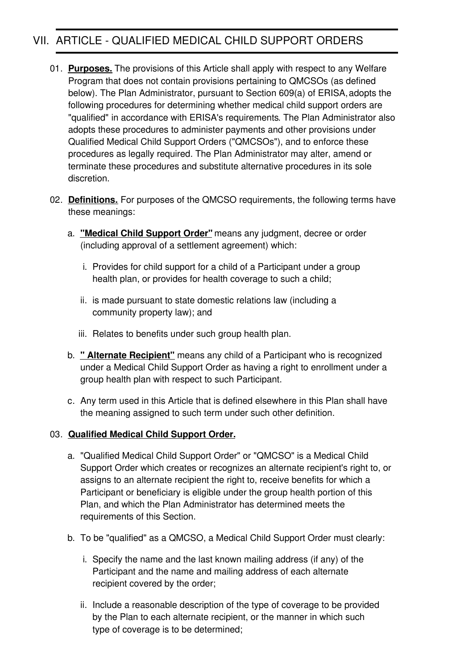# VII. ARTICLE - QUALIFIED MEDICAL CHILD SUPPORT ORDERS

- 01. **Purposes.** The provisions of this Article shall apply with respect to any Welfare Program that does not contain provisions pertaining to QMCSOs (as defined below). The Plan Administrator, pursuant to Section 609(a) of ERISA, adopts the following procedures for determining whether medical child support orders are "qualified" in accordance with ERISA's requirements. The Plan Administrator also adopts these procedures to administer payments and other provisions under Qualified Medical Child Support Orders ("QMCSOs"), and to enforce these procedures as legally required. The Plan Administrator may alter, amend or terminate these procedures and substitute alternative procedures in its sole discretion.
- 02. **Definitions.** For purposes of the QMCSO requirements, the following terms have these meanings:
	- a. **"Medical Child Support Order"** means any judgment, decree or order (including approval of a settlement agreement) which:
		- i. Provides for child support for a child of a Participant under a group health plan, or provides for health coverage to such a child;
		- ii. is made pursuant to state domestic relations law (including a community property law); and
		- iii. Relates to benefits under such group health plan.
	- b. **" Alternate Recipient"** means any child of a Participant who is recognized under a Medical Child Support Order as having a right to enrollment under a group health plan with respect to such Participant.
	- c. Any term used in this Article that is defined elsewhere in this Plan shall have the meaning assigned to such term under such other definition.

#### 03. **Qualified Medical Child Support Order.**

- a. "Qualified Medical Child Support Order" or "QMCSO" is a Medical Child Support Order which creates or recognizes an alternate recipient's right to, or assigns to an alternate recipient the right to, receive benefits for which a Participant or beneficiary is eligible under the group health portion of this Plan, and which the Plan Administrator has determined meets the requirements of this Section.
- b. To be "qualified" as a QMCSO, a Medical Child Support Order must clearly:
	- i. Specify the name and the last known mailing address (if any) of the Participant and the name and mailing address of each alternate recipient covered by the order;
	- ii. Include a reasonable description of the type of coverage to be provided by the Plan to each alternate recipient, or the manner in which such type of coverage is to be determined;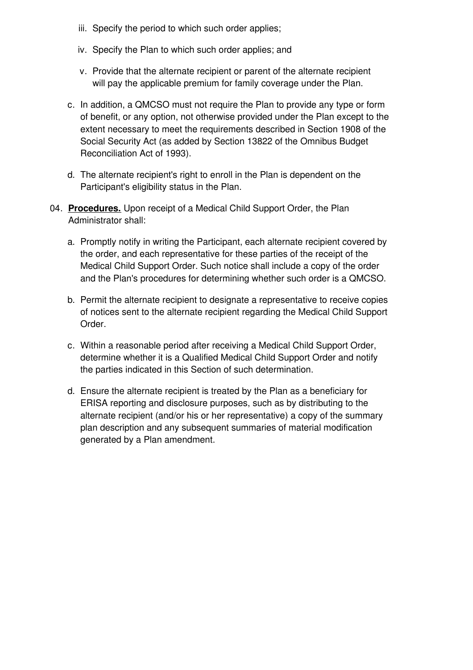- iii. Specify the period to which such order applies;
- iv. Specify the Plan to which such order applies; and
- v. Provide that the alternate recipient or parent of the alternate recipient will pay the applicable premium for family coverage under the Plan.
- c. In addition, a QMCSO must not require the Plan to provide any type or form of benefit, or any option, not otherwise provided under the Plan except to the extent necessary to meet the requirements described in Section 1908 of the Social Security Act (as added by Section 13822 of the Omnibus Budget Reconciliation Act of 1993).
- d. The alternate recipient's right to enroll in the Plan is dependent on the Participant's eligibility status in the Plan.
- 04. **Procedures.** Upon receipt of a Medical Child Support Order, the Plan Administrator shall:
	- a. Promptly notify in writing the Participant, each alternate recipient covered by the order, and each representative for these parties of the receipt of the Medical Child Support Order. Such notice shall include a copy of the order and the Plan's procedures for determining whether such order is a QMCSO.
	- b. Permit the alternate recipient to designate a representative to receive copies of notices sent to the alternate recipient regarding the Medical Child Support Order.
	- c. Within a reasonable period after receiving a Medical Child Support Order, determine whether it is a Qualified Medical Child Support Order and notify the parties indicated in this Section of such determination.
	- d. Ensure the alternate recipient is treated by the Plan as a beneficiary for ERISA reporting and disclosure purposes, such as by distributing to the alternate recipient (and/or his or her representative) a copy of the summary plan description and any subsequent summaries of material modification generated by a Plan amendment.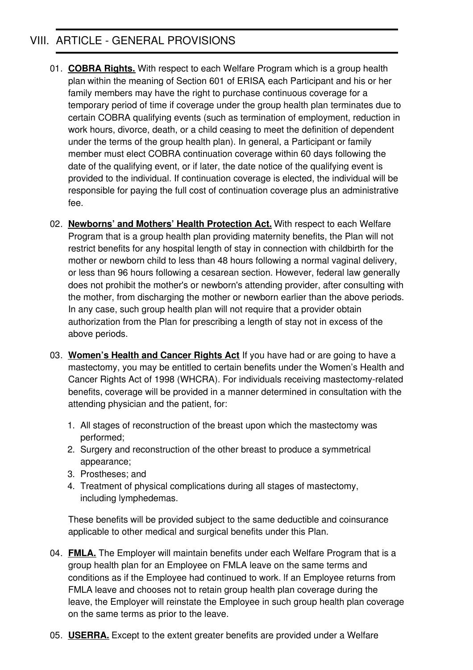# VIII. ARTICLE - GENERAL PROVISIONS

- 01. **COBRA Rights.** With respect to each Welfare Program which is a group health plan within the meaning of Section 601 of ERISA, each Participant and his or her family members may have the right to purchase continuous coverage for a temporary period of time if coverage under the group health plan terminates due to certain COBRA qualifying events (such as termination of employment, reduction in work hours, divorce, death, or a child ceasing to meet the definition of dependent under the terms of the group health plan). In general, a Participant or family member must elect COBRA continuation coverage within 60 days following the date of the qualifying event, or if later, the date notice of the qualifying event is provided to the individual. If continuation coverage is elected, the individual will be responsible for paying the full cost of continuation coverage plus an administrative fee.
- 02. **Newborns' and Mothers' Health Protection Act.** With respect to each Welfare Program that is a group health plan providing maternity benefits, the Plan will not restrict benefits for any hospital length of stay in connection with childbirth for the mother or newborn child to less than 48 hours following a normal vaginal delivery, or less than 96 hours following a cesarean section. However, federal law generally does not prohibit the mother's or newborn's attending provider, after consulting with the mother, from discharging the mother or newborn earlier than the above periods. In any case, such group health plan will not require that a provider obtain authorization from the Plan for prescribing a length of stay not in excess of the above periods.
- 03. **Women's Health and Cancer Rights Act** If you have had or are going to have a mastectomy, you may be entitled to certain benefits under the Women's Health and Cancer Rights Act of 1998 (WHCRA). For individuals receiving mastectomy-related benefits, coverage will be provided in a manner determined in consultation with the attending physician and the patient, for:
	- 1. All stages of reconstruction of the breast upon which the mastectomy was performed;
	- 2. Surgery and reconstruction of the other breast to produce a symmetrical appearance;
	- 3. Prostheses; and
	- 4. Treatment of physical complications during all stages of mastectomy, including lymphedemas.

These benefits will be provided subject to the same deductible and coinsurance applicable to other medical and surgical benefits under this Plan.

- 04. **FMLA.** The Employer will maintain benefits under each Welfare Program that is a group health plan for an Employee on FMLA leave on the same terms and conditions as if the Employee had continued to work. lf an Employee returns from FMLA leave and chooses not to retain group health plan coverage during the leave, the Employer will reinstate the Employee in such group health plan coverage on the same terms as prior to the leave.
- 05. **USERRA.** Except to the extent greater benefits are provided under a Welfare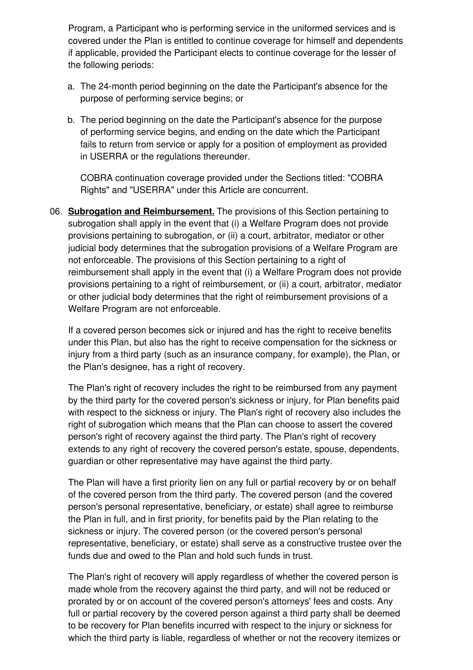Program, a Participant who is performing service in the uniformed services and is covered under the Plan is entitled to continue coverage for himself and dependents if applicable, provided the Participant elects to continue coverage for the lesser of the following periods:

- a. The 24-month period beginning on the date the Participant's absence for the purpose of performing service begins; or
- b. The period beginning on the date the Participant's absence for the purpose of performing service begins, and ending on the date which the Participant fails to return from service or apply for a position of employment as provided in USERRA or the regulations thereunder.

COBRA continuation coverage provided under the Sections titled: "COBRA Rights" and "USERRA" under this Article are concurrent.

06. **Subrogation and Reimbursement.** The provisions of this Section pertaining to subrogation shall apply in the event that (i) a Welfare Program does not provide provisions pertaining to subrogation, or (ii) a court, arbitrator, mediator or other judicial body determines that the subrogation provisions of a Welfare Program are not enforceable. The provisions of this Section pertaining to a right of reimbursement shall apply in the event that (i) a Welfare Program does not provide provisions pertaining to a right of reimbursement, or (ii) a court, arbitrator, mediator or other judicial body determines that the right of reimbursement provisions of a Welfare Program are not enforceable.

If a covered person becomes sick or injured and has the right to receive benefits under this Plan, but also has the right to receive compensation for the sickness or injury from a third party (such as an insurance company, for example), the Plan, or the Plan's designee, has a right of recovery.

The Plan's right of recovery includes the right to be reimbursed from any payment by the third party for the covered person's sickness or injury, for Plan benefits paid with respect to the sickness or injury. The Plan's right of recovery also includes the right of subrogation which means that the Plan can choose to assert the covered person's right of recovery against the third party. The Plan's right of recovery extends to any right of recovery the covered person's estate, spouse, dependents, guardian or other representative may have against the third party.

The Plan will have a first priority lien on any full or partial recovery by or on behalf of the covered person from the third party. The covered person (and the covered person's personal representative, beneficiary, or estate) shall agree to reimburse the Plan in full, and in first priority, for benefits paid by the Plan relating to the sickness or injury. The covered person (or the covered person's personal representative, beneficiary, or estate) shall serve as a constructive trustee over the funds due and owed to the Plan and hold such funds in trust.

The Plan's right of recovery will apply regardless of whether the covered person is made whole from the recovery against the third party, and will not be reduced or prorated by or on account of the covered person's attorneys' fees and costs. Any full or partial recovery by the covered person against a third party shall be deemed to be recovery for Plan benefits incurred with respect to the injury or sickness for which the third party is liable, regardless of whether or not the recovery itemizes or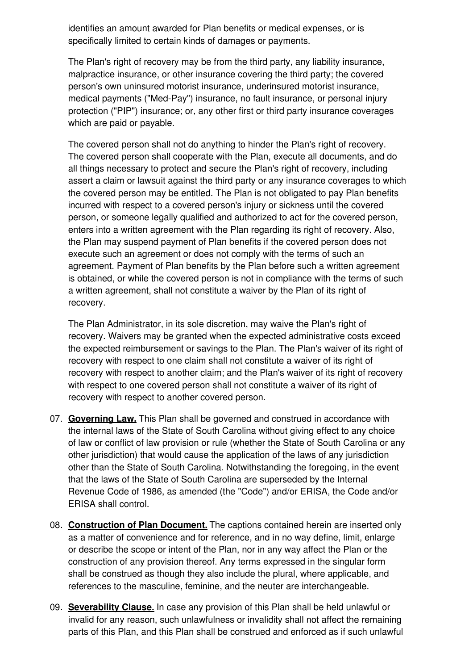identifies an amount awarded for Plan benefits or medical expenses, or is specifically limited to certain kinds of damages or payments.

The Plan's right of recovery may be from the third party, any liability insurance, malpractice insurance, or other insurance covering the third party; the covered person's own uninsured motorist insurance, underinsured motorist insurance, medical payments ("Med-Pay") insurance, no fault insurance, or personal injury protection ("PIP") insurance; or, any other first or third party insurance coverages which are paid or payable.

The covered person shall not do anything to hinder the Plan's right of recovery. The covered person shall cooperate with the Plan, execute all documents, and do all things necessary to protect and secure the Plan's right of recovery, including assert a claim or lawsuit against the third party or any insurance coverages to which the covered person may be entitled. The Plan is not obligated to pay Plan benefits incurred with respect to a covered person's injury or sickness until the covered person, or someone legally qualified and authorized to act for the covered person, enters into a written agreement with the Plan regarding its right of recovery. Also, the Plan may suspend payment of Plan benefits if the covered person does not execute such an agreement or does not comply with the terms of such an agreement. Payment of Plan benefits by the Plan before such a written agreement is obtained, or while the covered person is not in compliance with the terms of such a written agreement, shall not constitute a waiver by the Plan of its right of recovery.

The Plan Administrator, in its sole discretion, may waive the Plan's right of recovery. Waivers may be granted when the expected administrative costs exceed the expected reimbursement or savings to the Plan. The Plan's waiver of its right of recovery with respect to one claim shall not constitute a waiver of its right of recovery with respect to another claim; and the Plan's waiver of its right of recovery with respect to one covered person shall not constitute a waiver of its right of recovery with respect to another covered person.

- 07. **Governing Law.** This Plan shall be governed and construed in accordance with the internal laws of the State of South Carolina without giving effect to any choice of law or conflict of law provision or rule (whether the State of South Carolina or any other jurisdiction) that would cause the application of the laws of any jurisdiction other than the State of South Carolina. Notwithstanding the foregoing, in the event that the laws of the State of South Carolina are superseded by the Internal Revenue Code of 1986, as amended (the "Code") and/or ERISA, the Code and/or ERISA shall control.
- 08. **Construction of Plan Document.** The captions contained herein are inserted only as a matter of convenience and for reference, and in no way define, limit, enlarge or describe the scope or intent of the Plan, nor in any way affect the Plan or the construction of any provision thereof. Any terms expressed in the singular form shall be construed as though they also include the plural, where applicable, and references to the masculine, feminine, and the neuter are interchangeable.
- 09. **Severability Clause.** In case any provision of this Plan shall be held unlawful or invalid for any reason, such unlawfulness or invalidity shall not affect the remaining parts of this Plan, and this Plan shall be construed and enforced as if such unlawful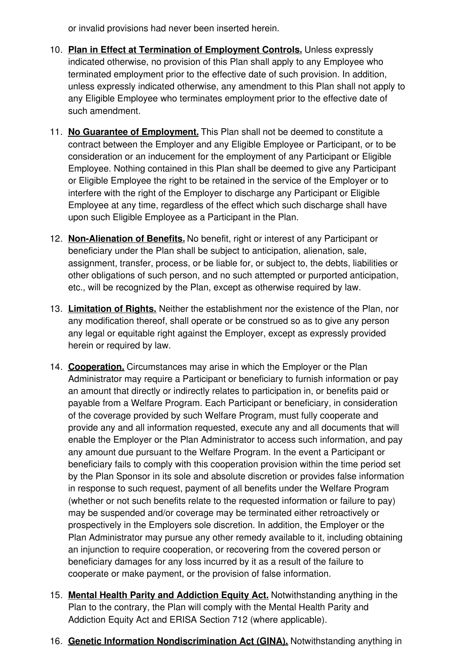or invalid provisions had never been inserted herein.

- 10. **Plan in Effect at Termination of Employment Controls.** Unless expressly indicated otherwise, no provision of this Plan shall apply to any Employee who terminated employment prior to the effective date of such provision. In addition, unless expressly indicated otherwise, any amendment to this Plan shall not apply to any Eligible Employee who terminates employment prior to the effective date of such amendment.
- 11. **No Guarantee of Employment.** This Plan shall not be deemed to constitute a contract between the Employer and any Eligible Employee or Participant, or to be consideration or an inducement for the employment of any Participant or Eligible Employee. Nothing contained in this Plan shall be deemed to give any Participant or Eligible Employee the right to be retained in the service of the Employer or to interfere with the right of the Employer to discharge any Participant or Eligible Employee at any time, regardless of the effect which such discharge shall have upon such Eligible Employee as a Participant in the Plan.
- 12. **Non-Alienation of Benefits.** No benefit, right or interest of any Participant or beneficiary under the Plan shall be subject to anticipation, alienation, sale, assignment, transfer, process, or be liable for, or subject to, the debts, liabilities or other obligations of such person, and no such attempted or purported anticipation, etc., will be recognized by the Plan, except as otherwise required by law.
- 13. **Limitation of Rights.** Neither the establishment nor the existence of the Plan, nor any modification thereof, shall operate or be construed so as to give any person any legal or equitable right against the Employer, except as expressly provided herein or required by law.
- 14. **Cooperation.** Circumstances may arise in which the Employer or the Plan Administrator may require a Participant or beneficiary to furnish information or pay an amount that directly or indirectly relates to participation in, or benefits paid or payable from a Welfare Program. Each Participant or beneficiary, in consideration of the coverage provided by such Welfare Program, must fully cooperate and provide any and all information requested, execute any and all documents that will enable the Employer or the Plan Administrator to access such information, and pay any amount due pursuant to the Welfare Program. In the event a Participant or beneficiary fails to comply with this cooperation provision within the time period set by the Plan Sponsor in its sole and absolute discretion or provides false information in response to such request, payment of all benefits under the Welfare Program (whether or not such benefits relate to the requested information or failure to pay) may be suspended and/or coverage may be terminated either retroactively or prospectively in the Employers sole discretion. In addition, the Employer or the Plan Administrator may pursue any other remedy available to it, including obtaining an injunction to require cooperation, or recovering from the covered person or beneficiary damages for any loss incurred by it as a result of the failure to cooperate or make payment, or the provision of false information.
- 15. **Mental Health Parity and Addiction Equity Act.** Notwithstanding anything in the Plan to the contrary, the Plan will comply with the Mental Health Parity and Addiction Equity Act and ERISA Section 712 (where applicable).
- 16. **Genetic Information Nondiscrimination Act (GINA).** Notwithstanding anything in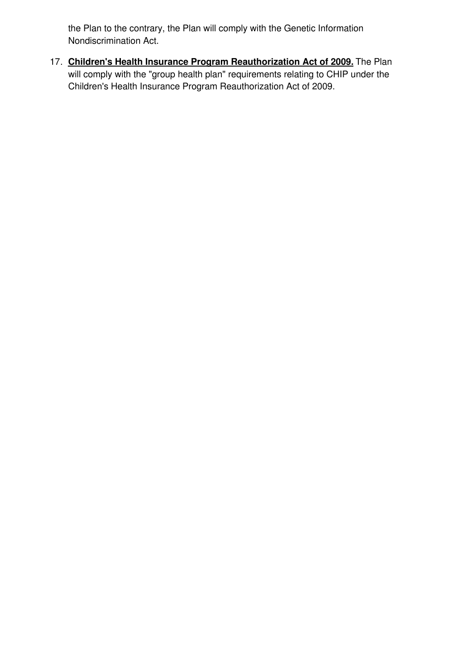the Plan to the contrary, the Plan will comply with the Genetic Information Nondiscrimination Act.

17. **Children's Health Insurance Program Reauthorization Act of 2009.** The Plan will comply with the "group health plan" requirements relating to CHIP under the Children's Health Insurance Program Reauthorization Act of 2009.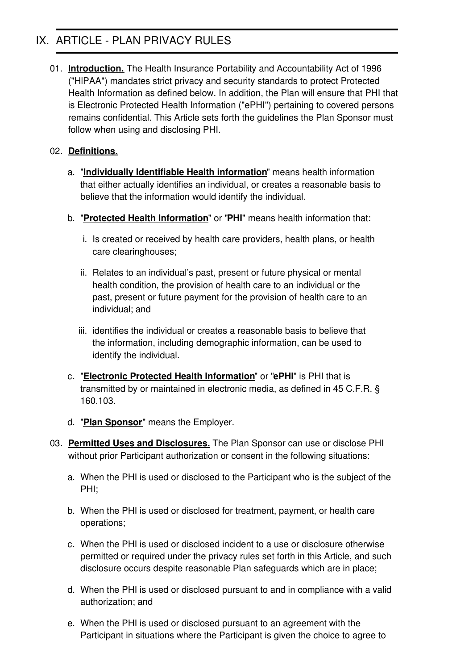# IX. ARTICLE - PLAN PRIVACY RULES

01. **Introduction.** The Health Insurance Portability and Accountability Act of 1996 ("HlPAA") mandates strict privacy and security standards to protect Protected Health Information as defined below. In addition, the Plan will ensure that PHI that is Electronic Protected Health Information ("ePHI") pertaining to covered persons remains confidential. This Article sets forth the guidelines the Plan Sponsor must follow when using and disclosing PHI.

#### 02. **Definitions.**

- a. "**Individually Identifiable Health information**" means health information that either actually identifies an individual, or creates a reasonable basis to believe that the information would identify the individual.
- b. "**Protected Health Information**" or "**PHI**" means health information that:
	- i. Is created or received by health care providers, health plans, or health care clearinghouses;
	- ii. Relates to an individual's past, present or future physical or mental health condition, the provision of health care to an individual or the past, present or future payment for the provision of health care to an individual; and
	- iii. identifies the individual or creates a reasonable basis to believe that the information, including demographic information, can be used to identify the individual.
- c. "**Electronic Protected Health Information**" or "**ePHI**" is PHI that is transmitted by or maintained in electronic media, as defined in 45 C.F.R. § 160.103.
- d. "**Plan Sponsor**" means the Employer.
- 03. **Permitted Uses and Disclosures.** The Plan Sponsor can use or disclose PHI without prior Participant authorization or consent in the following situations:
	- a. When the PHI is used or disclosed to the Participant who is the subject of the PHI;
	- b. When the PHI is used or disclosed for treatment, payment, or health care operations;
	- c. When the PHI is used or disclosed incident to a use or disclosure otherwise permitted or required under the privacy rules set forth in this Article, and such disclosure occurs despite reasonable Plan safeguards which are in place;
	- d. When the PHI is used or disclosed pursuant to and in compliance with a valid authorization; and
	- e. When the PHI is used or disclosed pursuant to an agreement with the Participant in situations where the Participant is given the choice to agree to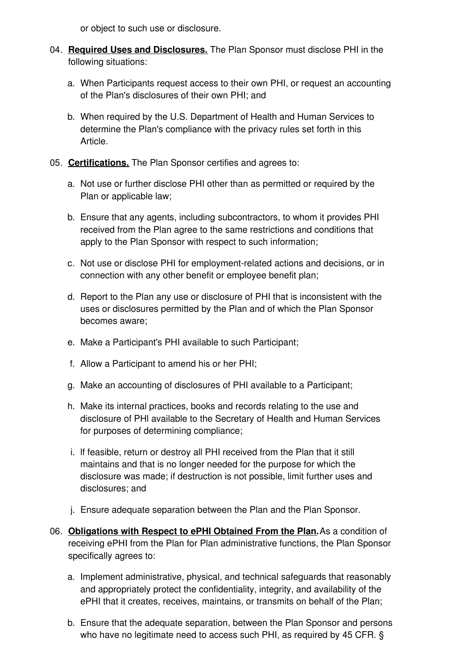or object to such use or disclosure.

- 04. **Required Uses and Disclosures.** The Plan Sponsor must disclose PHI in the following situations:
	- a. When Participants request access to their own PHI, or request an accounting of the Plan's disclosures of their own PHI; and
	- b. When required by the U.S. Department of Health and Human Services to determine the Plan's compliance with the privacy rules set forth in this Article.
- 05. **Certifications.** The Plan Sponsor certifies and agrees to:
	- a. Not use or further disclose PHI other than as permitted or required by the Plan or applicable law;
	- b. Ensure that any agents, including subcontractors, to whom it provides PHI received from the Plan agree to the same restrictions and conditions that apply to the Plan Sponsor with respect to such information;
	- c. Not use or disclose PHI for employment-related actions and decisions, or in connection with any other benefit or employee benefit plan;
	- d. Report to the Plan any use or disclosure of PHI that is inconsistent with the uses or disclosures permitted by the Plan and of which the Plan Sponsor becomes aware;
	- e. Make a Participant's PHI available to such Participant;
	- f. Allow a Participant to amend his or her PHI;
	- g. Make an accounting of disclosures of PHI available to a Participant;
	- h. Make its internal practices, books and records relating to the use and disclosure of PHl available to the Secretary of Health and Human Services for purposes of determining compliance;
	- i. lf feasible, return or destroy all PHI received from the Plan that it still maintains and that is no longer needed for the purpose for which the disclosure was made; if destruction is not possible, limit further uses and disclosures; and
	- j. Ensure adequate separation between the Plan and the Plan Sponsor.
- 06. **Obligations with Respect to ePHI Obtained From the Plan.**As a condition of receiving ePHI from the Plan for Plan administrative functions, the Plan Sponsor specifically agrees to:
	- a. Implement administrative, physical, and technical safeguards that reasonably and appropriately protect the confidentiality, integrity, and availability of the ePHI that it creates, receives, maintains, or transmits on behalf of the Plan;
	- b. Ensure that the adequate separation, between the Plan Sponsor and persons who have no legitimate need to access such PHI, as required by 45 CFR. §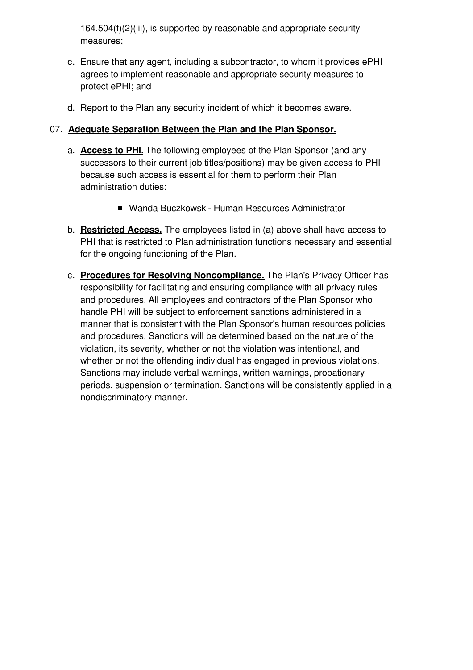164.504(f)(2)(iii), is supported by reasonable and appropriate security measures;

- c. Ensure that any agent, including a subcontractor, to whom it provides ePHI agrees to implement reasonable and appropriate security measures to protect ePHI; and
- d. Report to the Plan any security incident of which it becomes aware.

#### 07. **Adequate Separation Between the Plan and the Plan Sponsor.**

- a. **Access to PHI.** The following employees of the Plan Sponsor (and any successors to their current job titles/positions) may be given access to PHI because such access is essential for them to perform their Plan administration duties:
	- Wanda Buczkowski- Human Resources Administrator
- b. **Restricted Access.** The employees listed in (a) above shall have access to PHI that is restricted to Plan administration functions necessary and essential for the ongoing functioning of the Plan.
- c. **Procedures for Resolving Noncompliance.** The Plan's Privacy Officer has responsibility for facilitating and ensuring compliance with all privacy rules and procedures. All employees and contractors of the Plan Sponsor who handle PHI will be subject to enforcement sanctions administered in a manner that is consistent with the Plan Sponsor's human resources policies and procedures. Sanctions will be determined based on the nature of the violation, its severity, whether or not the violation was intentional, and whether or not the offending individual has engaged in previous violations. Sanctions may include verbal warnings, written warnings, probationary periods, suspension or termination. Sanctions will be consistently applied in a nondiscriminatory manner.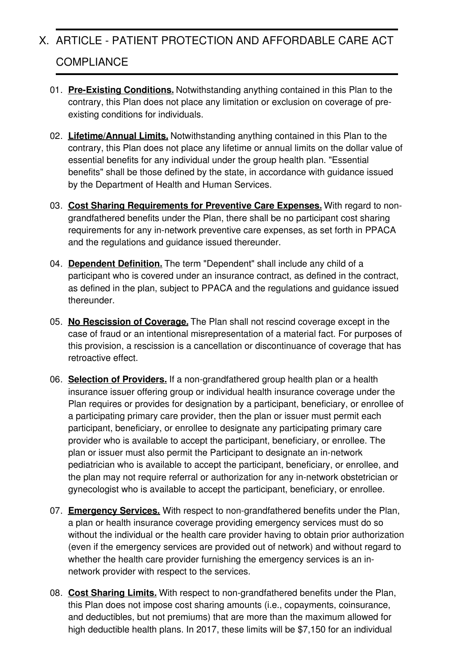# X. ARTICLE - PATIENT PROTECTION AND AFFORDABLE CARE ACT **COMPLIANCE**

- 01. **Pre-Existing Conditions.** Notwithstanding anything contained in this Plan to the contrary, this Plan does not place any limitation or exclusion on coverage of preexisting conditions for individuals.
- 02. **Lifetime/Annual Limits.** Notwithstanding anything contained in this Plan to the contrary, this Plan does not place any lifetime or annual limits on the dollar value of essential benefits for any individual under the group health plan. "Essential benefits" shall be those defined by the state, in accordance with guidance issued by the Department of Health and Human Services.
- 03. **Cost Sharing Requirements for Preventive Care Expenses.** With regard to nongrandfathered benefits under the Plan, there shall be no participant cost sharing requirements for any in-network preventive care expenses, as set forth in PPACA and the regulations and guidance issued thereunder.
- 04. **Dependent Definition.** The term "Dependent" shall include any child of a participant who is covered under an insurance contract, as defined in the contract, as defined in the plan, subject to PPACA and the regulations and guidance issued thereunder.
- 05. **No Rescission of Coverage.** The Plan shall not rescind coverage except in the case of fraud or an intentional misrepresentation of a material fact. For purposes of this provision, a rescission is a cancellation or discontinuance of coverage that has retroactive effect.
- 06. **Selection of Providers.** If a non-grandfathered group health plan or a health insurance issuer offering group or individual health insurance coverage under the Plan requires or provides for designation by a participant, beneficiary, or enrollee of a participating primary care provider, then the plan or issuer must permit each participant, beneficiary, or enrollee to designate any participating primary care provider who is available to accept the participant, beneficiary, or enrollee. The plan or issuer must also permit the Participant to designate an in-network pediatrician who is available to accept the participant, beneficiary, or enrollee, and the plan may not require referral or authorization for any in-network obstetrician or gynecologist who is available to accept the participant, beneficiary, or enrollee.
- 07. **Emergency Services.** With respect to non-grandfathered benefits under the Plan, a plan or health insurance coverage providing emergency services must do so without the individual or the health care provider having to obtain prior authorization (even if the emergency services are provided out of network) and without regard to whether the health care provider furnishing the emergency services is an innetwork provider with respect to the services.
- 08. **Cost Sharing Limits.** With respect to non-grandfathered benefits under the Plan, this Plan does not impose cost sharing amounts (i.e., copayments, coinsurance, and deductibles, but not premiums) that are more than the maximum allowed for high deductible health plans. In 2017, these limits will be \$7,150 for an individual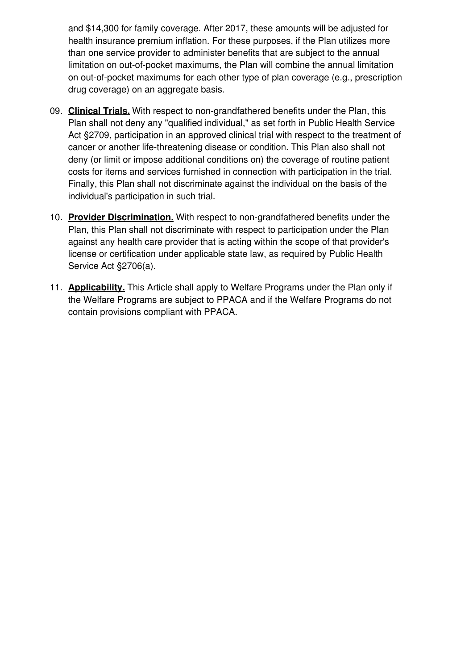and \$14,300 for family coverage. After 2017, these amounts will be adjusted for health insurance premium inflation. For these purposes, if the Plan utilizes more than one service provider to administer benefits that are subject to the annual limitation on out-of-pocket maximums, the Plan will combine the annual limitation on out-of-pocket maximums for each other type of plan coverage (e.g., prescription drug coverage) on an aggregate basis.

- 09. **Clinical Trials.** With respect to non-grandfathered benefits under the Plan, this Plan shall not deny any "qualified individual," as set forth in Public Health Service Act §2709, participation in an approved clinical trial with respect to the treatment of cancer or another life-threatening disease or condition. This Plan also shall not deny (or limit or impose additional conditions on) the coverage of routine patient costs for items and services furnished in connection with participation in the trial. Finally, this Plan shall not discriminate against the individual on the basis of the individual's participation in such trial.
- 10. **Provider Discrimination.** With respect to non-grandfathered benefits under the Plan, this Plan shall not discriminate with respect to participation under the Plan against any health care provider that is acting within the scope of that provider's license or certification under applicable state law, as required by Public Health Service Act §2706(a).
- 11. **Applicability.** This Article shall apply to Welfare Programs under the Plan only if the Welfare Programs are subject to PPACA and if the Welfare Programs do not contain provisions compliant with PPACA.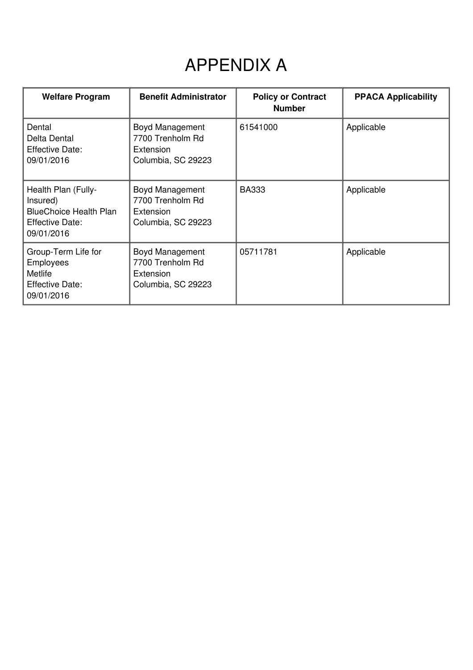# APPENDIX A

| <b>Welfare Program</b>                                                                                   | <b>Benefit Administrator</b>                                                  | <b>Policy or Contract</b><br><b>Number</b> | <b>PPACA Applicability</b> |
|----------------------------------------------------------------------------------------------------------|-------------------------------------------------------------------------------|--------------------------------------------|----------------------------|
| Dental<br>Delta Dental<br><b>Effective Date:</b><br>09/01/2016                                           | <b>Boyd Management</b><br>7700 Trenholm Rd<br>Extension<br>Columbia, SC 29223 | 61541000                                   | Applicable                 |
| Health Plan (Fully-<br>Insured)<br><b>BlueChoice Health Plan</b><br><b>Effective Date:</b><br>09/01/2016 | <b>Boyd Management</b><br>7700 Trenholm Rd<br>Extension<br>Columbia, SC 29223 | <b>BA333</b>                               | Applicable                 |
| Group-Term Life for<br>Employees<br>Metlife<br><b>Effective Date:</b><br>09/01/2016                      | <b>Boyd Management</b><br>7700 Trenholm Rd<br>Extension<br>Columbia, SC 29223 | 05711781                                   | Applicable                 |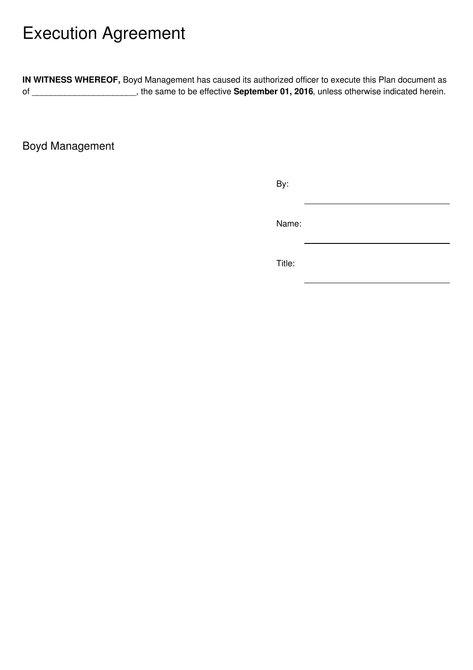# Execution Agreement

**IN WITNESS WHEREOF,** Boyd Management has caused its authorized officer to execute this Plan document as of \_\_\_\_\_\_\_\_\_\_\_\_\_\_\_\_\_\_\_\_\_\_, the same to be effective **September 01, 2016**, unless otherwise indicated herein.

Boyd Management

By:

Name:

Title: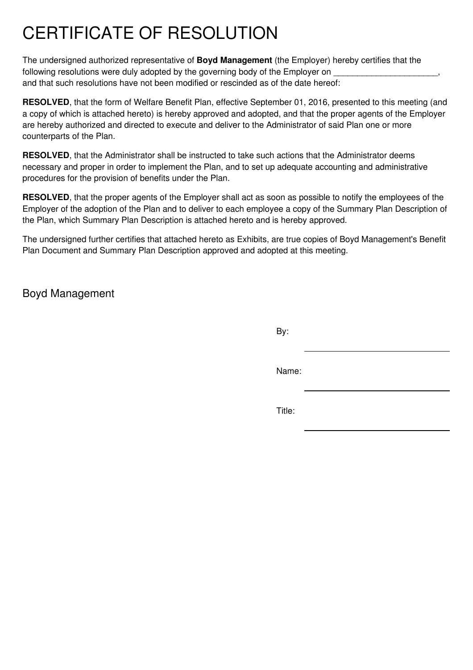# CERTIFICATE OF RESOLUTION

The undersigned authorized representative of **Boyd Management** (the Employer) hereby certifies that the following resolutions were duly adopted by the governing body of the Employer on and that such resolutions have not been modified or rescinded as of the date hereof:

**RESOLVED**, that the form of Welfare Benefit Plan, effective September 01, 2016, presented to this meeting (and a copy of which is attached hereto) is hereby approved and adopted, and that the proper agents of the Employer are hereby authorized and directed to execute and deliver to the Administrator of said Plan one or more counterparts of the Plan.

**RESOLVED**, that the Administrator shall be instructed to take such actions that the Administrator deems necessary and proper in order to implement the Plan, and to set up adequate accounting and administrative procedures for the provision of benefits under the Plan.

**RESOLVED**, that the proper agents of the Employer shall act as soon as possible to notify the employees of the Employer of the adoption of the Plan and to deliver to each employee a copy of the Summary Plan Description of the Plan, which Summary Plan Description is attached hereto and is hereby approved.

The undersigned further certifies that attached hereto as Exhibits, are true copies of Boyd Management's Benefit Plan Document and Summary Plan Description approved and adopted at this meeting.

Boyd Management

By:

Name:

Title: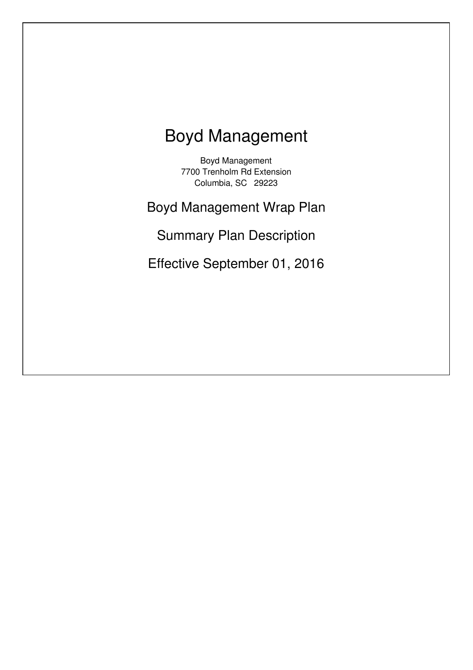# Boyd Management

Boyd Management 7700 Trenholm Rd Extension Columbia, SC 29223

Boyd Management Wrap Plan

Summary Plan Description

Effective September 01, 2016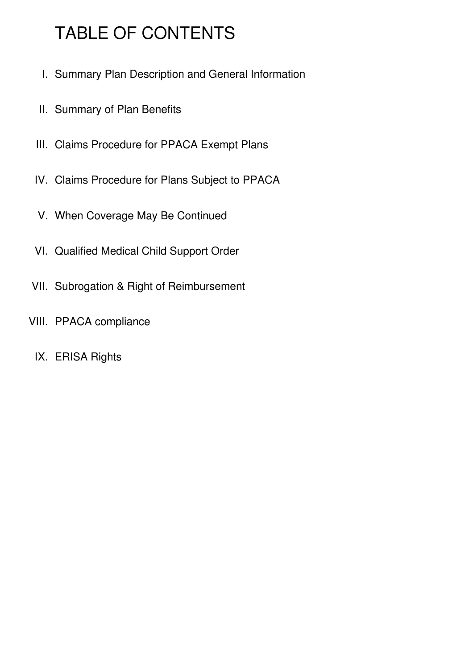# TABLE OF CONTENTS

- I. Summary Plan Description and General Information
- II. Summary of Plan Benefits
- III. Claims Procedure for PPACA Exempt Plans
- IV. Claims Procedure for Plans Subject to PPACA
- V. When Coverage May Be Continued
- VI. Qualified Medical Child Support Order
- VII. Subrogation & Right of Reimbursement
- VIII. PPACA compliance
	- IX. ERISA Rights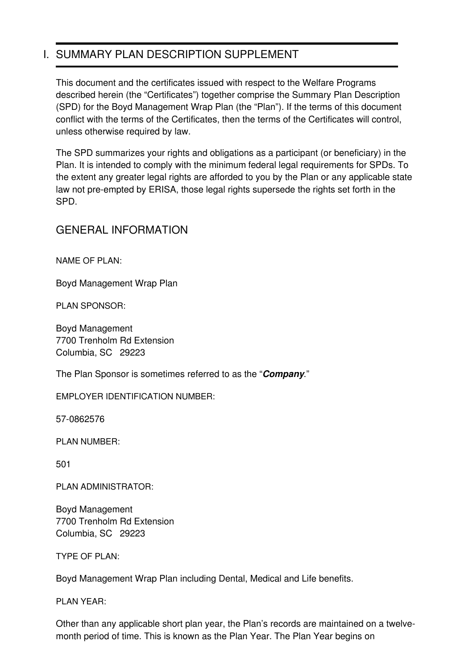# I. SUMMARY PLAN DESCRIPTION SUPPLEMENT

This document and the certificates issued with respect to the Welfare Programs described herein (the "Certificates") together comprise the Summary Plan Description (SPD) for the Boyd Management Wrap Plan (the "Plan"). If the terms of this document conflict with the terms of the Certificates, then the terms of the Certificates will control, unless otherwise required by law.

The SPD summarizes your rights and obligations as a participant (or beneficiary) in the Plan. It is intended to comply with the minimum federal legal requirements for SPDs. To the extent any greater legal rights are afforded to you by the Plan or any applicable state law not pre-empted by ERISA, those legal rights supersede the rights set forth in the SPD.

# GENERAL INFORMATION

NAME OF PLAN:

Boyd Management Wrap Plan

PLAN SPONSOR:

Boyd Management 7700 Trenholm Rd Extension Columbia, SC 29223

The Plan Sponsor is sometimes referred to as the "*Company*."

EMPLOYER IDENTIFICATION NUMBER:

57-0862576

PLAN NUMBER:

501

PLAN ADMINISTRATOR:

Boyd Management 7700 Trenholm Rd Extension Columbia, SC 29223

TYPE OF PLAN:

Boyd Management Wrap Plan including Dental, Medical and Life benefits.

PLAN YEAR:

Other than any applicable short plan year, the Plan's records are maintained on a twelvemonth period of time. This is known as the Plan Year. The Plan Year begins on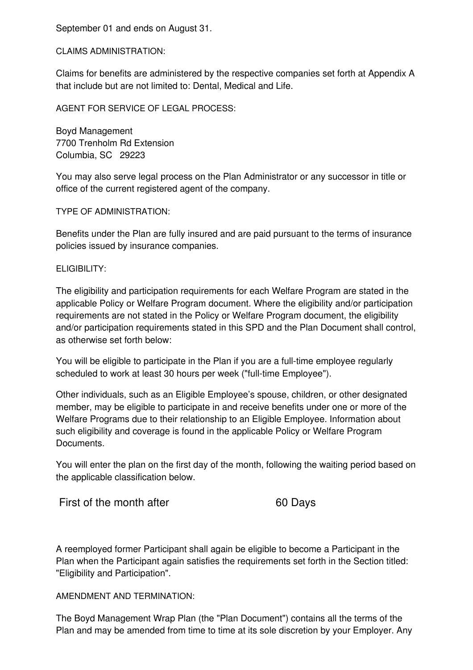September 01 and ends on August 31.

CLAIMS ADMINISTRATION:

Claims for benefits are administered by the respective companies set forth at Appendix A that include but are not limited to: Dental, Medical and Life.

AGENT FOR SERVICE OF LEGAL PROCESS:

Boyd Management 7700 Trenholm Rd Extension Columbia, SC 29223

You may also serve legal process on the Plan Administrator or any successor in title or office of the current registered agent of the company.

TYPE OF ADMINISTRATION:

Benefits under the Plan are fully insured and are paid pursuant to the terms of insurance policies issued by insurance companies.

#### ELIGIBILITY:

The eligibility and participation requirements for each Welfare Program are stated in the applicable Policy or Welfare Program document. Where the eligibility and/or participation requirements are not stated in the Policy or Welfare Program document, the eligibility and/or participation requirements stated in this SPD and the Plan Document shall control, as otherwise set forth below:

You will be eligible to participate in the Plan if you are a full-time employee regularly scheduled to work at least 30 hours per week ("full-time Employee").

Other individuals, such as an Eligible Employee's spouse, children, or other designated member, may be eligible to participate in and receive benefits under one or more of the Welfare Programs due to their relationship to an Eligible Employee. Information about such eligibility and coverage is found in the applicable Policy or Welfare Program Documents.

You will enter the plan on the first day of the month, following the waiting period based on the applicable classification below.

First of the month after **60 Days** 

A reemployed former Participant shall again be eligible to become a Participant in the Plan when the Participant again satisfies the requirements set forth in the Section titled: "Eligibility and Participation".

AMENDMENT AND TERMINATION:

The Boyd Management Wrap Plan (the "Plan Document") contains all the terms of the Plan and may be amended from time to time at its sole discretion by your Employer. Any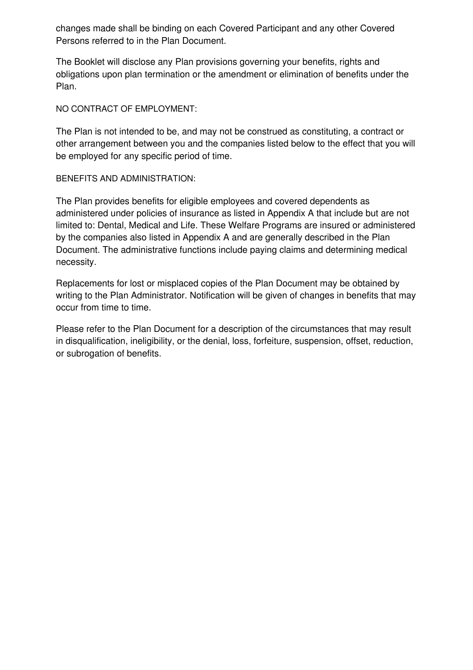changes made shall be binding on each Covered Participant and any other Covered Persons referred to in the Plan Document.

The Booklet will disclose any Plan provisions governing your benefits, rights and obligations upon plan termination or the amendment or elimination of benefits under the Plan.

NO CONTRACT OF EMPLOYMENT:

The Plan is not intended to be, and may not be construed as constituting, a contract or other arrangement between you and the companies listed below to the effect that you will be employed for any specific period of time.

#### BENEFITS AND ADMINISTRATION:

The Plan provides benefits for eligible employees and covered dependents as administered under policies of insurance as listed in Appendix A that include but are not limited to: Dental, Medical and Life. These Welfare Programs are insured or administered by the companies also listed in Appendix A and are generally described in the Plan Document. The administrative functions include paying claims and determining medical necessity.

Replacements for lost or misplaced copies of the Plan Document may be obtained by writing to the Plan Administrator. Notification will be given of changes in benefits that may occur from time to time.

Please refer to the Plan Document for a description of the circumstances that may result in disqualification, ineligibility, or the denial, loss, forfeiture, suspension, offset, reduction, or subrogation of benefits.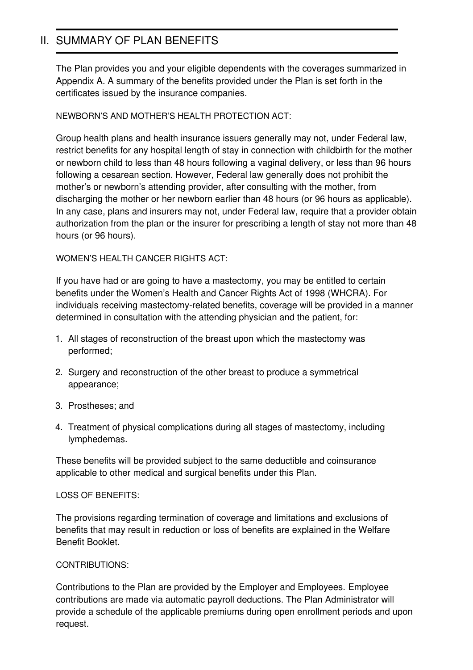# II. SUMMARY OF PLAN BENEFITS

The Plan provides you and your eligible dependents with the coverages summarized in Appendix A. A summary of the benefits provided under the Plan is set forth in the certificates issued by the insurance companies.

#### NEWBORN'S AND MOTHER'S HEALTH PROTECTION ACT:

Group health plans and health insurance issuers generally may not, under Federal law, restrict benefits for any hospital length of stay in connection with childbirth for the mother or newborn child to less than 48 hours following a vaginal delivery, or less than 96 hours following a cesarean section. However, Federal law generally does not prohibit the mother's or newborn's attending provider, after consulting with the mother, from discharging the mother or her newborn earlier than 48 hours (or 96 hours as applicable). In any case, plans and insurers may not, under Federal law, require that a provider obtain authorization from the plan or the insurer for prescribing a length of stay not more than 48 hours (or 96 hours).

#### WOMEN'S HEALTH CANCER RIGHTS ACT:

If you have had or are going to have a mastectomy, you may be entitled to certain benefits under the Women's Health and Cancer Rights Act of 1998 (WHCRA). For individuals receiving mastectomy-related benefits, coverage will be provided in a manner determined in consultation with the attending physician and the patient, for:

- 1. All stages of reconstruction of the breast upon which the mastectomy was performed;
- 2. Surgery and reconstruction of the other breast to produce a symmetrical appearance;
- 3. Prostheses; and
- 4. Treatment of physical complications during all stages of mastectomy, including lymphedemas.

These benefits will be provided subject to the same deductible and coinsurance applicable to other medical and surgical benefits under this Plan.

#### LOSS OF BENEFITS:

The provisions regarding termination of coverage and limitations and exclusions of benefits that may result in reduction or loss of benefits are explained in the Welfare Benefit Booklet.

#### CONTRIBUTIONS:

Contributions to the Plan are provided by the Employer and Employees. Employee contributions are made via automatic payroll deductions. The Plan Administrator will provide a schedule of the applicable premiums during open enrollment periods and upon request.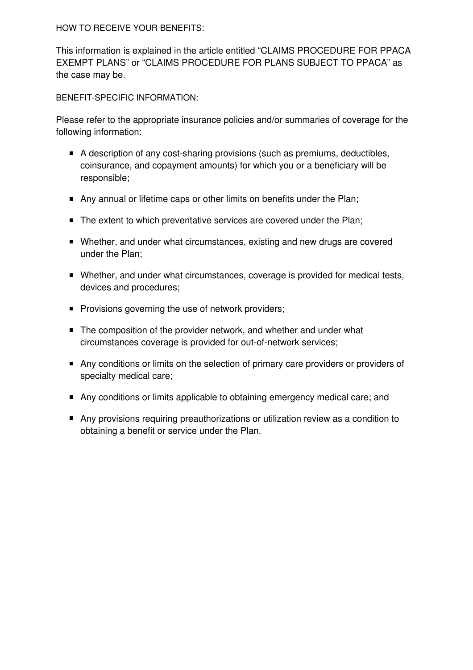HOW TO RECEIVE YOUR BENEFITS:

This information is explained in the article entitled "CLAIMS PROCEDURE FOR PPACA EXEMPT PLANS" or "CLAIMS PROCEDURE FOR PLANS SUBJECT TO PPACA" as the case may be.

#### BENEFIT-SPECIFIC INFORMATION:

Please refer to the appropriate insurance policies and/or summaries of coverage for the following information:

- A description of any cost-sharing provisions (such as premiums, deductibles, coinsurance, and copayment amounts) for which you or a beneficiary will be responsible;
- Any annual or lifetime caps or other limits on benefits under the Plan;
- The extent to which preventative services are covered under the Plan;
- Whether, and under what circumstances, existing and new drugs are covered under the Plan;
- Whether, and under what circumstances, coverage is provided for medical tests, devices and procedures;
- **Provisions governing the use of network providers;**
- The composition of the provider network, and whether and under what circumstances coverage is provided for out-of-network services;
- Any conditions or limits on the selection of primary care providers or providers of specialty medical care;
- Any conditions or limits applicable to obtaining emergency medical care; and
- Any provisions requiring preauthorizations or utilization review as a condition to obtaining a benefit or service under the Plan.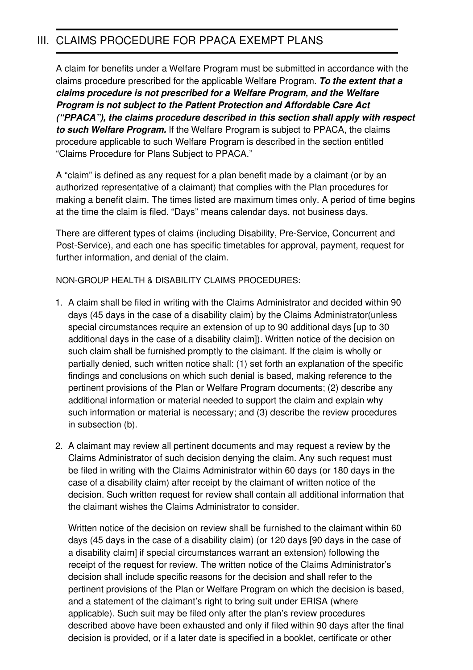# III. CLAIMS PROCEDURE FOR PPACA EXEMPT PLANS

A claim for benefits under a Welfare Program must be submitted in accordance with the claims procedure prescribed for the applicable Welfare Program. *To the extent that a claims procedure is not prescribed for a Welfare Program, and the Welfare Program is not subject to the Patient Protection and Affordable Care Act ("PPACA"), the claims procedure described in this section shall apply with respect to such Welfare Program.* If the Welfare Program is subject to PPACA, the claims procedure applicable to such Welfare Program is described in the section entitled "Claims Procedure for Plans Subject to PPACA."

A "claim" is defined as any request for a plan benefit made by a claimant (or by an authorized representative of a claimant) that complies with the Plan procedures for making a benefit claim. The times listed are maximum times only. A period of time begins at the time the claim is filed. "Days" means calendar days, not business days.

There are different types of claims (including Disability, Pre-Service, Concurrent and Post-Service), and each one has specific timetables for approval, payment, request for further information, and denial of the claim.

NON-GROUP HEALTH & DISABILITY CLAIMS PROCEDURES:

- 1. A claim shall be filed in writing with the Claims Administrator and decided within 90 days (45 days in the case of a disability claim) by the Claims Administrator(unless special circumstances require an extension of up to 90 additional days [up to 30 additional days in the case of a disability claim]). Written notice of the decision on such claim shall be furnished promptly to the claimant. If the claim is wholly or partially denied, such written notice shall: (1) set forth an explanation of the specific findings and conclusions on which such denial is based, making reference to the pertinent provisions of the Plan or Welfare Program documents; (2) describe any additional information or material needed to support the claim and explain why such information or material is necessary; and (3) describe the review procedures in subsection (b).
- 2. A claimant may review all pertinent documents and may request a review by the Claims Administrator of such decision denying the claim. Any such request must be filed in writing with the Claims Administrator within 60 days (or 180 days in the case of a disability claim) after receipt by the claimant of written notice of the decision. Such written request for review shall contain all additional information that the claimant wishes the Claims Administrator to consider.

Written notice of the decision on review shall be furnished to the claimant within 60 days (45 days in the case of a disability claim) (or 120 days [90 days in the case of a disability claim] if special circumstances warrant an extension) following the receipt of the request for review. The written notice of the Claims Administrator's decision shall include specific reasons for the decision and shall refer to the pertinent provisions of the Plan or Welfare Program on which the decision is based, and a statement of the claimant's right to bring suit under ERISA (where applicable). Such suit may be filed only after the plan's review procedures described above have been exhausted and only if filed within 90 days after the final decision is provided, or if a later date is specified in a booklet, certificate or other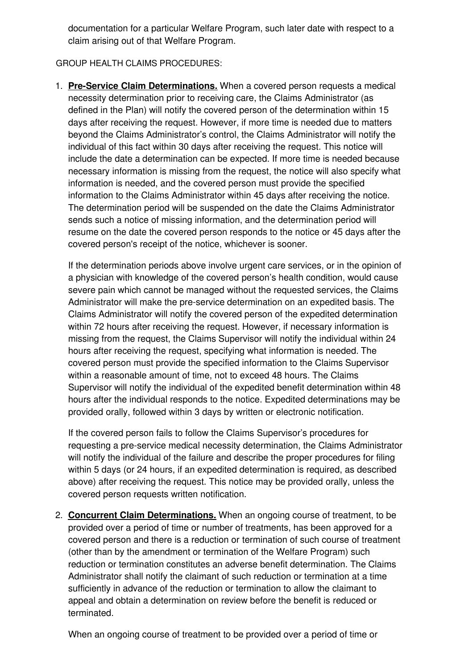documentation for a particular Welfare Program, such later date with respect to a claim arising out of that Welfare Program.

#### GROUP HEALTH CLAIMS PROCEDURES:

1. **Pre-Service Claim Determinations.** When a covered person requests a medical necessity determination prior to receiving care, the Claims Administrator (as defined in the Plan) will notify the covered person of the determination within 15 days after receiving the request. However, if more time is needed due to matters beyond the Claims Administrator's control, the Claims Administrator will notify the individual of this fact within 30 days after receiving the request. This notice will include the date a determination can be expected. If more time is needed because necessary information is missing from the request, the notice will also specify what information is needed, and the covered person must provide the specified information to the Claims Administrator within 45 days after receiving the notice. The determination period will be suspended on the date the Claims Administrator sends such a notice of missing information, and the determination period will resume on the date the covered person responds to the notice or 45 days after the covered person's receipt of the notice, whichever is sooner.

If the determination periods above involve urgent care services, or in the opinion of a physician with knowledge of the covered person's health condition, would cause severe pain which cannot be managed without the requested services, the Claims Administrator will make the pre-service determination on an expedited basis. The Claims Administrator will notify the covered person of the expedited determination within 72 hours after receiving the request. However, if necessary information is missing from the request, the Claims Supervisor will notify the individual within 24 hours after receiving the request, specifying what information is needed. The covered person must provide the specified information to the Claims Supervisor within a reasonable amount of time, not to exceed 48 hours. The Claims Supervisor will notify the individual of the expedited benefit determination within 48 hours after the individual responds to the notice. Expedited determinations may be provided orally, followed within 3 days by written or electronic notification.

If the covered person fails to follow the Claims Supervisor's procedures for requesting a pre-service medical necessity determination, the Claims Administrator will notify the individual of the failure and describe the proper procedures for filing within 5 days (or 24 hours, if an expedited determination is required, as described above) after receiving the request. This notice may be provided orally, unless the covered person requests written notification.

2. **Concurrent Claim Determinations.** When an ongoing course of treatment, to be provided over a period of time or number of treatments, has been approved for a covered person and there is a reduction or termination of such course of treatment (other than by the amendment or termination of the Welfare Program) such reduction or termination constitutes an adverse benefit determination. The Claims Administrator shall notify the claimant of such reduction or termination at a time sufficiently in advance of the reduction or termination to allow the claimant to appeal and obtain a determination on review before the benefit is reduced or terminated.

When an ongoing course of treatment to be provided over a period of time or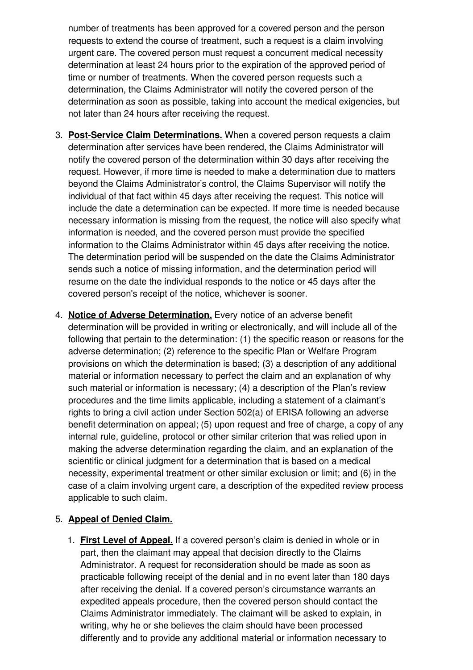number of treatments has been approved for a covered person and the person requests to extend the course of treatment, such a request is a claim involving urgent care. The covered person must request a concurrent medical necessity determination at least 24 hours prior to the expiration of the approved period of time or number of treatments. When the covered person requests such a determination, the Claims Administrator will notify the covered person of the determination as soon as possible, taking into account the medical exigencies, but not later than 24 hours after receiving the request.

- 3. **Post-Service Claim Determinations.** When a covered person requests a claim determination after services have been rendered, the Claims Administrator will notify the covered person of the determination within 30 days after receiving the request. However, if more time is needed to make a determination due to matters beyond the Claims Administrator's control, the Claims Supervisor will notify the individual of that fact within 45 days after receiving the request. This notice will include the date a determination can be expected. If more time is needed because necessary information is missing from the request, the notice will also specify what information is needed, and the covered person must provide the specified information to the Claims Administrator within 45 days after receiving the notice. The determination period will be suspended on the date the Claims Administrator sends such a notice of missing information, and the determination period will resume on the date the individual responds to the notice or 45 days after the covered person's receipt of the notice, whichever is sooner.
- 4. **Notice of Adverse Determination.** Every notice of an adverse benefit determination will be provided in writing or electronically, and will include all of the following that pertain to the determination: (1) the specific reason or reasons for the adverse determination; (2) reference to the specific Plan or Welfare Program provisions on which the determination is based; (3) a description of any additional material or information necessary to perfect the claim and an explanation of why such material or information is necessary; (4) a description of the Plan's review procedures and the time limits applicable, including a statement of a claimant's rights to bring a civil action under Section 502(a) of ERISA following an adverse benefit determination on appeal; (5) upon request and free of charge, a copy of any internal rule, guideline, protocol or other similar criterion that was relied upon in making the adverse determination regarding the claim, and an explanation of the scientific or clinical judgment for a determination that is based on a medical necessity, experimental treatment or other similar exclusion or limit; and (6) in the case of a claim involving urgent care, a description of the expedited review process applicable to such claim.

#### 5. **Appeal of Denied Claim.**

1. **First Level of Appeal.** If a covered person's claim is denied in whole or in part, then the claimant may appeal that decision directly to the Claims Administrator. A request for reconsideration should be made as soon as practicable following receipt of the denial and in no event later than 180 days after receiving the denial. If a covered person's circumstance warrants an expedited appeals procedure, then the covered person should contact the Claims Administrator immediately. The claimant will be asked to explain, in writing, why he or she believes the claim should have been processed differently and to provide any additional material or information necessary to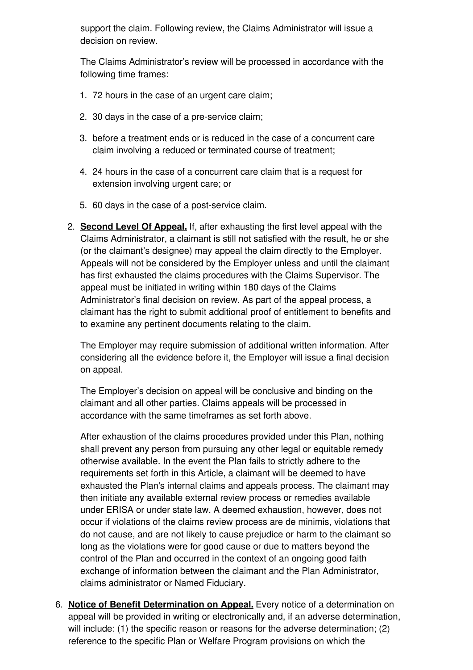support the claim. Following review, the Claims Administrator will issue a decision on review.

The Claims Administrator's review will be processed in accordance with the following time frames:

- 1. 72 hours in the case of an urgent care claim;
- 2. 30 days in the case of a pre-service claim;
- 3. before a treatment ends or is reduced in the case of a concurrent care claim involving a reduced or terminated course of treatment;
- 4. 24 hours in the case of a concurrent care claim that is a request for extension involving urgent care; or
- 5. 60 days in the case of a post-service claim.
- 2. **Second Level Of Appeal.** If, after exhausting the first level appeal with the Claims Administrator, a claimant is still not satisfied with the result, he or she (or the claimant's designee) may appeal the claim directly to the Employer. Appeals will not be considered by the Employer unless and until the claimant has first exhausted the claims procedures with the Claims Supervisor. The appeal must be initiated in writing within 180 days of the Claims Administrator's final decision on review. As part of the appeal process, a claimant has the right to submit additional proof of entitlement to benefits and to examine any pertinent documents relating to the claim.

The Employer may require submission of additional written information. After considering all the evidence before it, the Employer will issue a final decision on appeal.

The Employer's decision on appeal will be conclusive and binding on the claimant and all other parties. Claims appeals will be processed in accordance with the same timeframes as set forth above.

After exhaustion of the claims procedures provided under this Plan, nothing shall prevent any person from pursuing any other legal or equitable remedy otherwise available. In the event the Plan fails to strictly adhere to the requirements set forth in this Article, a claimant will be deemed to have exhausted the Plan's internal claims and appeals process. The claimant may then initiate any available external review process or remedies available under ERISA or under state law. A deemed exhaustion, however, does not occur if violations of the claims review process are de minimis, violations that do not cause, and are not likely to cause prejudice or harm to the claimant so long as the violations were for good cause or due to matters beyond the control of the Plan and occurred in the context of an ongoing good faith exchange of information between the claimant and the Plan Administrator, claims administrator or Named Fiduciary.

6. **Notice of Benefit Determination on Appeal.** Every notice of a determination on appeal will be provided in writing or electronically and, if an adverse determination, will include: (1) the specific reason or reasons for the adverse determination; (2) reference to the specific Plan or Welfare Program provisions on which the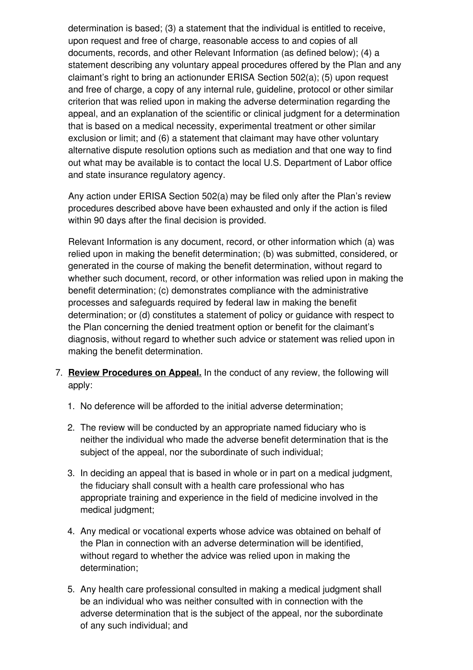determination is based; (3) a statement that the individual is entitled to receive, upon request and free of charge, reasonable access to and copies of all documents, records, and other Relevant Information (as defined below); (4) a statement describing any voluntary appeal procedures offered by the Plan and any claimant's right to bring an actionunder ERISA Section 502(a); (5) upon request and free of charge, a copy of any internal rule, guideline, protocol or other similar criterion that was relied upon in making the adverse determination regarding the appeal, and an explanation of the scientific or clinical judgment for a determination that is based on a medical necessity, experimental treatment or other similar exclusion or limit; and (6) a statement that claimant may have other voluntary alternative dispute resolution options such as mediation and that one way to find out what may be available is to contact the local U.S. Department of Labor office and state insurance regulatory agency.

Any action under ERISA Section 502(a) may be filed only after the Plan's review procedures described above have been exhausted and only if the action is filed within 90 days after the final decision is provided.

Relevant Information is any document, record, or other information which (a) was relied upon in making the benefit determination; (b) was submitted, considered, or generated in the course of making the benefit determination, without regard to whether such document, record, or other information was relied upon in making the benefit determination; (c) demonstrates compliance with the administrative processes and safeguards required by federal law in making the benefit determination; or (d) constitutes a statement of policy or guidance with respect to the Plan concerning the denied treatment option or benefit for the claimant's diagnosis, without regard to whether such advice or statement was relied upon in making the benefit determination.

- 7. **Review Procedures on Appeal.** In the conduct of any review, the following will apply:
	- 1. No deference will be afforded to the initial adverse determination;
	- 2. The review will be conducted by an appropriate named fiduciary who is neither the individual who made the adverse benefit determination that is the subject of the appeal, nor the subordinate of such individual;
	- 3. In deciding an appeal that is based in whole or in part on a medical judgment, the fiduciary shall consult with a health care professional who has appropriate training and experience in the field of medicine involved in the medical judgment;
	- 4. Any medical or vocational experts whose advice was obtained on behalf of the Plan in connection with an adverse determination will be identified, without regard to whether the advice was relied upon in making the determination;
	- 5. Any health care professional consulted in making a medical judgment shall be an individual who was neither consulted with in connection with the adverse determination that is the subject of the appeal, nor the subordinate of any such individual; and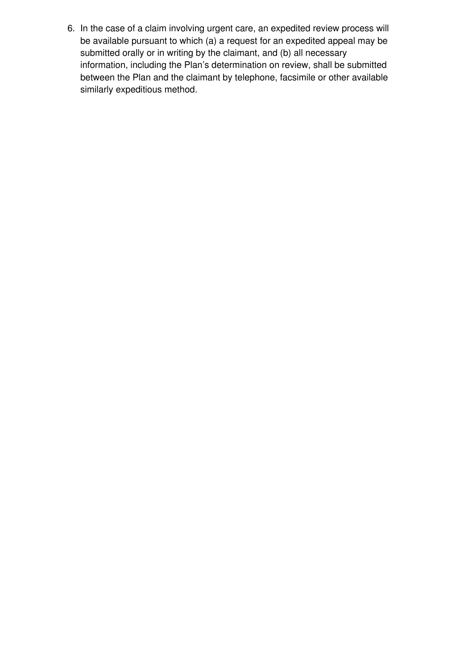6. In the case of a claim involving urgent care, an expedited review process will be available pursuant to which (a) a request for an expedited appeal may be submitted orally or in writing by the claimant, and (b) all necessary information, including the Plan's determination on review, shall be submitted between the Plan and the claimant by telephone, facsimile or other available similarly expeditious method.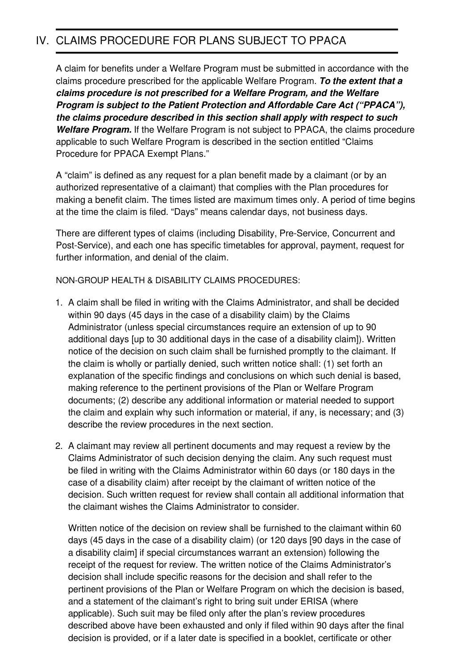# IV. CLAIMS PROCEDURE FOR PLANS SUBJECT TO PPACA

A claim for benefits under a Welfare Program must be submitted in accordance with the claims procedure prescribed for the applicable Welfare Program. *To the extent that a claims procedure is not prescribed for a Welfare Program, and the Welfare Program is subject to the Patient Protection and Affordable Care Act ("PPACA"), the claims procedure described in this section shall apply with respect to such Welfare Program.* If the Welfare Program is not subject to PPACA, the claims procedure applicable to such Welfare Program is described in the section entitled "Claims Procedure for PPACA Exempt Plans."

A "claim" is defined as any request for a plan benefit made by a claimant (or by an authorized representative of a claimant) that complies with the Plan procedures for making a benefit claim. The times listed are maximum times only. A period of time begins at the time the claim is filed. "Days" means calendar days, not business days.

There are different types of claims (including Disability, Pre-Service, Concurrent and Post-Service), and each one has specific timetables for approval, payment, request for further information, and denial of the claim.

NON-GROUP HEALTH & DISABILITY CLAIMS PROCEDURES:

- 1. A claim shall be filed in writing with the Claims Administrator, and shall be decided within 90 days (45 days in the case of a disability claim) by the Claims Administrator (unless special circumstances require an extension of up to 90 additional days [up to 30 additional days in the case of a disability claim]). Written notice of the decision on such claim shall be furnished promptly to the claimant. If the claim is wholly or partially denied, such written notice shall: (1) set forth an explanation of the specific findings and conclusions on which such denial is based, making reference to the pertinent provisions of the Plan or Welfare Program documents; (2) describe any additional information or material needed to support the claim and explain why such information or material, if any, is necessary; and (3) describe the review procedures in the next section.
- 2. A claimant may review all pertinent documents and may request a review by the Claims Administrator of such decision denying the claim. Any such request must be filed in writing with the Claims Administrator within 60 days (or 180 days in the case of a disability claim) after receipt by the claimant of written notice of the decision. Such written request for review shall contain all additional information that the claimant wishes the Claims Administrator to consider.

Written notice of the decision on review shall be furnished to the claimant within 60 days (45 days in the case of a disability claim) (or 120 days [90 days in the case of a disability claim] if special circumstances warrant an extension) following the receipt of the request for review. The written notice of the Claims Administrator's decision shall include specific reasons for the decision and shall refer to the pertinent provisions of the Plan or Welfare Program on which the decision is based, and a statement of the claimant's right to bring suit under ERISA (where applicable). Such suit may be filed only after the plan's review procedures described above have been exhausted and only if filed within 90 days after the final decision is provided, or if a later date is specified in a booklet, certificate or other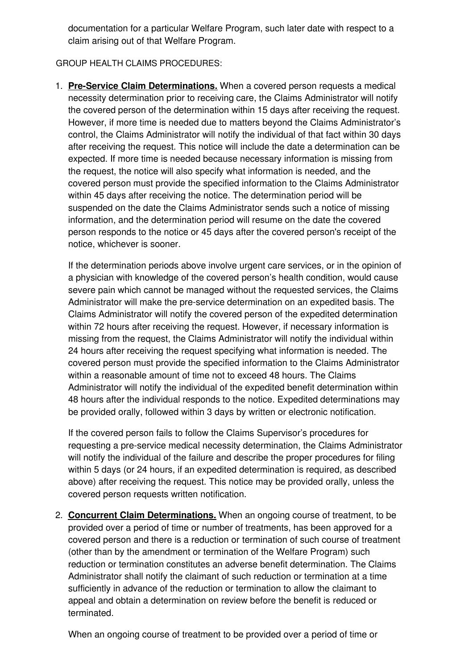documentation for a particular Welfare Program, such later date with respect to a claim arising out of that Welfare Program.

#### GROUP HEALTH CLAIMS PROCEDURES:

1. **Pre-Service Claim Determinations.** When a covered person requests a medical necessity determination prior to receiving care, the Claims Administrator will notify the covered person of the determination within 15 days after receiving the request. However, if more time is needed due to matters beyond the Claims Administrator's control, the Claims Administrator will notify the individual of that fact within 30 days after receiving the request. This notice will include the date a determination can be expected. If more time is needed because necessary information is missing from the request, the notice will also specify what information is needed, and the covered person must provide the specified information to the Claims Administrator within 45 days after receiving the notice. The determination period will be suspended on the date the Claims Administrator sends such a notice of missing information, and the determination period will resume on the date the covered person responds to the notice or 45 days after the covered person's receipt of the notice, whichever is sooner.

If the determination periods above involve urgent care services, or in the opinion of a physician with knowledge of the covered person's health condition, would cause severe pain which cannot be managed without the requested services, the Claims Administrator will make the pre-service determination on an expedited basis. The Claims Administrator will notify the covered person of the expedited determination within 72 hours after receiving the request. However, if necessary information is missing from the request, the Claims Administrator will notify the individual within 24 hours after receiving the request specifying what information is needed. The covered person must provide the specified information to the Claims Administrator within a reasonable amount of time not to exceed 48 hours. The Claims Administrator will notify the individual of the expedited benefit determination within 48 hours after the individual responds to the notice. Expedited determinations may be provided orally, followed within 3 days by written or electronic notification.

If the covered person fails to follow the Claims Supervisor's procedures for requesting a pre-service medical necessity determination, the Claims Administrator will notify the individual of the failure and describe the proper procedures for filing within 5 days (or 24 hours, if an expedited determination is required, as described above) after receiving the request. This notice may be provided orally, unless the covered person requests written notification.

2. **Concurrent Claim Determinations.** When an ongoing course of treatment, to be provided over a period of time or number of treatments, has been approved for a covered person and there is a reduction or termination of such course of treatment (other than by the amendment or termination of the Welfare Program) such reduction or termination constitutes an adverse benefit determination. The Claims Administrator shall notify the claimant of such reduction or termination at a time sufficiently in advance of the reduction or termination to allow the claimant to appeal and obtain a determination on review before the benefit is reduced or terminated.

When an ongoing course of treatment to be provided over a period of time or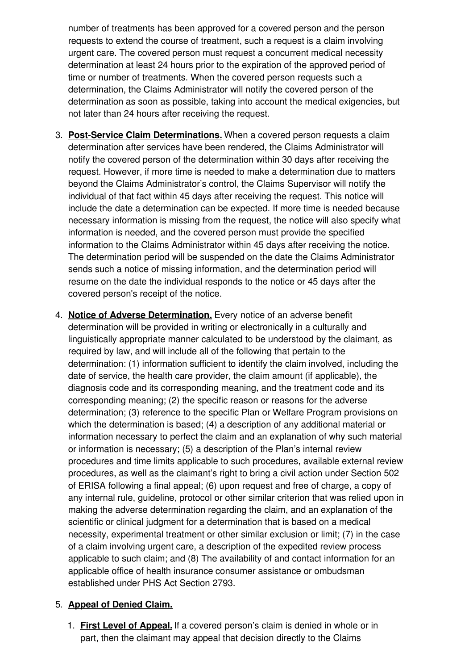number of treatments has been approved for a covered person and the person requests to extend the course of treatment, such a request is a claim involving urgent care. The covered person must request a concurrent medical necessity determination at least 24 hours prior to the expiration of the approved period of time or number of treatments. When the covered person requests such a determination, the Claims Administrator will notify the covered person of the determination as soon as possible, taking into account the medical exigencies, but not later than 24 hours after receiving the request.

- 3. **Post-Service Claim Determinations.** When a covered person requests a claim determination after services have been rendered, the Claims Administrator will notify the covered person of the determination within 30 days after receiving the request. However, if more time is needed to make a determination due to matters beyond the Claims Administrator's control, the Claims Supervisor will notify the individual of that fact within 45 days after receiving the request. This notice will include the date a determination can be expected. If more time is needed because necessary information is missing from the request, the notice will also specify what information is needed, and the covered person must provide the specified information to the Claims Administrator within 45 days after receiving the notice. The determination period will be suspended on the date the Claims Administrator sends such a notice of missing information, and the determination period will resume on the date the individual responds to the notice or 45 days after the covered person's receipt of the notice.
- 4. **Notice of Adverse Determination.** Every notice of an adverse benefit determination will be provided in writing or electronically in a culturally and linguistically appropriate manner calculated to be understood by the claimant, as required by law, and will include all of the following that pertain to the determination: (1) information sufficient to identify the claim involved, including the date of service, the health care provider, the claim amount (if applicable), the diagnosis code and its corresponding meaning, and the treatment code and its corresponding meaning; (2) the specific reason or reasons for the adverse determination; (3) reference to the specific Plan or Welfare Program provisions on which the determination is based; (4) a description of any additional material or information necessary to perfect the claim and an explanation of why such material or information is necessary; (5) a description of the Plan's internal review procedures and time limits applicable to such procedures, available external review procedures, as well as the claimant's right to bring a civil action under Section 502 of ERISA following a final appeal; (6) upon request and free of charge, a copy of any internal rule, guideline, protocol or other similar criterion that was relied upon in making the adverse determination regarding the claim, and an explanation of the scientific or clinical judgment for a determination that is based on a medical necessity, experimental treatment or other similar exclusion or limit; (7) in the case of a claim involving urgent care, a description of the expedited review process applicable to such claim; and (8) The availability of and contact information for an applicable office of health insurance consumer assistance or ombudsman established under PHS Act Section 2793.

#### 5. **Appeal of Denied Claim.**

1. **First Level of Appeal.** If a covered person's claim is denied in whole or in part, then the claimant may appeal that decision directly to the Claims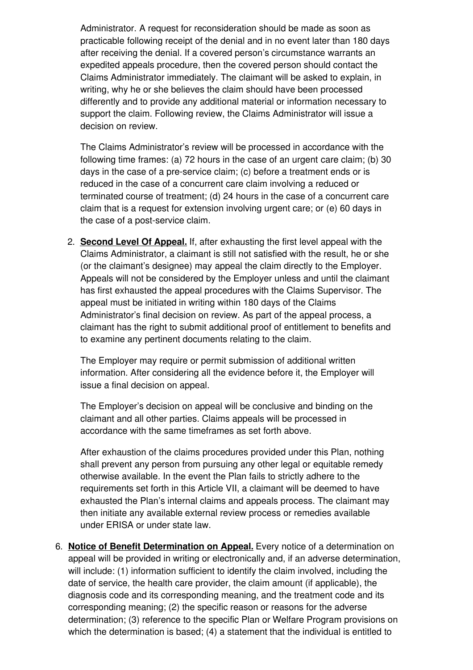Administrator. A request for reconsideration should be made as soon as practicable following receipt of the denial and in no event later than 180 days after receiving the denial. If a covered person's circumstance warrants an expedited appeals procedure, then the covered person should contact the Claims Administrator immediately. The claimant will be asked to explain, in writing, why he or she believes the claim should have been processed differently and to provide any additional material or information necessary to support the claim. Following review, the Claims Administrator will issue a decision on review.

The Claims Administrator's review will be processed in accordance with the following time frames: (a) 72 hours in the case of an urgent care claim; (b) 30 days in the case of a pre-service claim; (c) before a treatment ends or is reduced in the case of a concurrent care claim involving a reduced or terminated course of treatment; (d) 24 hours in the case of a concurrent care claim that is a request for extension involving urgent care; or (e) 60 days in the case of a post-service claim.

2. **Second Level Of Appeal.** If, after exhausting the first level appeal with the Claims Administrator, a claimant is still not satisfied with the result, he or she (or the claimant's designee) may appeal the claim directly to the Employer. Appeals will not be considered by the Employer unless and until the claimant has first exhausted the appeal procedures with the Claims Supervisor. The appeal must be initiated in writing within 180 days of the Claims Administrator's final decision on review. As part of the appeal process, a claimant has the right to submit additional proof of entitlement to benefits and to examine any pertinent documents relating to the claim.

The Employer may require or permit submission of additional written information. After considering all the evidence before it, the Employer will issue a final decision on appeal.

The Employer's decision on appeal will be conclusive and binding on the claimant and all other parties. Claims appeals will be processed in accordance with the same timeframes as set forth above.

After exhaustion of the claims procedures provided under this Plan, nothing shall prevent any person from pursuing any other legal or equitable remedy otherwise available. In the event the Plan fails to strictly adhere to the requirements set forth in this Article VII, a claimant will be deemed to have exhausted the Plan's internal claims and appeals process. The claimant may then initiate any available external review process or remedies available under ERISA or under state law.

6. **Notice of Benefit Determination on Appeal.** Every notice of a determination on appeal will be provided in writing or electronically and, if an adverse determination, will include: (1) information sufficient to identify the claim involved, including the date of service, the health care provider, the claim amount (if applicable), the diagnosis code and its corresponding meaning, and the treatment code and its corresponding meaning; (2) the specific reason or reasons for the adverse determination; (3) reference to the specific Plan or Welfare Program provisions on which the determination is based; (4) a statement that the individual is entitled to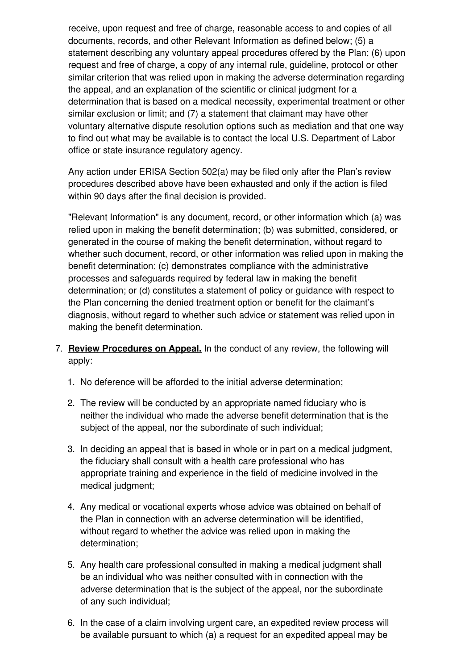receive, upon request and free of charge, reasonable access to and copies of all documents, records, and other Relevant Information as defined below; (5) a statement describing any voluntary appeal procedures offered by the Plan; (6) upon request and free of charge, a copy of any internal rule, guideline, protocol or other similar criterion that was relied upon in making the adverse determination regarding the appeal, and an explanation of the scientific or clinical judgment for a determination that is based on a medical necessity, experimental treatment or other similar exclusion or limit; and (7) a statement that claimant may have other voluntary alternative dispute resolution options such as mediation and that one way to find out what may be available is to contact the local U.S. Department of Labor office or state insurance regulatory agency.

Any action under ERISA Section 502(a) may be filed only after the Plan's review procedures described above have been exhausted and only if the action is filed within 90 days after the final decision is provided.

"Relevant Information" is any document, record, or other information which (a) was relied upon in making the benefit determination; (b) was submitted, considered, or generated in the course of making the benefit determination, without regard to whether such document, record, or other information was relied upon in making the benefit determination; (c) demonstrates compliance with the administrative processes and safeguards required by federal law in making the benefit determination; or (d) constitutes a statement of policy or guidance with respect to the Plan concerning the denied treatment option or benefit for the claimant's diagnosis, without regard to whether such advice or statement was relied upon in making the benefit determination.

- 7. **Review Procedures on Appeal.** In the conduct of any review, the following will apply:
	- 1. No deference will be afforded to the initial adverse determination;
	- 2. The review will be conducted by an appropriate named fiduciary who is neither the individual who made the adverse benefit determination that is the subject of the appeal, nor the subordinate of such individual;
	- 3. In deciding an appeal that is based in whole or in part on a medical judgment, the fiduciary shall consult with a health care professional who has appropriate training and experience in the field of medicine involved in the medical judgment;
	- 4. Any medical or vocational experts whose advice was obtained on behalf of the Plan in connection with an adverse determination will be identified, without regard to whether the advice was relied upon in making the determination;
	- 5. Any health care professional consulted in making a medical judgment shall be an individual who was neither consulted with in connection with the adverse determination that is the subject of the appeal, nor the subordinate of any such individual;
	- 6. In the case of a claim involving urgent care, an expedited review process will be available pursuant to which (a) a request for an expedited appeal may be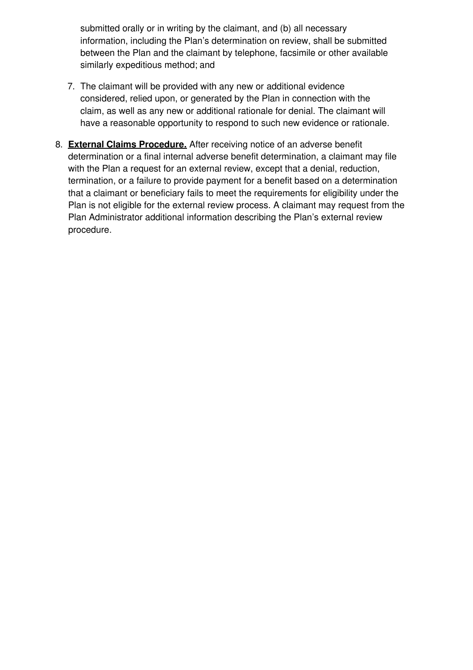submitted orally or in writing by the claimant, and (b) all necessary information, including the Plan's determination on review, shall be submitted between the Plan and the claimant by telephone, facsimile or other available similarly expeditious method; and

- 7. The claimant will be provided with any new or additional evidence considered, relied upon, or generated by the Plan in connection with the claim, as well as any new or additional rationale for denial. The claimant will have a reasonable opportunity to respond to such new evidence or rationale.
- 8. **External Claims Procedure.** After receiving notice of an adverse benefit determination or a final internal adverse benefit determination, a claimant may file with the Plan a request for an external review, except that a denial, reduction, termination, or a failure to provide payment for a benefit based on a determination that a claimant or beneficiary fails to meet the requirements for eligibility under the Plan is not eligible for the external review process. A claimant may request from the Plan Administrator additional information describing the Plan's external review procedure.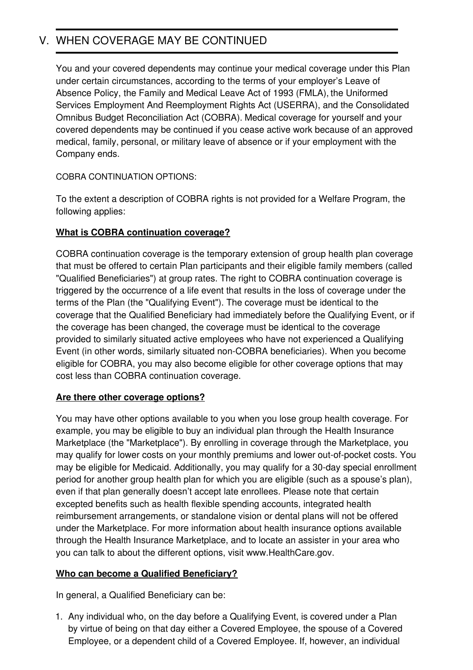# V. WHEN COVERAGE MAY BE CONTINUED

You and your covered dependents may continue your medical coverage under this Plan under certain circumstances, according to the terms of your employer's Leave of Absence Policy, the Family and Medical Leave Act of 1993 (FMLA), the Uniformed Services Employment And Reemployment Rights Act (USERRA), and the Consolidated Omnibus Budget Reconciliation Act (COBRA). Medical coverage for yourself and your covered dependents may be continued if you cease active work because of an approved medical, family, personal, or military leave of absence or if your employment with the Company ends.

# COBRA CONTINUATION OPTIONS:

To the extent a description of COBRA rights is not provided for a Welfare Program, the following applies:

### **What is COBRA continuation coverage?**

COBRA continuation coverage is the temporary extension of group health plan coverage that must be offered to certain Plan participants and their eligible family members (called "Qualified Beneficiaries") at group rates. The right to COBRA continuation coverage is triggered by the occurrence of a life event that results in the loss of coverage under the terms of the Plan (the "Qualifying Event"). The coverage must be identical to the coverage that the Qualified Beneficiary had immediately before the Qualifying Event, or if the coverage has been changed, the coverage must be identical to the coverage provided to similarly situated active employees who have not experienced a Qualifying Event (in other words, similarly situated non-COBRA beneficiaries). When you become eligible for COBRA, you may also become eligible for other coverage options that may cost less than COBRA continuation coverage.

# **Are there other coverage options?**

You may have other options available to you when you lose group health coverage. For example, you may be eligible to buy an individual plan through the Health Insurance Marketplace (the "Marketplace"). By enrolling in coverage through the Marketplace, you may qualify for lower costs on your monthly premiums and lower out-of-pocket costs. You may be eligible for Medicaid. Additionally, you may qualify for a 30-day special enrollment period for another group health plan for which you are eligible (such as a spouse's plan), even if that plan generally doesn't accept late enrollees. Please note that certain excepted benefits such as health flexible spending accounts, integrated health reimbursement arrangements, or standalone vision or dental plans will not be offered under the Marketplace. For more information about health insurance options available through the Health Insurance Marketplace, and to locate an assister in your area who you can talk to about the different options, visit www.HealthCare.gov.

#### **Who can become a Qualified Beneficiary?**

In general, a Qualified Beneficiary can be:

1. Any individual who, on the day before a Qualifying Event, is covered under a Plan by virtue of being on that day either a Covered Employee, the spouse of a Covered Employee, or a dependent child of a Covered Employee. If, however, an individual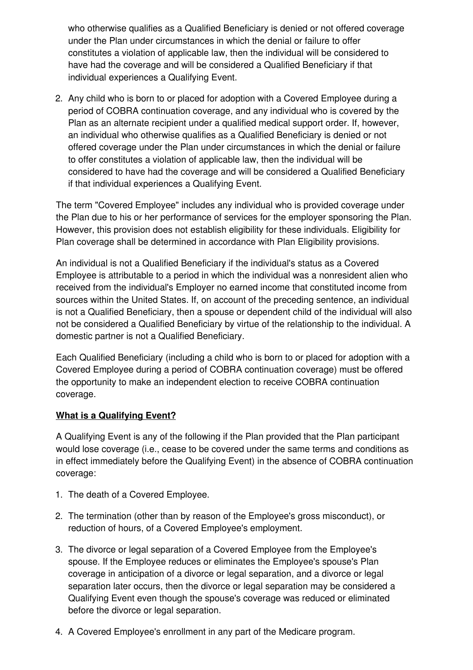who otherwise qualifies as a Qualified Beneficiary is denied or not offered coverage under the Plan under circumstances in which the denial or failure to offer constitutes a violation of applicable law, then the individual will be considered to have had the coverage and will be considered a Qualified Beneficiary if that individual experiences a Qualifying Event.

2. Any child who is born to or placed for adoption with a Covered Employee during a period of COBRA continuation coverage, and any individual who is covered by the Plan as an alternate recipient under a qualified medical support order. If, however, an individual who otherwise qualifies as a Qualified Beneficiary is denied or not offered coverage under the Plan under circumstances in which the denial or failure to offer constitutes a violation of applicable law, then the individual will be considered to have had the coverage and will be considered a Qualified Beneficiary if that individual experiences a Qualifying Event.

The term "Covered Employee" includes any individual who is provided coverage under the Plan due to his or her performance of services for the employer sponsoring the Plan. However, this provision does not establish eligibility for these individuals. Eligibility for Plan coverage shall be determined in accordance with Plan Eligibility provisions.

An individual is not a Qualified Beneficiary if the individual's status as a Covered Employee is attributable to a period in which the individual was a nonresident alien who received from the individual's Employer no earned income that constituted income from sources within the United States. If, on account of the preceding sentence, an individual is not a Qualified Beneficiary, then a spouse or dependent child of the individual will also not be considered a Qualified Beneficiary by virtue of the relationship to the individual. A domestic partner is not a Qualified Beneficiary.

Each Qualified Beneficiary (including a child who is born to or placed for adoption with a Covered Employee during a period of COBRA continuation coverage) must be offered the opportunity to make an independent election to receive COBRA continuation coverage.

# **What is a Qualifying Event?**

A Qualifying Event is any of the following if the Plan provided that the Plan participant would lose coverage (i.e., cease to be covered under the same terms and conditions as in effect immediately before the Qualifying Event) in the absence of COBRA continuation coverage:

- 1. The death of a Covered Employee.
- 2. The termination (other than by reason of the Employee's gross misconduct), or reduction of hours, of a Covered Employee's employment.
- 3. The divorce or legal separation of a Covered Employee from the Employee's spouse. If the Employee reduces or eliminates the Employee's spouse's Plan coverage in anticipation of a divorce or legal separation, and a divorce or legal separation later occurs, then the divorce or legal separation may be considered a Qualifying Event even though the spouse's coverage was reduced or eliminated before the divorce or legal separation.
- 4. A Covered Employee's enrollment in any part of the Medicare program.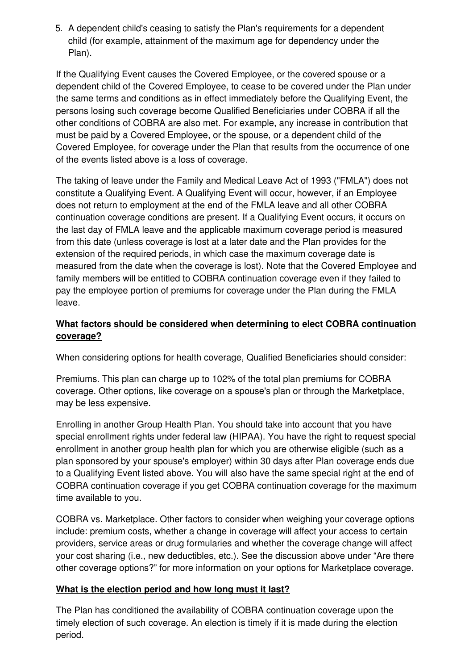5. A dependent child's ceasing to satisfy the Plan's requirements for a dependent child (for example, attainment of the maximum age for dependency under the Plan).

If the Qualifying Event causes the Covered Employee, or the covered spouse or a dependent child of the Covered Employee, to cease to be covered under the Plan under the same terms and conditions as in effect immediately before the Qualifying Event, the persons losing such coverage become Qualified Beneficiaries under COBRA if all the other conditions of COBRA are also met. For example, any increase in contribution that must be paid by a Covered Employee, or the spouse, or a dependent child of the Covered Employee, for coverage under the Plan that results from the occurrence of one of the events listed above is a loss of coverage.

The taking of leave under the Family and Medical Leave Act of 1993 ("FMLA") does not constitute a Qualifying Event. A Qualifying Event will occur, however, if an Employee does not return to employment at the end of the FMLA leave and all other COBRA continuation coverage conditions are present. If a Qualifying Event occurs, it occurs on the last day of FMLA leave and the applicable maximum coverage period is measured from this date (unless coverage is lost at a later date and the Plan provides for the extension of the required periods, in which case the maximum coverage date is measured from the date when the coverage is lost). Note that the Covered Employee and family members will be entitled to COBRA continuation coverage even if they failed to pay the employee portion of premiums for coverage under the Plan during the FMLA leave.

# **What factors should be considered when determining to elect COBRA continuation coverage?**

When considering options for health coverage, Qualified Beneficiaries should consider:

Premiums. This plan can charge up to 102% of the total plan premiums for COBRA coverage. Other options, like coverage on a spouse's plan or through the Marketplace, may be less expensive.

Enrolling in another Group Health Plan. You should take into account that you have special enrollment rights under federal law (HIPAA). You have the right to request special enrollment in another group health plan for which you are otherwise eligible (such as a plan sponsored by your spouse's employer) within 30 days after Plan coverage ends due to a Qualifying Event listed above. You will also have the same special right at the end of COBRA continuation coverage if you get COBRA continuation coverage for the maximum time available to you.

COBRA vs. Marketplace. Other factors to consider when weighing your coverage options include: premium costs, whether a change in coverage will affect your access to certain providers, service areas or drug formularies and whether the coverage change will affect your cost sharing (i.e., new deductibles, etc.). See the discussion above under "Are there other coverage options?" for more information on your options for Marketplace coverage.

# **What is the election period and how long must it last?**

The Plan has conditioned the availability of COBRA continuation coverage upon the timely election of such coverage. An election is timely if it is made during the election period.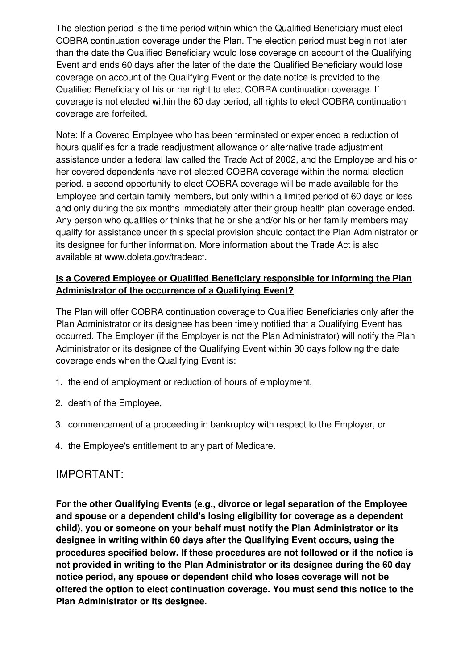The election period is the time period within which the Qualified Beneficiary must elect COBRA continuation coverage under the Plan. The election period must begin not later than the date the Qualified Beneficiary would lose coverage on account of the Qualifying Event and ends 60 days after the later of the date the Qualified Beneficiary would lose coverage on account of the Qualifying Event or the date notice is provided to the Qualified Beneficiary of his or her right to elect COBRA continuation coverage. If coverage is not elected within the 60 day period, all rights to elect COBRA continuation coverage are forfeited.

Note: If a Covered Employee who has been terminated or experienced a reduction of hours qualifies for a trade readjustment allowance or alternative trade adjustment assistance under a federal law called the Trade Act of 2002, and the Employee and his or her covered dependents have not elected COBRA coverage within the normal election period, a second opportunity to elect COBRA coverage will be made available for the Employee and certain family members, but only within a limited period of 60 days or less and only during the six months immediately after their group health plan coverage ended. Any person who qualifies or thinks that he or she and/or his or her family members may qualify for assistance under this special provision should contact the Plan Administrator or its designee for further information. More information about the Trade Act is also available at www.doleta.gov/tradeact.

# **Is a Covered Employee or Qualified Beneficiary responsible for informing the Plan Administrator of the occurrence of a Qualifying Event?**

The Plan will offer COBRA continuation coverage to Qualified Beneficiaries only after the Plan Administrator or its designee has been timely notified that a Qualifying Event has occurred. The Employer (if the Employer is not the Plan Administrator) will notify the Plan Administrator or its designee of the Qualifying Event within 30 days following the date coverage ends when the Qualifying Event is:

- 1. the end of employment or reduction of hours of employment,
- 2. death of the Employee,
- 3. commencement of a proceeding in bankruptcy with respect to the Employer, or
- 4. the Employee's entitlement to any part of Medicare.

# IMPORTANT:

**For the other Qualifying Events (e.g., divorce or legal separation of the Employee and spouse or a dependent child's losing eligibility for coverage as a dependent child), you or someone on your behalf must notify the Plan Administrator or its designee in writing within 60 days after the Qualifying Event occurs, using the procedures specified below. If these procedures are not followed or if the notice is not provided in writing to the Plan Administrator or its designee during the 60 day notice period, any spouse or dependent child who loses coverage will not be offered the option to elect continuation coverage. You must send this notice to the Plan Administrator or its designee.**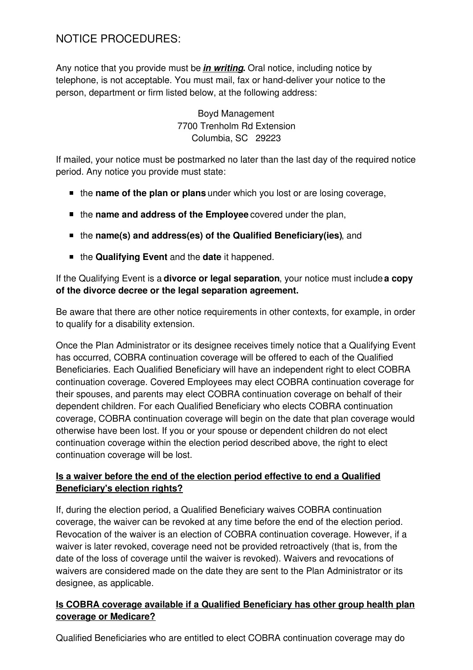# NOTICE PROCEDURES:

Any notice that you provide must be *in writing***.** Oral notice, including notice by telephone, is not acceptable. You must mail, fax or hand-deliver your notice to the person, department or firm listed below, at the following address:

> Boyd Management 7700 Trenholm Rd Extension Columbia, SC 29223

If mailed, your notice must be postmarked no later than the last day of the required notice period. Any notice you provide must state:

- the **name of the plan or plans** under which you lost or are losing coverage,
- the **name and address of the Employee** covered under the plan,
- the **name(s) and address(es) of the Qualified Beneficiary(ies)**, and
- the **Qualifying Event** and the **date** it happened.

If the Qualifying Event is a **divorce or legal separation**, your notice must include **a copy of the divorce decree or the legal separation agreement.**

Be aware that there are other notice requirements in other contexts, for example, in order to qualify for a disability extension.

Once the Plan Administrator or its designee receives timely notice that a Qualifying Event has occurred, COBRA continuation coverage will be offered to each of the Qualified Beneficiaries. Each Qualified Beneficiary will have an independent right to elect COBRA continuation coverage. Covered Employees may elect COBRA continuation coverage for their spouses, and parents may elect COBRA continuation coverage on behalf of their dependent children. For each Qualified Beneficiary who elects COBRA continuation coverage, COBRA continuation coverage will begin on the date that plan coverage would otherwise have been lost. If you or your spouse or dependent children do not elect continuation coverage within the election period described above, the right to elect continuation coverage will be lost.

# **Is a waiver before the end of the election period effective to end a Qualified Beneficiary's election rights?**

If, during the election period, a Qualified Beneficiary waives COBRA continuation coverage, the waiver can be revoked at any time before the end of the election period. Revocation of the waiver is an election of COBRA continuation coverage. However, if a waiver is later revoked, coverage need not be provided retroactively (that is, from the date of the loss of coverage until the waiver is revoked). Waivers and revocations of waivers are considered made on the date they are sent to the Plan Administrator or its designee, as applicable.

# **Is COBRA coverage available if a Qualified Beneficiary has other group health plan coverage or Medicare?**

Qualified Beneficiaries who are entitled to elect COBRA continuation coverage may do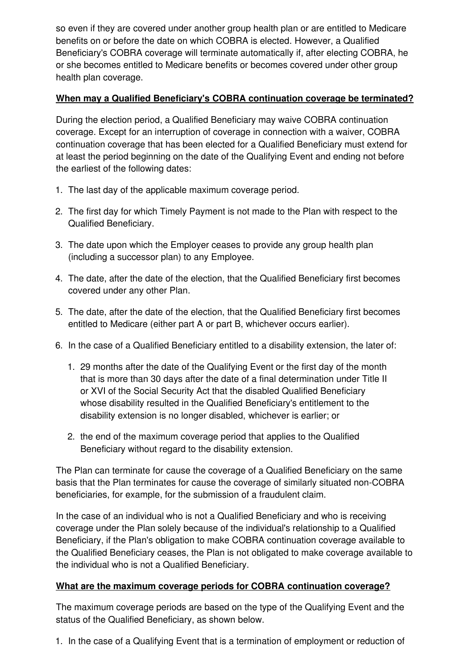so even if they are covered under another group health plan or are entitled to Medicare benefits on or before the date on which COBRA is elected. However, a Qualified Beneficiary's COBRA coverage will terminate automatically if, after electing COBRA, he or she becomes entitled to Medicare benefits or becomes covered under other group health plan coverage.

# **When may a Qualified Beneficiary's COBRA continuation coverage be terminated?**

During the election period, a Qualified Beneficiary may waive COBRA continuation coverage. Except for an interruption of coverage in connection with a waiver, COBRA continuation coverage that has been elected for a Qualified Beneficiary must extend for at least the period beginning on the date of the Qualifying Event and ending not before the earliest of the following dates:

- 1. The last day of the applicable maximum coverage period.
- 2. The first day for which Timely Payment is not made to the Plan with respect to the Qualified Beneficiary.
- 3. The date upon which the Employer ceases to provide any group health plan (including a successor plan) to any Employee.
- 4. The date, after the date of the election, that the Qualified Beneficiary first becomes covered under any other Plan.
- 5. The date, after the date of the election, that the Qualified Beneficiary first becomes entitled to Medicare (either part A or part B, whichever occurs earlier).
- 6. In the case of a Qualified Beneficiary entitled to a disability extension, the later of:
	- 1. 29 months after the date of the Qualifying Event or the first day of the month that is more than 30 days after the date of a final determination under Title II or XVI of the Social Security Act that the disabled Qualified Beneficiary whose disability resulted in the Qualified Beneficiary's entitlement to the disability extension is no longer disabled, whichever is earlier; or
	- 2. the end of the maximum coverage period that applies to the Qualified Beneficiary without regard to the disability extension.

The Plan can terminate for cause the coverage of a Qualified Beneficiary on the same basis that the Plan terminates for cause the coverage of similarly situated non-COBRA beneficiaries, for example, for the submission of a fraudulent claim.

In the case of an individual who is not a Qualified Beneficiary and who is receiving coverage under the Plan solely because of the individual's relationship to a Qualified Beneficiary, if the Plan's obligation to make COBRA continuation coverage available to the Qualified Beneficiary ceases, the Plan is not obligated to make coverage available to the individual who is not a Qualified Beneficiary.

# **What are the maximum coverage periods for COBRA continuation coverage?**

The maximum coverage periods are based on the type of the Qualifying Event and the status of the Qualified Beneficiary, as shown below.

1. In the case of a Qualifying Event that is a termination of employment or reduction of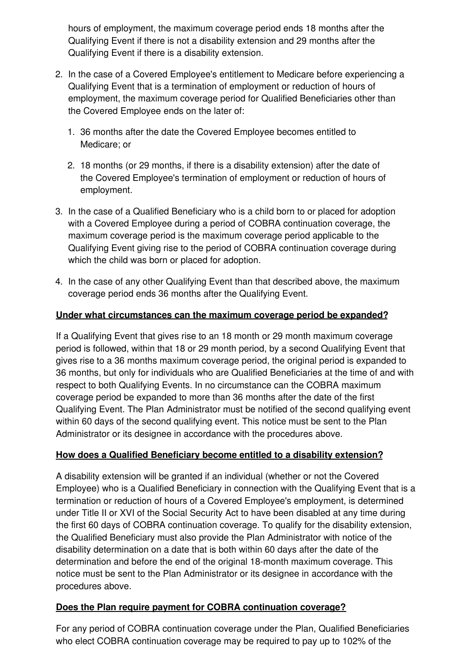hours of employment, the maximum coverage period ends 18 months after the Qualifying Event if there is not a disability extension and 29 months after the Qualifying Event if there is a disability extension.

- 2. In the case of a Covered Employee's entitlement to Medicare before experiencing a Qualifying Event that is a termination of employment or reduction of hours of employment, the maximum coverage period for Qualified Beneficiaries other than the Covered Employee ends on the later of:
	- 1. 36 months after the date the Covered Employee becomes entitled to Medicare; or
	- 2. 18 months (or 29 months, if there is a disability extension) after the date of the Covered Employee's termination of employment or reduction of hours of employment.
- 3. In the case of a Qualified Beneficiary who is a child born to or placed for adoption with a Covered Employee during a period of COBRA continuation coverage, the maximum coverage period is the maximum coverage period applicable to the Qualifying Event giving rise to the period of COBRA continuation coverage during which the child was born or placed for adoption.
- 4. In the case of any other Qualifying Event than that described above, the maximum coverage period ends 36 months after the Qualifying Event.

# **Under what circumstances can the maximum coverage period be expanded?**

If a Qualifying Event that gives rise to an 18 month or 29 month maximum coverage period is followed, within that 18 or 29 month period, by a second Qualifying Event that gives rise to a 36 months maximum coverage period, the original period is expanded to 36 months, but only for individuals who are Qualified Beneficiaries at the time of and with respect to both Qualifying Events. In no circumstance can the COBRA maximum coverage period be expanded to more than 36 months after the date of the first Qualifying Event. The Plan Administrator must be notified of the second qualifying event within 60 days of the second qualifying event. This notice must be sent to the Plan Administrator or its designee in accordance with the procedures above.

# **How does a Qualified Beneficiary become entitled to a disability extension?**

A disability extension will be granted if an individual (whether or not the Covered Employee) who is a Qualified Beneficiary in connection with the Qualifying Event that is a termination or reduction of hours of a Covered Employee's employment, is determined under Title II or XVI of the Social Security Act to have been disabled at any time during the first 60 days of COBRA continuation coverage. To qualify for the disability extension, the Qualified Beneficiary must also provide the Plan Administrator with notice of the disability determination on a date that is both within 60 days after the date of the determination and before the end of the original 18-month maximum coverage. This notice must be sent to the Plan Administrator or its designee in accordance with the procedures above.

# **Does the Plan require payment for COBRA continuation coverage?**

For any period of COBRA continuation coverage under the Plan, Qualified Beneficiaries who elect COBRA continuation coverage may be required to pay up to 102% of the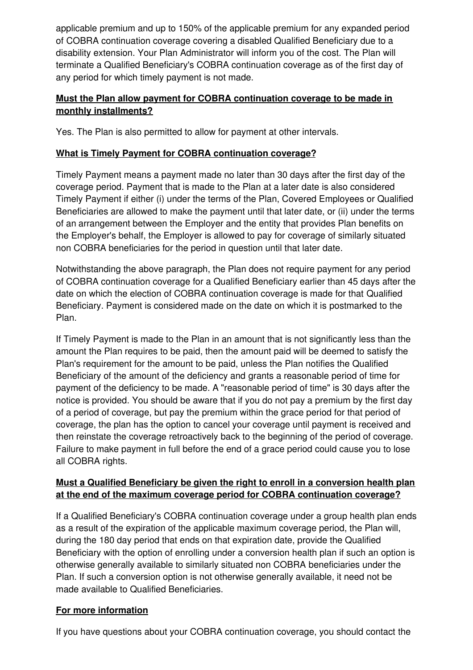applicable premium and up to 150% of the applicable premium for any expanded period of COBRA continuation coverage covering a disabled Qualified Beneficiary due to a disability extension. Your Plan Administrator will inform you of the cost. The Plan will terminate a Qualified Beneficiary's COBRA continuation coverage as of the first day of any period for which timely payment is not made.

# **Must the Plan allow payment for COBRA continuation coverage to be made in monthly installments?**

Yes. The Plan is also permitted to allow for payment at other intervals.

# **What is Timely Payment for COBRA continuation coverage?**

Timely Payment means a payment made no later than 30 days after the first day of the coverage period. Payment that is made to the Plan at a later date is also considered Timely Payment if either (i) under the terms of the Plan, Covered Employees or Qualified Beneficiaries are allowed to make the payment until that later date, or (ii) under the terms of an arrangement between the Employer and the entity that provides Plan benefits on the Employer's behalf, the Employer is allowed to pay for coverage of similarly situated non COBRA beneficiaries for the period in question until that later date.

Notwithstanding the above paragraph, the Plan does not require payment for any period of COBRA continuation coverage for a Qualified Beneficiary earlier than 45 days after the date on which the election of COBRA continuation coverage is made for that Qualified Beneficiary. Payment is considered made on the date on which it is postmarked to the Plan.

If Timely Payment is made to the Plan in an amount that is not significantly less than the amount the Plan requires to be paid, then the amount paid will be deemed to satisfy the Plan's requirement for the amount to be paid, unless the Plan notifies the Qualified Beneficiary of the amount of the deficiency and grants a reasonable period of time for payment of the deficiency to be made. A "reasonable period of time" is 30 days after the notice is provided. You should be aware that if you do not pay a premium by the first day of a period of coverage, but pay the premium within the grace period for that period of coverage, the plan has the option to cancel your coverage until payment is received and then reinstate the coverage retroactively back to the beginning of the period of coverage. Failure to make payment in full before the end of a grace period could cause you to lose all COBRA rights.

# **Must a Qualified Beneficiary be given the right to enroll in a conversion health plan at the end of the maximum coverage period for COBRA continuation coverage?**

If a Qualified Beneficiary's COBRA continuation coverage under a group health plan ends as a result of the expiration of the applicable maximum coverage period, the Plan will, during the 180 day period that ends on that expiration date, provide the Qualified Beneficiary with the option of enrolling under a conversion health plan if such an option is otherwise generally available to similarly situated non COBRA beneficiaries under the Plan. If such a conversion option is not otherwise generally available, it need not be made available to Qualified Beneficiaries.

# **For more information**

If you have questions about your COBRA continuation coverage, you should contact the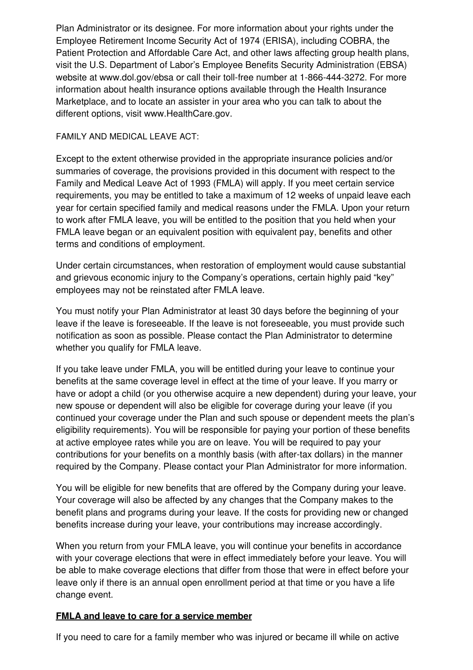Plan Administrator or its designee. For more information about your rights under the Employee Retirement Income Security Act of 1974 (ERISA), including COBRA, the Patient Protection and Affordable Care Act, and other laws affecting group health plans, visit the U.S. Department of Labor's Employee Benefits Security Administration (EBSA) website at www.dol.gov/ebsa or call their toll-free number at 1-866-444-3272. For more information about health insurance options available through the Health Insurance Marketplace, and to locate an assister in your area who you can talk to about the different options, visit www.HealthCare.gov.

### FAMILY AND MEDICAL LEAVE ACT:

Except to the extent otherwise provided in the appropriate insurance policies and/or summaries of coverage, the provisions provided in this document with respect to the Family and Medical Leave Act of 1993 (FMLA) will apply. If you meet certain service requirements, you may be entitled to take a maximum of 12 weeks of unpaid leave each year for certain specified family and medical reasons under the FMLA. Upon your return to work after FMLA leave, you will be entitled to the position that you held when your FMLA leave began or an equivalent position with equivalent pay, benefits and other terms and conditions of employment.

Under certain circumstances, when restoration of employment would cause substantial and grievous economic injury to the Company's operations, certain highly paid "key" employees may not be reinstated after FMLA leave.

You must notify your Plan Administrator at least 30 days before the beginning of your leave if the leave is foreseeable. If the leave is not foreseeable, you must provide such notification as soon as possible. Please contact the Plan Administrator to determine whether you qualify for FMLA leave.

If you take leave under FMLA, you will be entitled during your leave to continue your benefits at the same coverage level in effect at the time of your leave. If you marry or have or adopt a child (or you otherwise acquire a new dependent) during your leave, your new spouse or dependent will also be eligible for coverage during your leave (if you continued your coverage under the Plan and such spouse or dependent meets the plan's eligibility requirements). You will be responsible for paying your portion of these benefits at active employee rates while you are on leave. You will be required to pay your contributions for your benefits on a monthly basis (with after-tax dollars) in the manner required by the Company. Please contact your Plan Administrator for more information.

You will be eligible for new benefits that are offered by the Company during your leave. Your coverage will also be affected by any changes that the Company makes to the benefit plans and programs during your leave. If the costs for providing new or changed benefits increase during your leave, your contributions may increase accordingly.

When you return from your FMLA leave, you will continue your benefits in accordance with your coverage elections that were in effect immediately before your leave. You will be able to make coverage elections that differ from those that were in effect before your leave only if there is an annual open enrollment period at that time or you have a life change event.

# **FMLA and leave to care for a service member**

If you need to care for a family member who was injured or became ill while on active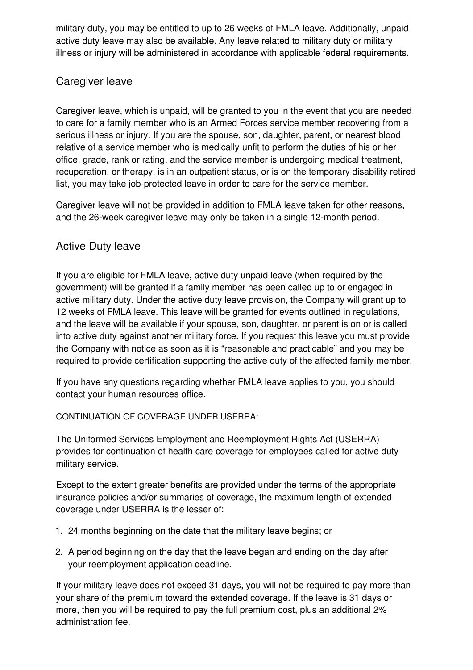military duty, you may be entitled to up to 26 weeks of FMLA leave. Additionally, unpaid active duty leave may also be available. Any leave related to military duty or military illness or injury will be administered in accordance with applicable federal requirements.

# Caregiver leave

Caregiver leave, which is unpaid, will be granted to you in the event that you are needed to care for a family member who is an Armed Forces service member recovering from a serious illness or injury. If you are the spouse, son, daughter, parent, or nearest blood relative of a service member who is medically unfit to perform the duties of his or her office, grade, rank or rating, and the service member is undergoing medical treatment, recuperation, or therapy, is in an outpatient status, or is on the temporary disability retired list, you may take job-protected leave in order to care for the service member.

Caregiver leave will not be provided in addition to FMLA leave taken for other reasons, and the 26-week caregiver leave may only be taken in a single 12-month period.

# Active Duty leave

If you are eligible for FMLA leave, active duty unpaid leave (when required by the government) will be granted if a family member has been called up to or engaged in active military duty. Under the active duty leave provision, the Company will grant up to 12 weeks of FMLA leave. This leave will be granted for events outlined in regulations, and the leave will be available if your spouse, son, daughter, or parent is on or is called into active duty against another military force. If you request this leave you must provide the Company with notice as soon as it is "reasonable and practicable" and you may be required to provide certification supporting the active duty of the affected family member.

If you have any questions regarding whether FMLA leave applies to you, you should contact your human resources office.

CONTINUATION OF COVERAGE UNDER USERRA:

The Uniformed Services Employment and Reemployment Rights Act (USERRA) provides for continuation of health care coverage for employees called for active duty military service.

Except to the extent greater benefits are provided under the terms of the appropriate insurance policies and/or summaries of coverage, the maximum length of extended coverage under USERRA is the lesser of:

- 1. 24 months beginning on the date that the military leave begins; or
- 2. A period beginning on the day that the leave began and ending on the day after your reemployment application deadline.

If your military leave does not exceed 31 days, you will not be required to pay more than your share of the premium toward the extended coverage. If the leave is 31 days or more, then you will be required to pay the full premium cost, plus an additional 2% administration fee.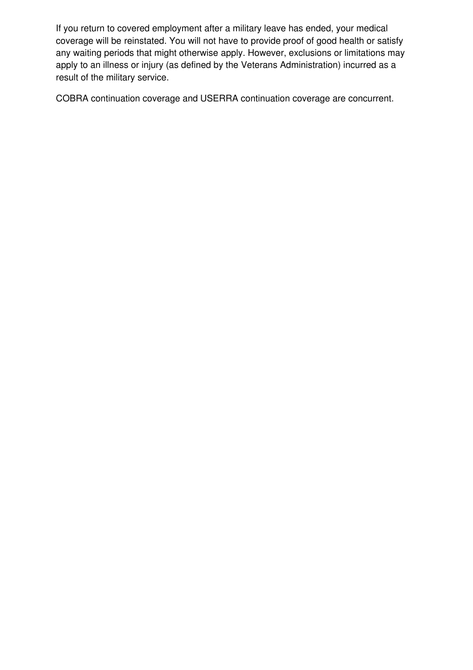If you return to covered employment after a military leave has ended, your medical coverage will be reinstated. You will not have to provide proof of good health or satisfy any waiting periods that might otherwise apply. However, exclusions or limitations may apply to an illness or injury (as defined by the Veterans Administration) incurred as a result of the military service.

COBRA continuation coverage and USERRA continuation coverage are concurrent.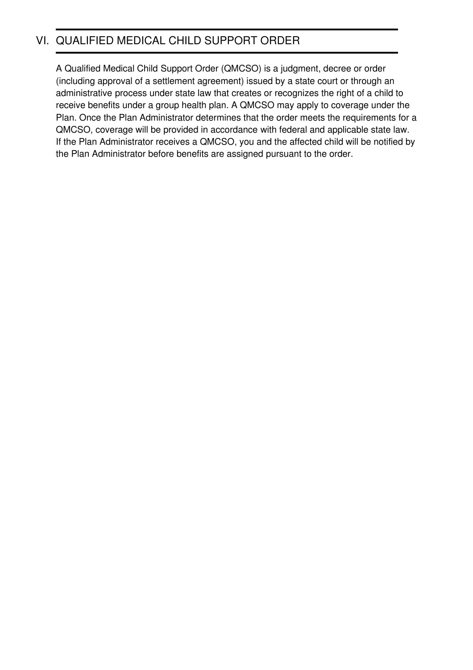# VI. QUALIFIED MEDICAL CHILD SUPPORT ORDER

A Qualified Medical Child Support Order (QMCSO) is a judgment, decree or order (including approval of a settlement agreement) issued by a state court or through an administrative process under state law that creates or recognizes the right of a child to receive benefits under a group health plan. A QMCSO may apply to coverage under the Plan. Once the Plan Administrator determines that the order meets the requirements for a QMCSO, coverage will be provided in accordance with federal and applicable state law. If the Plan Administrator receives a QMCSO, you and the affected child will be notified by the Plan Administrator before benefits are assigned pursuant to the order.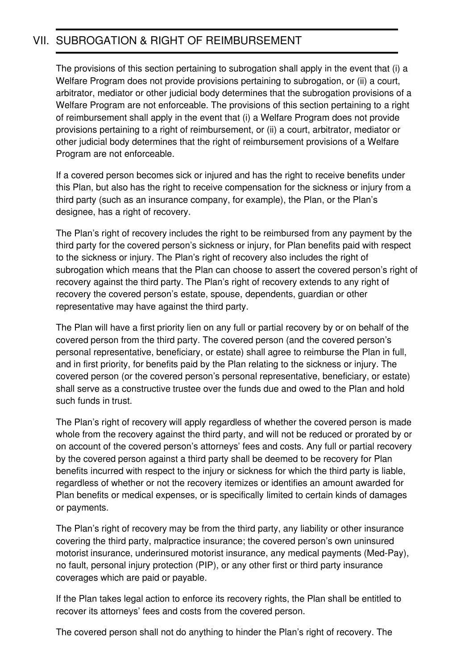## VII. SUBROGATION & RIGHT OF REIMBURSEMENT

The provisions of this section pertaining to subrogation shall apply in the event that (i) a Welfare Program does not provide provisions pertaining to subrogation, or (ii) a court, arbitrator, mediator or other judicial body determines that the subrogation provisions of a Welfare Program are not enforceable. The provisions of this section pertaining to a right of reimbursement shall apply in the event that (i) a Welfare Program does not provide provisions pertaining to a right of reimbursement, or (ii) a court, arbitrator, mediator or other judicial body determines that the right of reimbursement provisions of a Welfare Program are not enforceable.

If a covered person becomes sick or injured and has the right to receive benefits under this Plan, but also has the right to receive compensation for the sickness or injury from a third party (such as an insurance company, for example), the Plan, or the Plan's designee, has a right of recovery.

The Plan's right of recovery includes the right to be reimbursed from any payment by the third party for the covered person's sickness or injury, for Plan benefits paid with respect to the sickness or injury. The Plan's right of recovery also includes the right of subrogation which means that the Plan can choose to assert the covered person's right of recovery against the third party. The Plan's right of recovery extends to any right of recovery the covered person's estate, spouse, dependents, guardian or other representative may have against the third party.

The Plan will have a first priority lien on any full or partial recovery by or on behalf of the covered person from the third party. The covered person (and the covered person's personal representative, beneficiary, or estate) shall agree to reimburse the Plan in full, and in first priority, for benefits paid by the Plan relating to the sickness or injury. The covered person (or the covered person's personal representative, beneficiary, or estate) shall serve as a constructive trustee over the funds due and owed to the Plan and hold such funds in trust.

The Plan's right of recovery will apply regardless of whether the covered person is made whole from the recovery against the third party, and will not be reduced or prorated by or on account of the covered person's attorneys' fees and costs. Any full or partial recovery by the covered person against a third party shall be deemed to be recovery for Plan benefits incurred with respect to the injury or sickness for which the third party is liable, regardless of whether or not the recovery itemizes or identifies an amount awarded for Plan benefits or medical expenses, or is specifically limited to certain kinds of damages or payments.

The Plan's right of recovery may be from the third party, any liability or other insurance covering the third party, malpractice insurance; the covered person's own uninsured motorist insurance, underinsured motorist insurance, any medical payments (Med-Pay), no fault, personal injury protection (PIP), or any other first or third party insurance coverages which are paid or payable.

If the Plan takes legal action to enforce its recovery rights, the Plan shall be entitled to recover its attorneys' fees and costs from the covered person.

The covered person shall not do anything to hinder the Plan's right of recovery. The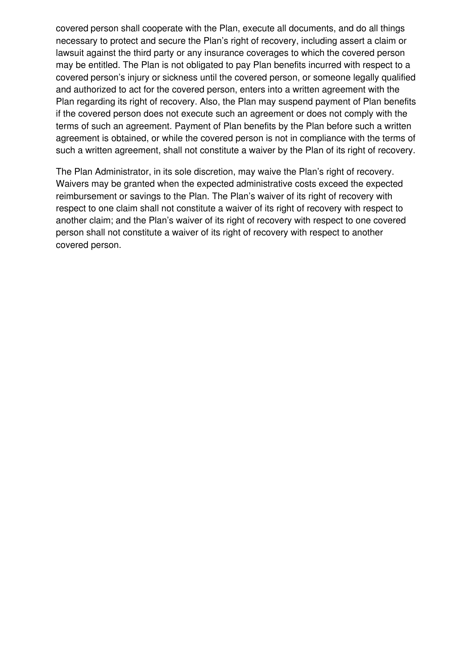covered person shall cooperate with the Plan, execute all documents, and do all things necessary to protect and secure the Plan's right of recovery, including assert a claim or lawsuit against the third party or any insurance coverages to which the covered person may be entitled. The Plan is not obligated to pay Plan benefits incurred with respect to a covered person's injury or sickness until the covered person, or someone legally qualified and authorized to act for the covered person, enters into a written agreement with the Plan regarding its right of recovery. Also, the Plan may suspend payment of Plan benefits if the covered person does not execute such an agreement or does not comply with the terms of such an agreement. Payment of Plan benefits by the Plan before such a written agreement is obtained, or while the covered person is not in compliance with the terms of such a written agreement, shall not constitute a waiver by the Plan of its right of recovery.

The Plan Administrator, in its sole discretion, may waive the Plan's right of recovery. Waivers may be granted when the expected administrative costs exceed the expected reimbursement or savings to the Plan. The Plan's waiver of its right of recovery with respect to one claim shall not constitute a waiver of its right of recovery with respect to another claim; and the Plan's waiver of its right of recovery with respect to one covered person shall not constitute a waiver of its right of recovery with respect to another covered person.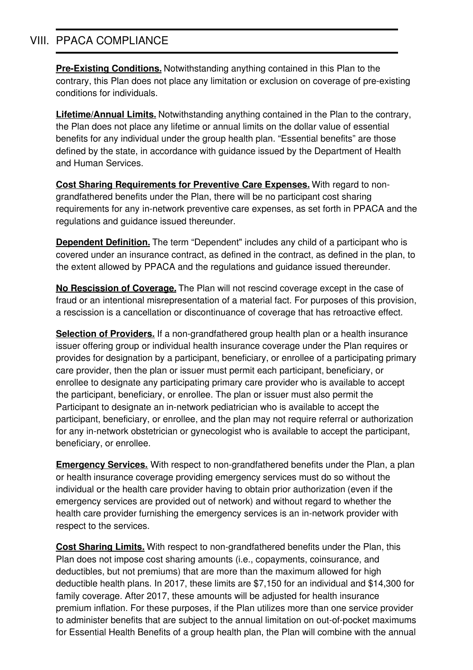## VIII. PPACA COMPLIANCE

**Pre-Existing Conditions.** Notwithstanding anything contained in this Plan to the contrary, this Plan does not place any limitation or exclusion on coverage of pre-existing conditions for individuals.

**Lifetime/Annual Limits.** Notwithstanding anything contained in the Plan to the contrary, the Plan does not place any lifetime or annual limits on the dollar value of essential benefits for any individual under the group health plan. "Essential benefits" are those defined by the state, in accordance with guidance issued by the Department of Health and Human Services.

**Cost Sharing Requirements for Preventive Care Expenses.** With regard to nongrandfathered benefits under the Plan, there will be no participant cost sharing requirements for any in-network preventive care expenses, as set forth in PPACA and the regulations and guidance issued thereunder.

**Dependent Definition.** The term "Dependent" includes any child of a participant who is covered under an insurance contract, as defined in the contract, as defined in the plan, to the extent allowed by PPACA and the regulations and guidance issued thereunder.

**No Rescission of Coverage.** The Plan will not rescind coverage except in the case of fraud or an intentional misrepresentation of a material fact. For purposes of this provision, a rescission is a cancellation or discontinuance of coverage that has retroactive effect.

**Selection of Providers.** If a non-grandfathered group health plan or a health insurance issuer offering group or individual health insurance coverage under the Plan requires or provides for designation by a participant, beneficiary, or enrollee of a participating primary care provider, then the plan or issuer must permit each participant, beneficiary, or enrollee to designate any participating primary care provider who is available to accept the participant, beneficiary, or enrollee. The plan or issuer must also permit the Participant to designate an in-network pediatrician who is available to accept the participant, beneficiary, or enrollee, and the plan may not require referral or authorization for any in-network obstetrician or gynecologist who is available to accept the participant, beneficiary, or enrollee.

**Emergency Services.** With respect to non-grandfathered benefits under the Plan, a plan or health insurance coverage providing emergency services must do so without the individual or the health care provider having to obtain prior authorization (even if the emergency services are provided out of network) and without regard to whether the health care provider furnishing the emergency services is an in-network provider with respect to the services.

**Cost Sharing Limits.** With respect to non-grandfathered benefits under the Plan, this Plan does not impose cost sharing amounts (i.e., copayments, coinsurance, and deductibles, but not premiums) that are more than the maximum allowed for high deductible health plans. In 2017, these limits are \$7,150 for an individual and \$14,300 for family coverage. After 2017, these amounts will be adjusted for health insurance premium inflation. For these purposes, if the Plan utilizes more than one service provider to administer benefits that are subject to the annual limitation on out-of-pocket maximums for Essential Health Benefits of a group health plan, the Plan will combine with the annual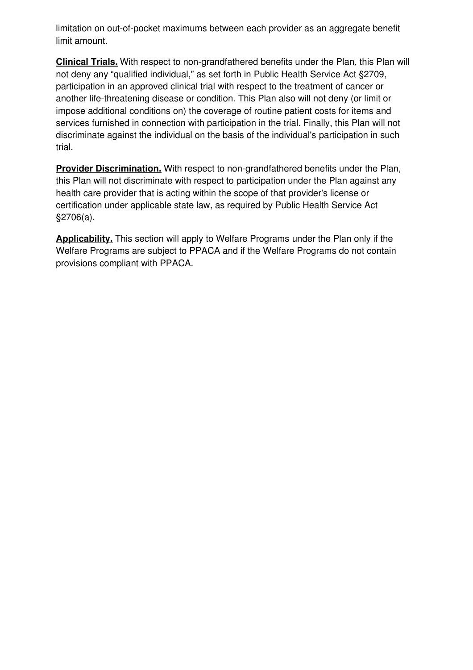limitation on out-of-pocket maximums between each provider as an aggregate benefit limit amount.

**Clinical Trials.** With respect to non-grandfathered benefits under the Plan, this Plan will not deny any "qualified individual," as set forth in Public Health Service Act §2709, participation in an approved clinical trial with respect to the treatment of cancer or another life-threatening disease or condition. This Plan also will not deny (or limit or impose additional conditions on) the coverage of routine patient costs for items and services furnished in connection with participation in the trial. Finally, this Plan will not discriminate against the individual on the basis of the individual's participation in such trial.

**Provider Discrimination.** With respect to non-grandfathered benefits under the Plan, this Plan will not discriminate with respect to participation under the Plan against any health care provider that is acting within the scope of that provider's license or certification under applicable state law, as required by Public Health Service Act §2706(a).

**Applicability.** This section will apply to Welfare Programs under the Plan only if the Welfare Programs are subject to PPACA and if the Welfare Programs do not contain provisions compliant with PPACA.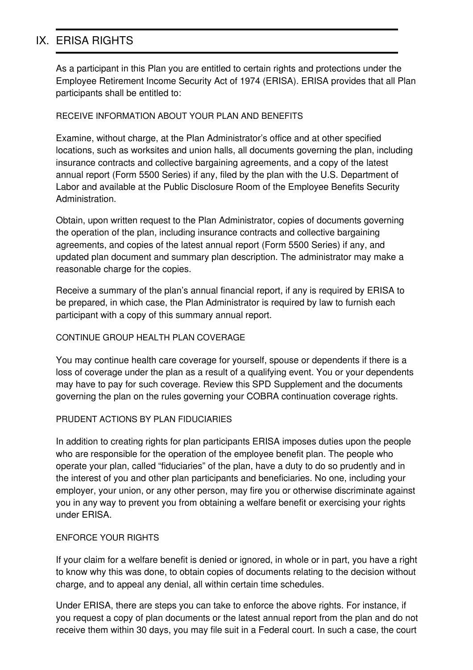## IX. ERISA RIGHTS

As a participant in this Plan you are entitled to certain rights and protections under the Employee Retirement Income Security Act of 1974 (ERISA). ERISA provides that all Plan participants shall be entitled to:

#### RECEIVE INFORMATION ABOUT YOUR PLAN AND BENEFITS

Examine, without charge, at the Plan Administrator's office and at other specified locations, such as worksites and union halls, all documents governing the plan, including insurance contracts and collective bargaining agreements, and a copy of the latest annual report (Form 5500 Series) if any, filed by the plan with the U.S. Department of Labor and available at the Public Disclosure Room of the Employee Benefits Security Administration.

Obtain, upon written request to the Plan Administrator, copies of documents governing the operation of the plan, including insurance contracts and collective bargaining agreements, and copies of the latest annual report (Form 5500 Series) if any, and updated plan document and summary plan description. The administrator may make a reasonable charge for the copies.

Receive a summary of the plan's annual financial report, if any is required by ERISA to be prepared, in which case, the Plan Administrator is required by law to furnish each participant with a copy of this summary annual report.

#### CONTINUE GROUP HEALTH PLAN COVERAGE

You may continue health care coverage for yourself, spouse or dependents if there is a loss of coverage under the plan as a result of a qualifying event. You or your dependents may have to pay for such coverage. Review this SPD Supplement and the documents governing the plan on the rules governing your COBRA continuation coverage rights.

#### PRUDENT ACTIONS BY PLAN FIDUCIARIES

In addition to creating rights for plan participants ERISA imposes duties upon the people who are responsible for the operation of the employee benefit plan. The people who operate your plan, called "fiduciaries" of the plan, have a duty to do so prudently and in the interest of you and other plan participants and beneficiaries. No one, including your employer, your union, or any other person, may fire you or otherwise discriminate against you in any way to prevent you from obtaining a welfare benefit or exercising your rights under ERISA.

#### ENFORCE YOUR RIGHTS

If your claim for a welfare benefit is denied or ignored, in whole or in part, you have a right to know why this was done, to obtain copies of documents relating to the decision without charge, and to appeal any denial, all within certain time schedules.

Under ERISA, there are steps you can take to enforce the above rights. For instance, if you request a copy of plan documents or the latest annual report from the plan and do not receive them within 30 days, you may file suit in a Federal court. In such a case, the court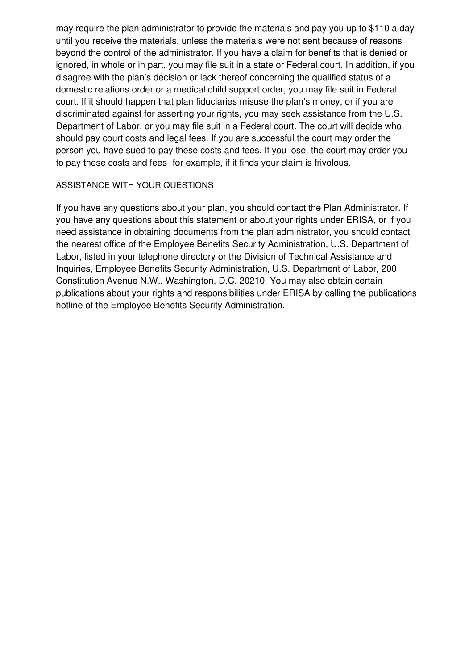may require the plan administrator to provide the materials and pay you up to \$110 a day until you receive the materials, unless the materials were not sent because of reasons beyond the control of the administrator. If you have a claim for benefits that is denied or ignored, in whole or in part, you may file suit in a state or Federal court. In addition, if you disagree with the plan's decision or lack thereof concerning the qualified status of a domestic relations order or a medical child support order, you may file suit in Federal court. If it should happen that plan fiduciaries misuse the plan's money, or if you are discriminated against for asserting your rights, you may seek assistance from the U.S. Department of Labor, or you may file suit in a Federal court. The court will decide who should pay court costs and legal fees. If you are successful the court may order the person you have sued to pay these costs and fees. If you lose, the court may order you to pay these costs and fees- for example, if it finds your claim is frivolous.

#### ASSISTANCE WITH YOUR QUESTIONS

If you have any questions about your plan, you should contact the Plan Administrator. If you have any questions about this statement or about your rights under ERISA, or if you need assistance in obtaining documents from the plan administrator, you should contact the nearest office of the Employee Benefits Security Administration, U.S. Department of Labor, listed in your telephone directory or the Division of Technical Assistance and Inquiries, Employee Benefits Security Administration, U.S. Department of Labor, 200 Constitution Avenue N.W., Washington, D.C. 20210. You may also obtain certain publications about your rights and responsibilities under ERISA by calling the publications hotline of the Employee Benefits Security Administration.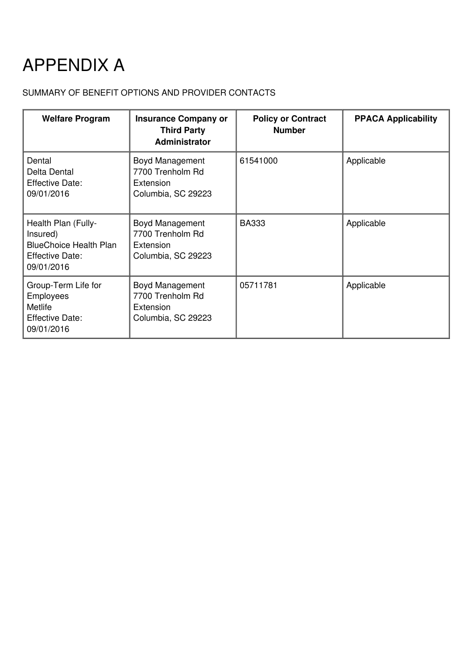# APPENDIX A

#### SUMMARY OF BENEFIT OPTIONS AND PROVIDER CONTACTS

| <b>Welfare Program</b>                                                                                   | <b>Insurance Company or</b><br><b>Third Party</b><br><b>Administrator</b> | <b>Policy or Contract</b><br><b>Number</b> | <b>PPACA Applicability</b> |
|----------------------------------------------------------------------------------------------------------|---------------------------------------------------------------------------|--------------------------------------------|----------------------------|
| Dental<br>Delta Dental<br><b>Effective Date:</b><br>09/01/2016                                           | Boyd Management<br>7700 Trenholm Rd<br>Extension<br>Columbia, SC 29223    | 61541000                                   | Applicable                 |
| Health Plan (Fully-<br>Insured)<br><b>BlueChoice Health Plan</b><br><b>Effective Date:</b><br>09/01/2016 | Boyd Management<br>7700 Trenholm Rd<br>Extension<br>Columbia, SC 29223    | <b>BA333</b>                               | Applicable                 |
| Group-Term Life for<br><b>Employees</b><br>Metlife<br><b>Effective Date:</b><br>09/01/2016               | Boyd Management<br>7700 Trenholm Rd<br>Extension<br>Columbia, SC 29223    | 05711781                                   | Applicable                 |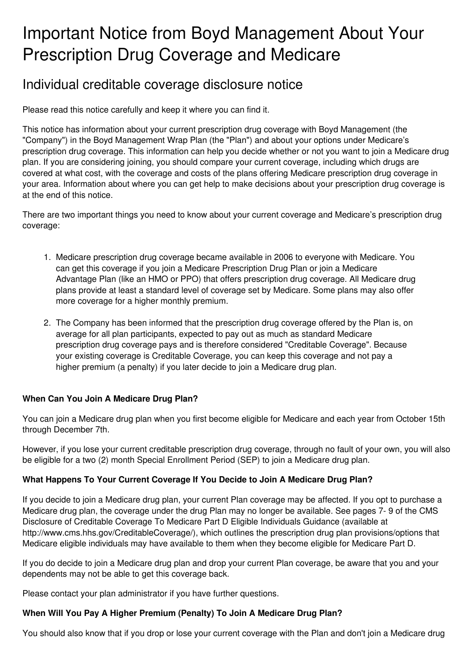# Important Notice from Boyd Management About Your Prescription Drug Coverage and Medicare

## Individual creditable coverage disclosure notice

Please read this notice carefully and keep it where you can find it.

This notice has information about your current prescription drug coverage with Boyd Management (the "Company") in the Boyd Management Wrap Plan (the "Plan") and about your options under Medicare's prescription drug coverage. This information can help you decide whether or not you want to join a Medicare drug plan. If you are considering joining, you should compare your current coverage, including which drugs are covered at what cost, with the coverage and costs of the plans offering Medicare prescription drug coverage in your area. Information about where you can get help to make decisions about your prescription drug coverage is at the end of this notice.

There are two important things you need to know about your current coverage and Medicare's prescription drug coverage:

- 1. Medicare prescription drug coverage became available in 2006 to everyone with Medicare. You can get this coverage if you join a Medicare Prescription Drug Plan or join a Medicare Advantage Plan (like an HMO or PPO) that offers prescription drug coverage. All Medicare drug plans provide at least a standard level of coverage set by Medicare. Some plans may also offer more coverage for a higher monthly premium.
- 2. The Company has been informed that the prescription drug coverage offered by the Plan is, on average for all plan participants, expected to pay out as much as standard Medicare prescription drug coverage pays and is therefore considered "Creditable Coverage". Because your existing coverage is Creditable Coverage, you can keep this coverage and not pay a higher premium (a penalty) if you later decide to join a Medicare drug plan.

#### **When Can You Join A Medicare Drug Plan?**

You can join a Medicare drug plan when you first become eligible for Medicare and each year from October 15th through December 7th.

However, if you lose your current creditable prescription drug coverage, through no fault of your own, you will also be eligible for a two (2) month Special Enrollment Period (SEP) to join a Medicare drug plan.

#### **What Happens To Your Current Coverage If You Decide to Join A Medicare Drug Plan?**

If you decide to join a Medicare drug plan, your current Plan coverage may be affected. If you opt to purchase a Medicare drug plan, the coverage under the drug Plan may no longer be available. See pages 7- 9 of the CMS Disclosure of Creditable Coverage To Medicare Part D Eligible Individuals Guidance (available at http://www.cms.hhs.gov/CreditableCoverage/), which outlines the prescription drug plan provisions/options that Medicare eligible individuals may have available to them when they become eligible for Medicare Part D.

If you do decide to join a Medicare drug plan and drop your current Plan coverage, be aware that you and your dependents may not be able to get this coverage back.

Please contact your plan administrator if you have further questions.

#### **When Will You Pay A Higher Premium (Penalty) To Join A Medicare Drug Plan?**

You should also know that if you drop or lose your current coverage with the Plan and don't join a Medicare drug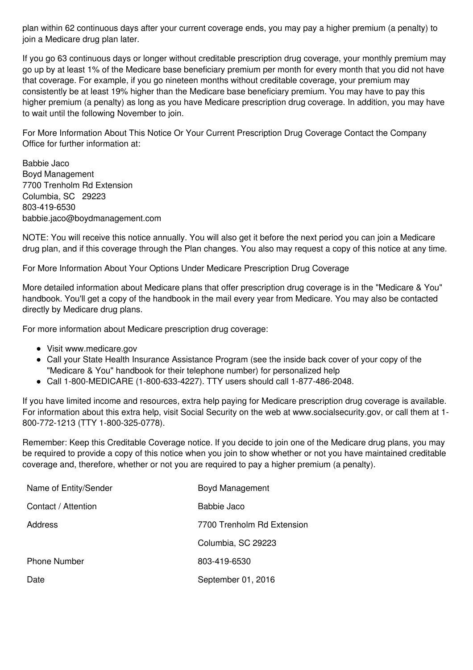plan within 62 continuous days after your current coverage ends, you may pay a higher premium (a penalty) to join a Medicare drug plan later.

If you go 63 continuous days or longer without creditable prescription drug coverage, your monthly premium may go up by at least 1% of the Medicare base beneficiary premium per month for every month that you did not have that coverage. For example, if you go nineteen months without creditable coverage, your premium may consistently be at least 19% higher than the Medicare base beneficiary premium. You may have to pay this higher premium (a penalty) as long as you have Medicare prescription drug coverage. In addition, you may have to wait until the following November to join.

For More Information About This Notice Or Your Current Prescription Drug Coverage Contact the Company Office for further information at:

Babbie Jaco Boyd Management 7700 Trenholm Rd Extension Columbia, SC 29223 803-419-6530 babbie.jaco@boydmanagement.com

NOTE: You will receive this notice annually. You will also get it before the next period you can join a Medicare drug plan, and if this coverage through the Plan changes. You also may request a copy of this notice at any time.

For More Information About Your Options Under Medicare Prescription Drug Coverage

More detailed information about Medicare plans that offer prescription drug coverage is in the "Medicare & You" handbook. You'll get a copy of the handbook in the mail every year from Medicare. You may also be contacted directly by Medicare drug plans.

For more information about Medicare prescription drug coverage:

- Visit www.medicare.gov
- Call your State Health Insurance Assistance Program (see the inside back cover of your copy of the "Medicare & You" handbook for their telephone number) for personalized help
- Call 1-800-MEDICARE (1-800-633-4227). TTY users should call 1-877-486-2048.

If you have limited income and resources, extra help paying for Medicare prescription drug coverage is available. For information about this extra help, visit Social Security on the web at www.socialsecurity.gov, or call them at 1- 800-772-1213 (TTY 1-800-325-0778).

Remember: Keep this Creditable Coverage notice. If you decide to join one of the Medicare drug plans, you may be required to provide a copy of this notice when you join to show whether or not you have maintained creditable coverage and, therefore, whether or not you are required to pay a higher premium (a penalty).

| Name of Entity/Sender | Boyd Management            |
|-----------------------|----------------------------|
| Contact / Attention   | Babbie Jaco                |
| Address               | 7700 Trenholm Rd Extension |
|                       | Columbia, SC 29223         |
| <b>Phone Number</b>   | 803-419-6530               |
| Date                  | September 01, 2016         |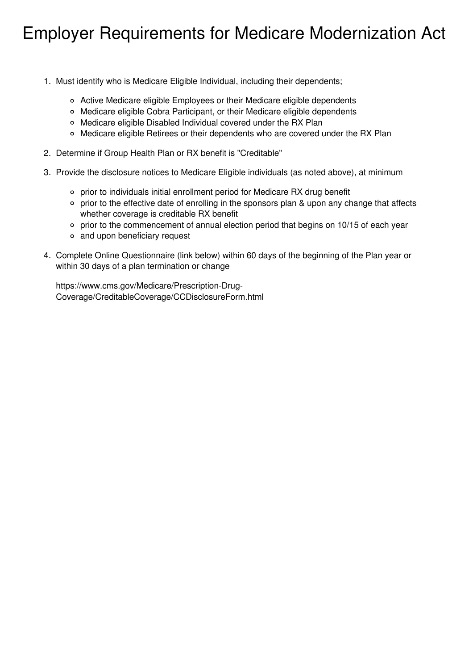## Employer Requirements for Medicare Modernization Act

- 1. Must identify who is Medicare Eligible Individual, including their dependents;
	- Active Medicare eligible Employees or their Medicare eligible dependents
	- Medicare eligible Cobra Participant, or their Medicare eligible dependents
	- Medicare eligible Disabled Individual covered under the RX Plan
	- Medicare eligible Retirees or their dependents who are covered under the RX Plan
- 2. Determine if Group Health Plan or RX benefit is "Creditable"
- 3. Provide the disclosure notices to Medicare Eligible individuals (as noted above), at minimum
	- prior to individuals initial enrollment period for Medicare RX drug benefit
	- prior to the effective date of enrolling in the sponsors plan & upon any change that affects whether coverage is creditable RX benefit
	- prior to the commencement of annual election period that begins on 10/15 of each year
	- and upon beneficiary request
- 4. Complete Online Questionnaire (link below) within 60 days of the beginning of the Plan year or within 30 days of a plan termination or change

https://www.cms.gov/Medicare/Prescription-Drug-Coverage/CreditableCoverage/CCDisclosureForm.html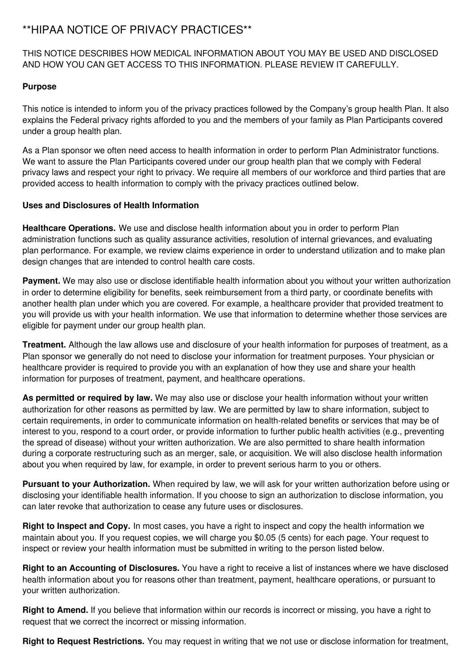## \*\*HIPAA NOTICE OF PRIVACY PRACTICES\*\*

THIS NOTICE DESCRIBES HOW MEDICAL INFORMATION ABOUT YOU MAY BE USED AND DISCLOSED AND HOW YOU CAN GET ACCESS TO THIS INFORMATION. PLEASE REVIEW IT CAREFULLY.

#### **Purpose**

This notice is intended to inform you of the privacy practices followed by the Company's group health Plan. It also explains the Federal privacy rights afforded to you and the members of your family as Plan Participants covered under a group health plan.

As a Plan sponsor we often need access to health information in order to perform Plan Administrator functions. We want to assure the Plan Participants covered under our group health plan that we comply with Federal privacy laws and respect your right to privacy. We require all members of our workforce and third parties that are provided access to health information to comply with the privacy practices outlined below.

#### **Uses and Disclosures of Health Information**

**Healthcare Operations.** We use and disclose health information about you in order to perform Plan administration functions such as quality assurance activities, resolution of internal grievances, and evaluating plan performance. For example, we review claims experience in order to understand utilization and to make plan design changes that are intended to control health care costs.

**Payment.** We may also use or disclose identifiable health information about you without your written authorization in order to determine eligibility for benefits, seek reimbursement from a third party, or coordinate benefits with another health plan under which you are covered. For example, a healthcare provider that provided treatment to you will provide us with your health information. We use that information to determine whether those services are eligible for payment under our group health plan.

**Treatment.** Although the law allows use and disclosure of your health information for purposes of treatment, as a Plan sponsor we generally do not need to disclose your information for treatment purposes. Your physician or healthcare provider is required to provide you with an explanation of how they use and share your health information for purposes of treatment, payment, and healthcare operations.

**As permitted or required by law.** We may also use or disclose your health information without your written authorization for other reasons as permitted by law. We are permitted by law to share information, subject to certain requirements, in order to communicate information on health-related benefits or services that may be of interest to you, respond to a court order, or provide information to further public health activities (e.g., preventing the spread of disease) without your written authorization. We are also permitted to share health information during a corporate restructuring such as an merger, sale, or acquisition. We will also disclose health information about you when required by law, for example, in order to prevent serious harm to you or others.

**Pursuant to your Authorization.** When required by law, we will ask for your written authorization before using or disclosing your identifiable health information. If you choose to sign an authorization to disclose information, you can later revoke that authorization to cease any future uses or disclosures.

**Right to Inspect and Copy.** In most cases, you have a right to inspect and copy the health information we maintain about you. If you request copies, we will charge you \$0.05 (5 cents) for each page. Your request to inspect or review your health information must be submitted in writing to the person listed below.

**Right to an Accounting of Disclosures.** You have a right to receive a list of instances where we have disclosed health information about you for reasons other than treatment, payment, healthcare operations, or pursuant to your written authorization.

**Right to Amend.** If you believe that information within our records is incorrect or missing, you have a right to request that we correct the incorrect or missing information.

**Right to Request Restrictions.** You may request in writing that we not use or disclose information for treatment,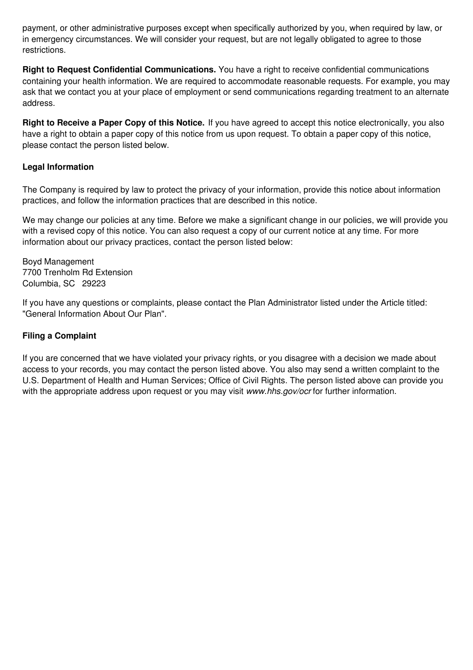payment, or other administrative purposes except when specifically authorized by you, when required by law, or in emergency circumstances. We will consider your request, but are not legally obligated to agree to those restrictions.

**Right to Request Confidential Communications.** You have a right to receive confidential communications containing your health information. We are required to accommodate reasonable requests. For example, you may ask that we contact you at your place of employment or send communications regarding treatment to an alternate address.

**Right to Receive a Paper Copy of this Notice.** If you have agreed to accept this notice electronically, you also have a right to obtain a paper copy of this notice from us upon request. To obtain a paper copy of this notice, please contact the person listed below.

#### **Legal Information**

The Company is required by law to protect the privacy of your information, provide this notice about information practices, and follow the information practices that are described in this notice.

We may change our policies at any time. Before we make a significant change in our policies, we will provide you with a revised copy of this notice. You can also request a copy of our current notice at any time. For more information about our privacy practices, contact the person listed below:

Boyd Management 7700 Trenholm Rd Extension Columbia, SC 29223

If you have any questions or complaints, please contact the Plan Administrator listed under the Article titled: "General Information About Our Plan".

#### **Filing a Complaint**

If you are concerned that we have violated your privacy rights, or you disagree with a decision we made about access to your records, you may contact the person listed above. You also may send a written complaint to the U.S. Department of Health and Human Services; Office of Civil Rights. The person listed above can provide you with the appropriate address upon request or you may visit *www.hhs.gov/ocr* for further information.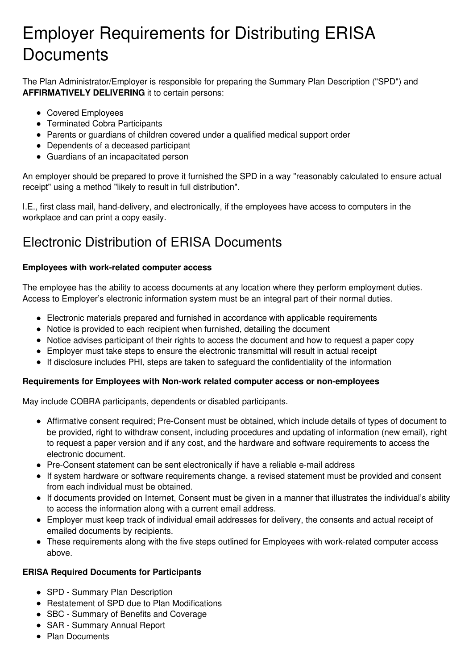# Employer Requirements for Distributing ERISA **Documents**

The Plan Administrator/Employer is responsible for preparing the Summary Plan Description ("SPD") and **AFFIRMATIVELY DELIVERING** it to certain persons:

- Covered Employees
- Terminated Cobra Participants
- Parents or guardians of children covered under a qualified medical support order
- Dependents of a deceased participant
- Guardians of an incapacitated person

An employer should be prepared to prove it furnished the SPD in a way "reasonably calculated to ensure actual receipt" using a method "likely to result in full distribution".

I.E., first class mail, hand-delivery, and electronically, if the employees have access to computers in the workplace and can print a copy easily.

## Electronic Distribution of ERISA Documents

#### **Employees with work-related computer access**

The employee has the ability to access documents at any location where they perform employment duties. Access to Employer's electronic information system must be an integral part of their normal duties.

- Electronic materials prepared and furnished in accordance with applicable requirements
- Notice is provided to each recipient when furnished, detailing the document
- Notice advises participant of their rights to access the document and how to request a paper copy
- Employer must take steps to ensure the electronic transmittal will result in actual receipt
- If disclosure includes PHI, steps are taken to safeguard the confidentiality of the information

#### **Requirements for Employees with Non-work related computer access or non-employees**

May include COBRA participants, dependents or disabled participants.

- Affirmative consent required; Pre-Consent must be obtained, which include details of types of document to be provided, right to withdraw consent, including procedures and updating of information (new email), right to request a paper version and if any cost, and the hardware and software requirements to access the electronic document.
- Pre-Consent statement can be sent electronically if have a reliable e-mail address
- If system hardware or software requirements change, a revised statement must be provided and consent from each individual must be obtained.
- If documents provided on Internet, Consent must be given in a manner that illustrates the individual's ability to access the information along with a current email address.
- Employer must keep track of individual email addresses for delivery, the consents and actual receipt of emailed documents by recipients.
- These requirements along with the five steps outlined for Employees with work-related computer access above.

#### **ERISA Required Documents for Participants**

- SPD Summary Plan Description
- Restatement of SPD due to Plan Modifications
- SBC Summary of Benefits and Coverage
- SAR Summary Annual Report
- Plan Documents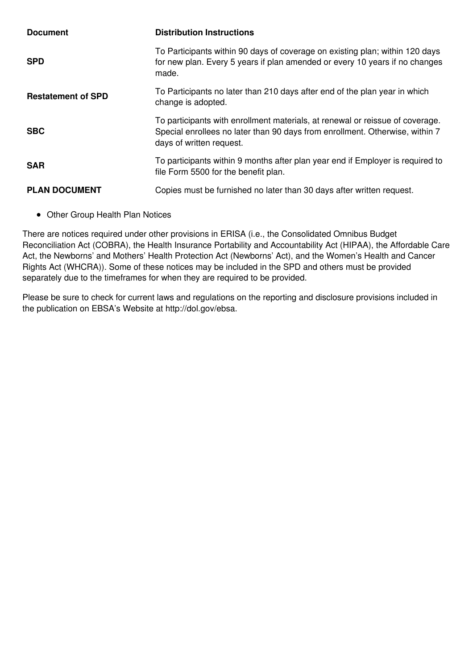| <b>Document</b>           | <b>Distribution Instructions</b>                                                                                                                                                          |
|---------------------------|-------------------------------------------------------------------------------------------------------------------------------------------------------------------------------------------|
| <b>SPD</b>                | To Participants within 90 days of coverage on existing plan; within 120 days<br>for new plan. Every 5 years if plan amended or every 10 years if no changes<br>made.                      |
| <b>Restatement of SPD</b> | To Participants no later than 210 days after end of the plan year in which<br>change is adopted.                                                                                          |
| <b>SBC</b>                | To participants with enrollment materials, at renewal or reissue of coverage.<br>Special enrollees no later than 90 days from enrollment. Otherwise, within 7<br>days of written request. |
| <b>SAR</b>                | To participants within 9 months after plan year end if Employer is required to<br>file Form 5500 for the benefit plan.                                                                    |
| <b>PLAN DOCUMENT</b>      | Copies must be furnished no later than 30 days after written request.                                                                                                                     |

• Other Group Health Plan Notices

There are notices required under other provisions in ERISA (i.e., the Consolidated Omnibus Budget Reconciliation Act (COBRA), the Health Insurance Portability and Accountability Act (HIPAA), the Affordable Care Act, the Newborns' and Mothers' Health Protection Act (Newborns' Act), and the Women's Health and Cancer Rights Act (WHCRA)). Some of these notices may be included in the SPD and others must be provided separately due to the timeframes for when they are required to be provided.

Please be sure to check for current laws and regulations on the reporting and disclosure provisions included in the publication on EBSA's Website at http://dol.gov/ebsa.